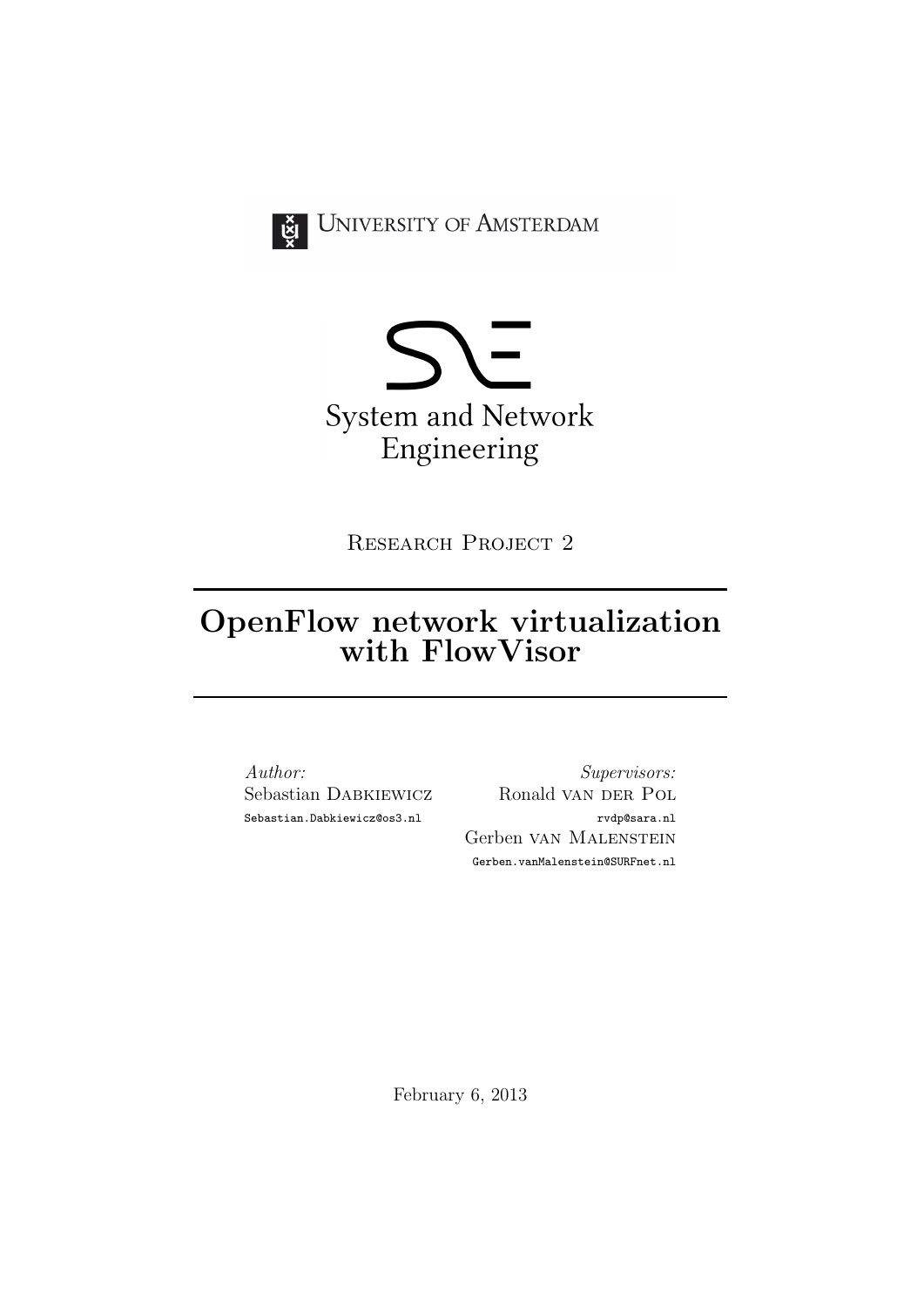

UNIVERSITY OF AMSTERDAM



Research Project 2

# OpenFlow network virtualization with FlowVisor

Author: Sebastian Dabkiewicz Sebastian.Dabkiewicz@os3.nl

Supervisors: Ronald van DER POL rvdp@sara.nl Gerben van Malenstein Gerben.vanMalenstein@SURFnet.nl

February 6, 2013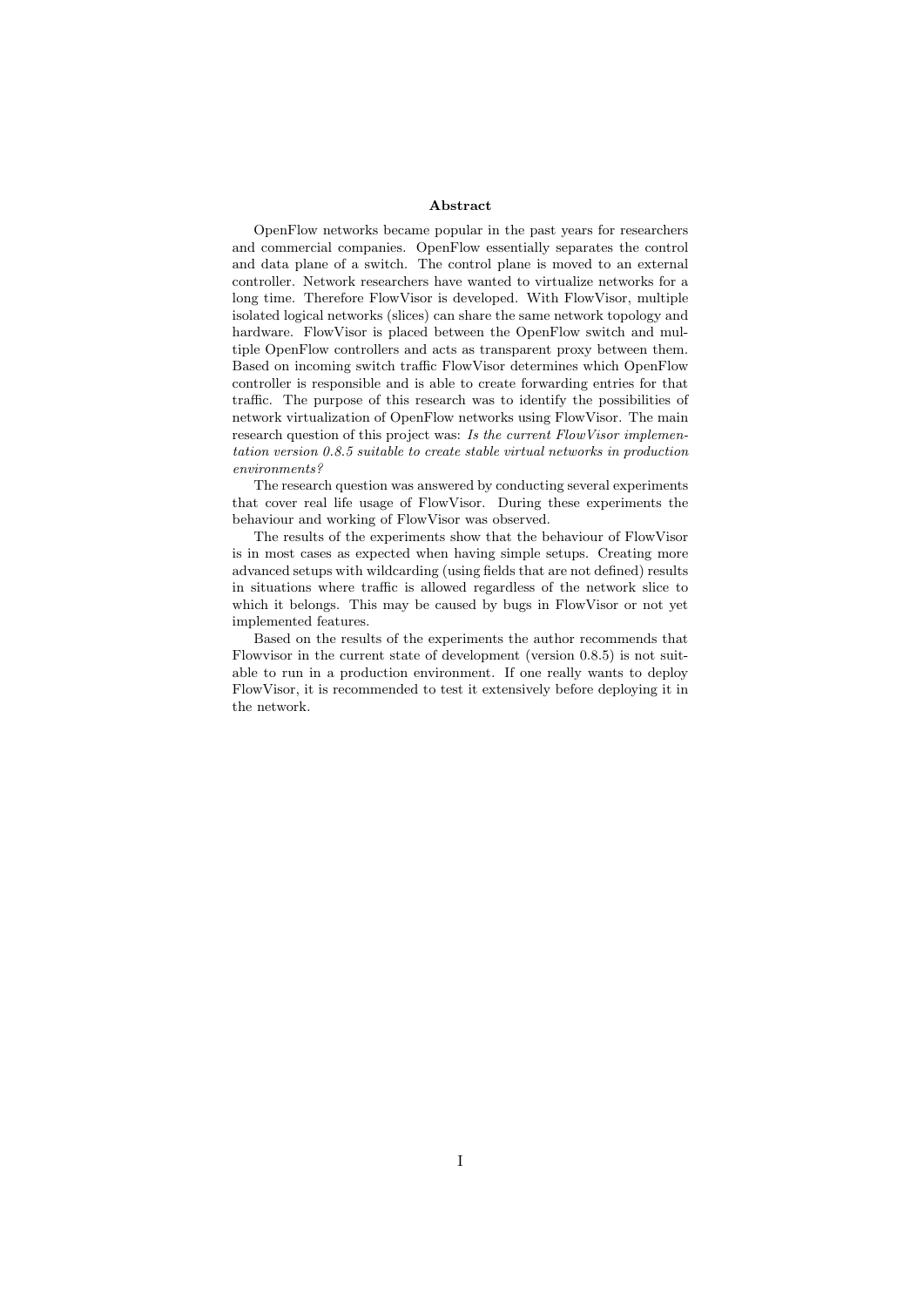#### Abstract

OpenFlow networks became popular in the past years for researchers and commercial companies. OpenFlow essentially separates the control and data plane of a switch. The control plane is moved to an external controller. Network researchers have wanted to virtualize networks for a long time. Therefore FlowVisor is developed. With FlowVisor, multiple isolated logical networks (slices) can share the same network topology and hardware. FlowVisor is placed between the OpenFlow switch and multiple OpenFlow controllers and acts as transparent proxy between them. Based on incoming switch traffic FlowVisor determines which OpenFlow controller is responsible and is able to create forwarding entries for that traffic. The purpose of this research was to identify the possibilities of network virtualization of OpenFlow networks using FlowVisor. The main research question of this project was: Is the current FlowVisor implementation version 0.8.5 suitable to create stable virtual networks in production environments?

The research question was answered by conducting several experiments that cover real life usage of FlowVisor. During these experiments the behaviour and working of FlowVisor was observed.

The results of the experiments show that the behaviour of FlowVisor is in most cases as expected when having simple setups. Creating more advanced setups with wildcarding (using fields that are not defined) results in situations where traffic is allowed regardless of the network slice to which it belongs. This may be caused by bugs in FlowVisor or not yet implemented features.

Based on the results of the experiments the author recommends that Flowvisor in the current state of development (version 0.8.5) is not suitable to run in a production environment. If one really wants to deploy FlowVisor, it is recommended to test it extensively before deploying it in the network.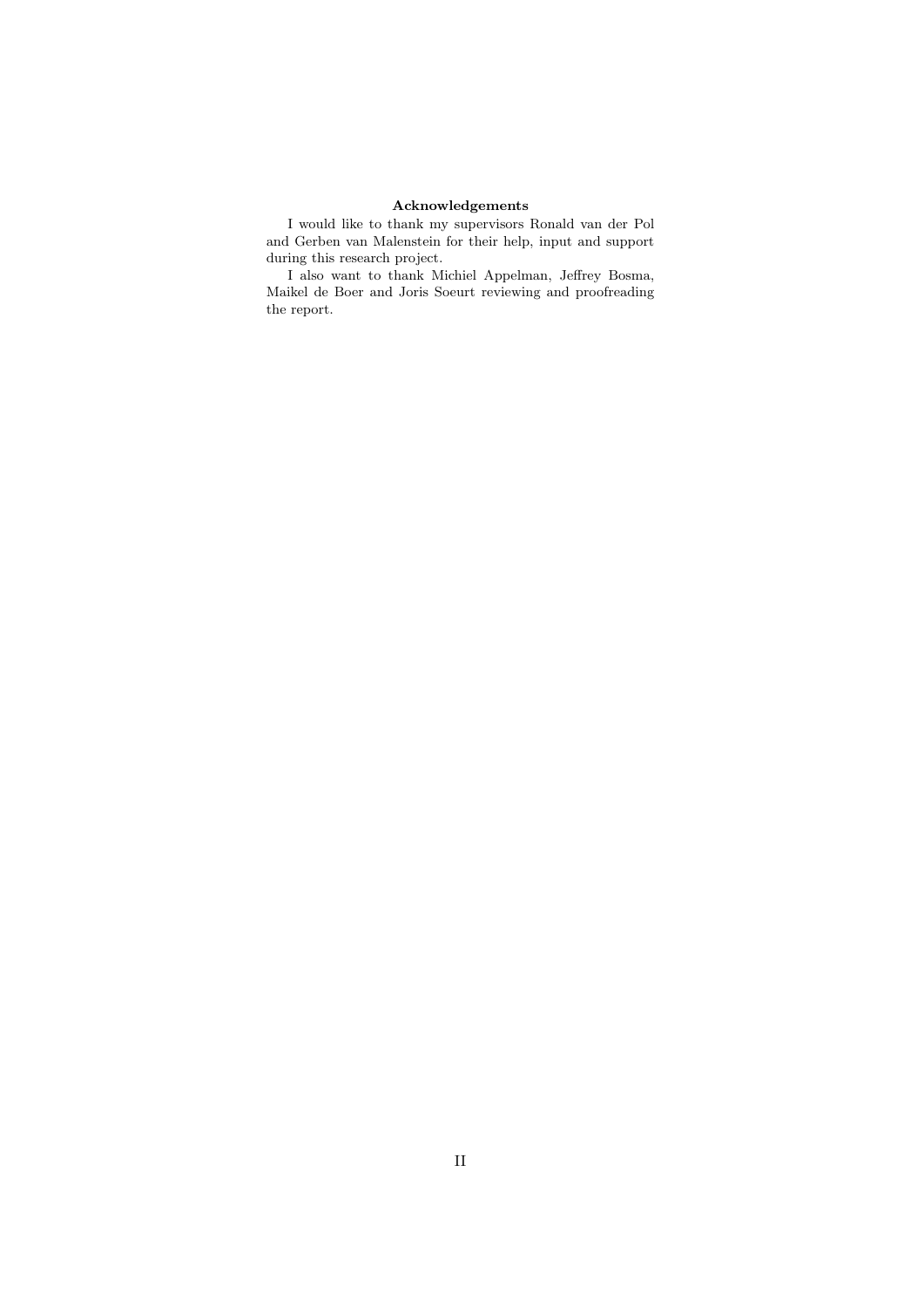# Acknowledgements

I would like to thank my supervisors Ronald van der Pol and Gerben van Malenstein for their help, input and support during this research project.

I also want to thank Michiel Appelman, Jeffrey Bosma, Maikel de Boer and Joris Soeurt reviewing and proofreading the report.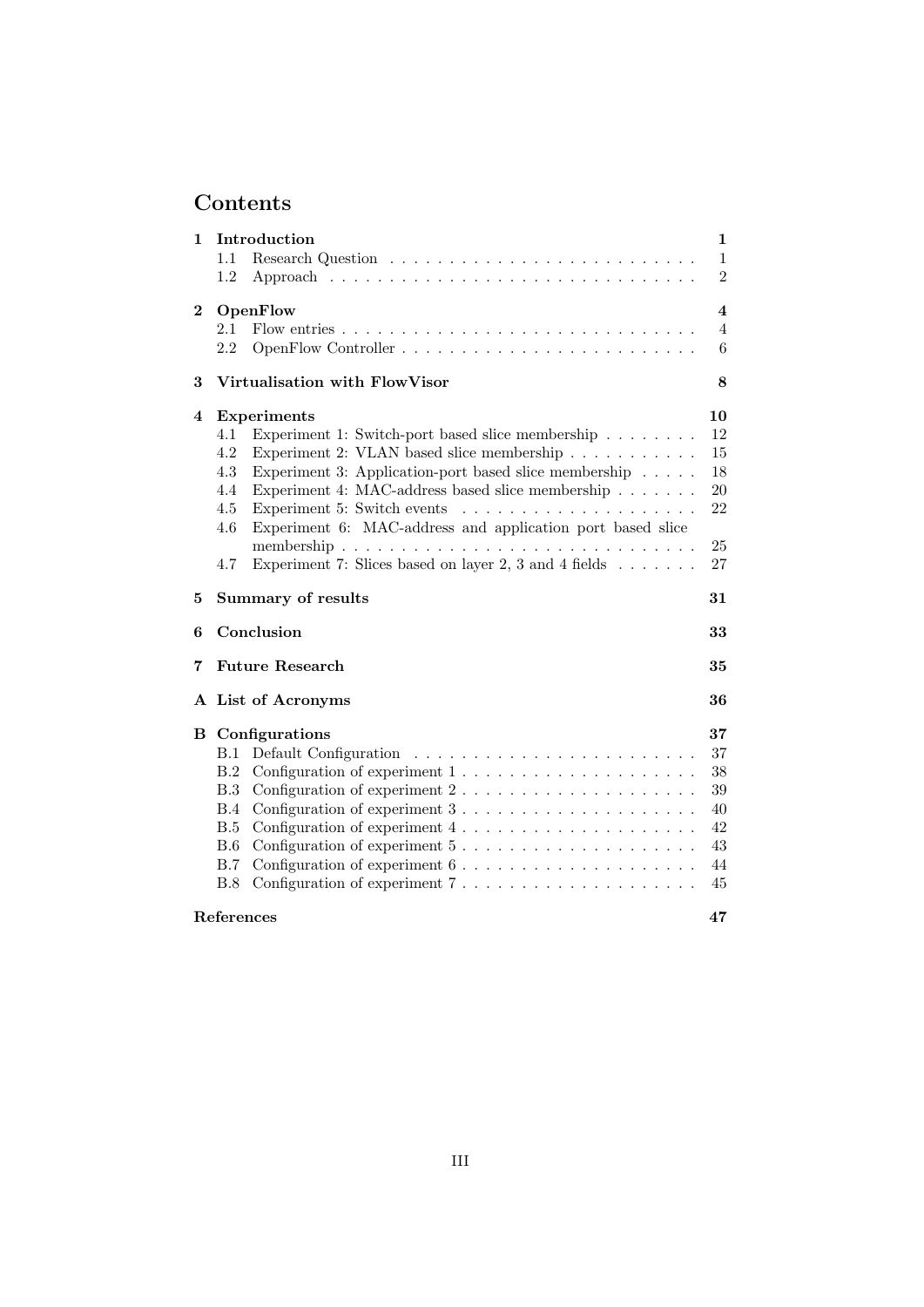# Contents

| 1        | Introduction                                                                                                                                                                                                                                                                                                                                                                                                                                                                                      | $\mathbf 1$             |
|----------|---------------------------------------------------------------------------------------------------------------------------------------------------------------------------------------------------------------------------------------------------------------------------------------------------------------------------------------------------------------------------------------------------------------------------------------------------------------------------------------------------|-------------------------|
|          | 1.1                                                                                                                                                                                                                                                                                                                                                                                                                                                                                               | $\mathbf{1}$            |
|          | 1.2                                                                                                                                                                                                                                                                                                                                                                                                                                                                                               | $\overline{2}$          |
| $\bf{2}$ | OpenFlow                                                                                                                                                                                                                                                                                                                                                                                                                                                                                          | $\overline{\mathbf{4}}$ |
|          | 2.1                                                                                                                                                                                                                                                                                                                                                                                                                                                                                               | $\overline{4}$          |
|          | 2.2                                                                                                                                                                                                                                                                                                                                                                                                                                                                                               | 6                       |
| 3        | Virtualisation with FlowVisor                                                                                                                                                                                                                                                                                                                                                                                                                                                                     | 8                       |
| 4        | <b>Experiments</b>                                                                                                                                                                                                                                                                                                                                                                                                                                                                                | 10                      |
|          | 4.1<br>Experiment 1: Switch-port based slice membership                                                                                                                                                                                                                                                                                                                                                                                                                                           | 12                      |
|          | 4.2<br>Experiment 2: VLAN based slice membership                                                                                                                                                                                                                                                                                                                                                                                                                                                  | 15                      |
|          | 4.3<br>Experiment 3: Application-port based slice membership                                                                                                                                                                                                                                                                                                                                                                                                                                      | 18                      |
|          | Experiment 4: MAC-address based slice membership<br>4.4                                                                                                                                                                                                                                                                                                                                                                                                                                           | 20                      |
|          | Experiment 5: Switch events<br>4.5<br>$\mathcal{L}(\mathcal{L}(\mathcal{L},\mathcal{L},\mathcal{L},\mathcal{L},\mathcal{L},\mathcal{L},\mathcal{L},\mathcal{L},\mathcal{L},\mathcal{L},\mathcal{L},\mathcal{L},\mathcal{L},\mathcal{L},\mathcal{L},\mathcal{L},\mathcal{L},\mathcal{L},\mathcal{L},\mathcal{L},\mathcal{L},\mathcal{L},\mathcal{L},\mathcal{L},\mathcal{L},\mathcal{L},\mathcal{L},\mathcal{L},\mathcal{L},\mathcal{L},\mathcal{L},\mathcal{L},\mathcal{L},\mathcal{L},\mathcal{$ | 22                      |
|          | Experiment 6: MAC-address and application port based slice<br>4.6                                                                                                                                                                                                                                                                                                                                                                                                                                 |                         |
|          |                                                                                                                                                                                                                                                                                                                                                                                                                                                                                                   | 25                      |
|          | Experiment 7: Slices based on layer 2, 3 and 4 fields $\ldots \ldots$<br>4.7                                                                                                                                                                                                                                                                                                                                                                                                                      | 27                      |
| 5        | <b>Summary of results</b>                                                                                                                                                                                                                                                                                                                                                                                                                                                                         | 31                      |
| 6        | Conclusion                                                                                                                                                                                                                                                                                                                                                                                                                                                                                        | 33                      |
| 7        | <b>Future Research</b>                                                                                                                                                                                                                                                                                                                                                                                                                                                                            | 35                      |
|          | A List of Acronyms                                                                                                                                                                                                                                                                                                                                                                                                                                                                                | 36                      |
| в        | Configurations                                                                                                                                                                                                                                                                                                                                                                                                                                                                                    | 37                      |
|          | B.1                                                                                                                                                                                                                                                                                                                                                                                                                                                                                               | 37                      |
|          | B.2                                                                                                                                                                                                                                                                                                                                                                                                                                                                                               | 38                      |
|          | Configuration of experiment $2 \ldots \ldots \ldots \ldots \ldots \ldots \ldots$<br>B.3                                                                                                                                                                                                                                                                                                                                                                                                           | 39                      |
|          | B.4                                                                                                                                                                                                                                                                                                                                                                                                                                                                                               | 40                      |
|          | B.5<br>Configuration of experiment $4 \ldots \ldots \ldots \ldots \ldots \ldots$                                                                                                                                                                                                                                                                                                                                                                                                                  | 42                      |
|          | B.6<br>Configuration of experiment $5 \ldots \ldots \ldots \ldots \ldots \ldots$                                                                                                                                                                                                                                                                                                                                                                                                                  | 43                      |
|          | B.7<br>Configuration of experiment $6 \ldots \ldots \ldots \ldots \ldots \ldots$                                                                                                                                                                                                                                                                                                                                                                                                                  | 44                      |
|          | Configuration of experiment $7 \ldots \ldots \ldots \ldots \ldots \ldots$<br>B.8                                                                                                                                                                                                                                                                                                                                                                                                                  | 45                      |
|          | References                                                                                                                                                                                                                                                                                                                                                                                                                                                                                        | 47                      |
|          |                                                                                                                                                                                                                                                                                                                                                                                                                                                                                                   |                         |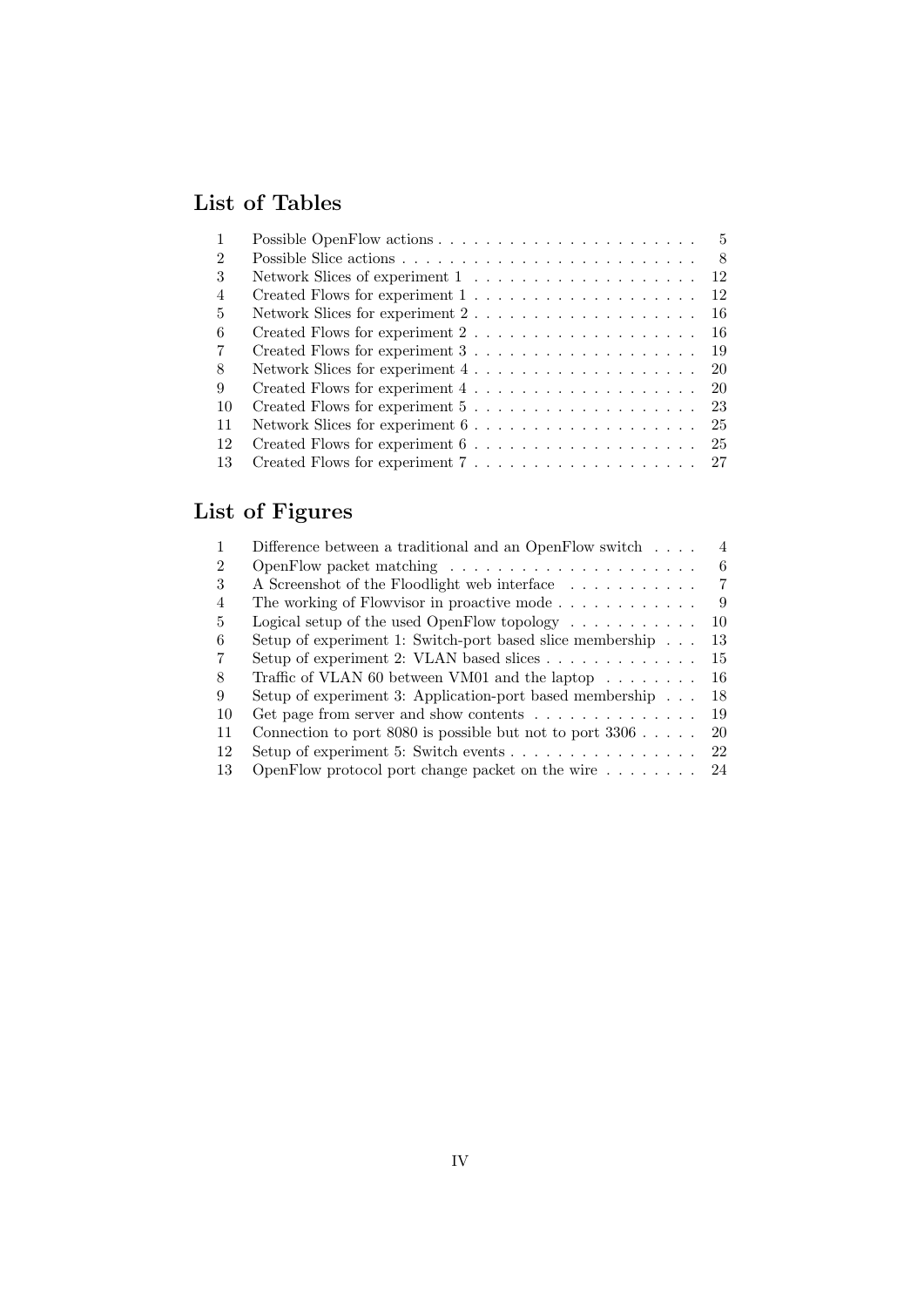# List of Tables

|                | - 5                                                                                |
|----------------|------------------------------------------------------------------------------------|
| 2              | - 8                                                                                |
| 3              | Network Slices of experiment $1 \ldots \ldots \ldots \ldots \ldots \ldots$<br>-12  |
| $\overline{4}$ | 12                                                                                 |
| 5              | Network Slices for experiment $2 \ldots \ldots \ldots \ldots \ldots \ldots$<br>-16 |
| 6              | Created Flows for experiment $2 \ldots \ldots \ldots \ldots \ldots \ldots$<br>-16  |
| 7              | Created Flows for experiment $3 \ldots \ldots \ldots \ldots \ldots$<br>19          |
| 8              | Network Slices for experiment $4 \ldots \ldots \ldots \ldots \ldots$<br>-20        |
| 9              | -20                                                                                |
| 10             | 23                                                                                 |
| 11             | Network Slices for experiment $6 \ldots \ldots \ldots \ldots \ldots$<br>25         |
| 12             | -25                                                                                |
| 13             |                                                                                    |

# List of Figures

|    | Difference between a traditional and an OpenFlow switch $\dots$      | 4  |
|----|----------------------------------------------------------------------|----|
| 2  |                                                                      | 6  |
| 3  | A Screenshot of the Floodlight web interface                         | 7  |
| 4  |                                                                      | 9  |
| 5  | Logical setup of the used OpenFlow topology $\dots \dots \dots$      | 10 |
| 6  | Setup of experiment 1: Switch-port based slice membership            | 13 |
|    | Setup of experiment 2: VLAN based slices                             | 15 |
| 8  | Traffic of VLAN 60 between VM01 and the laptop $\dots \dots$         | 16 |
| 9  | Setup of experiment 3: Application-port based membership $\ldots$    | 18 |
| 10 | Get page from server and show contents $\dots \dots \dots \dots$     | 19 |
| 11 | Connection to port 8080 is possible but not to port $3306$ .         | 20 |
| 12 | Setup of experiment 5: Switch events $\dots \dots \dots \dots \dots$ | 22 |
| 13 | OpenFlow protocol port change packet on the wire $\dots \dots$       | 24 |
|    |                                                                      |    |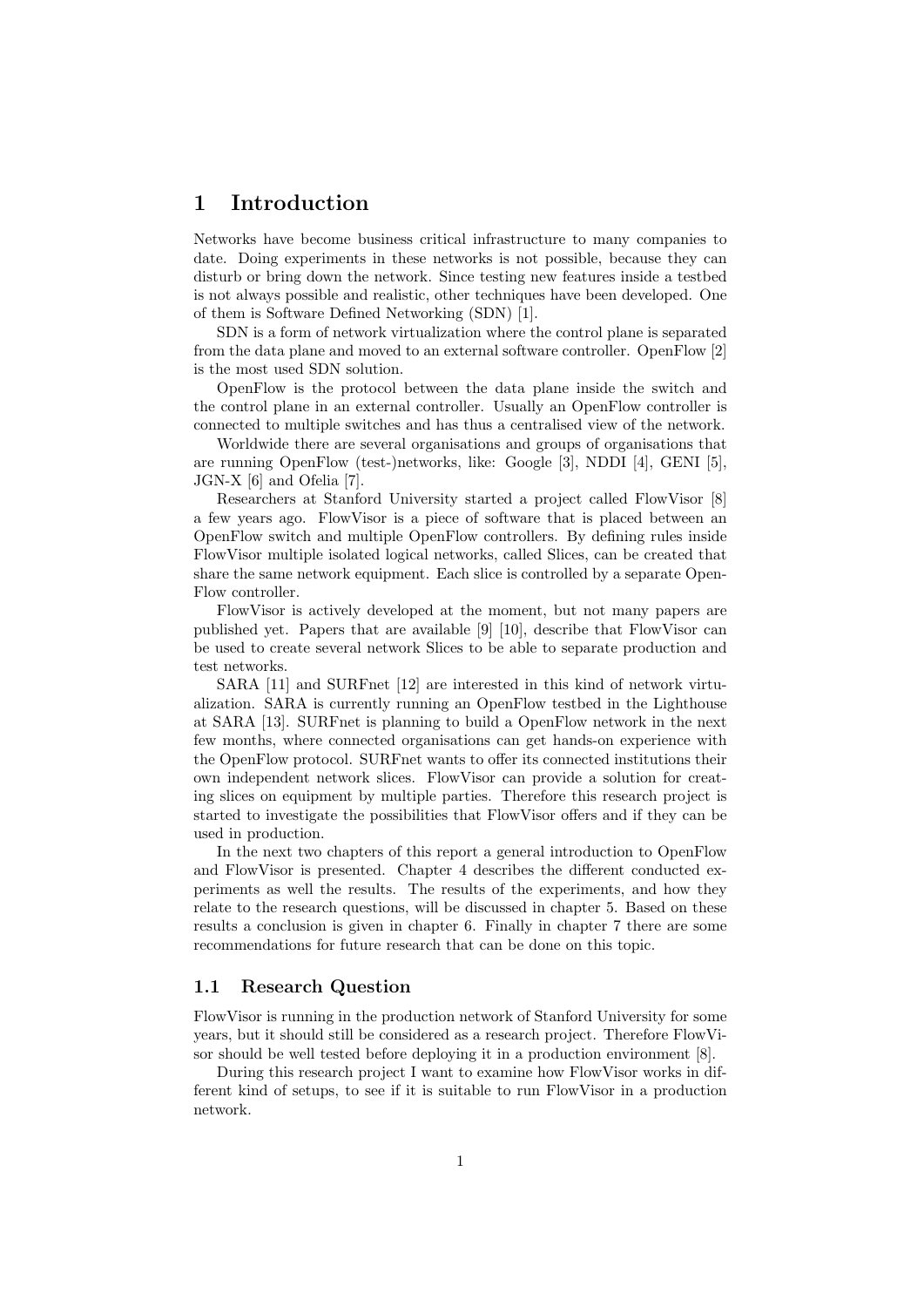# 1 Introduction

Networks have become business critical infrastructure to many companies to date. Doing experiments in these networks is not possible, because they can disturb or bring down the network. Since testing new features inside a testbed is not always possible and realistic, other techniques have been developed. One of them is Software Defined Networking (SDN) [1].

SDN is a form of network virtualization where the control plane is separated from the data plane and moved to an external software controller. OpenFlow [2] is the most used SDN solution.

OpenFlow is the protocol between the data plane inside the switch and the control plane in an external controller. Usually an OpenFlow controller is connected to multiple switches and has thus a centralised view of the network.

Worldwide there are several organisations and groups of organisations that are running OpenFlow (test-)networks, like: Google [3], NDDI [4], GENI [5], JGN-X [6] and Ofelia [7].

Researchers at Stanford University started a project called FlowVisor [8] a few years ago. FlowVisor is a piece of software that is placed between an OpenFlow switch and multiple OpenFlow controllers. By defining rules inside FlowVisor multiple isolated logical networks, called Slices, can be created that share the same network equipment. Each slice is controlled by a separate Open-Flow controller.

FlowVisor is actively developed at the moment, but not many papers are published yet. Papers that are available [9] [10], describe that FlowVisor can be used to create several network Slices to be able to separate production and test networks.

SARA [11] and SURFnet [12] are interested in this kind of network virtualization. SARA is currently running an OpenFlow testbed in the Lighthouse at SARA [13]. SURFnet is planning to build a OpenFlow network in the next few months, where connected organisations can get hands-on experience with the OpenFlow protocol. SURFnet wants to offer its connected institutions their own independent network slices. FlowVisor can provide a solution for creating slices on equipment by multiple parties. Therefore this research project is started to investigate the possibilities that FlowVisor offers and if they can be used in production.

In the next two chapters of this report a general introduction to OpenFlow and FlowVisor is presented. Chapter 4 describes the different conducted experiments as well the results. The results of the experiments, and how they relate to the research questions, will be discussed in chapter 5. Based on these results a conclusion is given in chapter 6. Finally in chapter 7 there are some recommendations for future research that can be done on this topic.

# 1.1 Research Question

FlowVisor is running in the production network of Stanford University for some years, but it should still be considered as a research project. Therefore FlowVisor should be well tested before deploying it in a production environment [8].

During this research project I want to examine how FlowVisor works in different kind of setups, to see if it is suitable to run FlowVisor in a production network.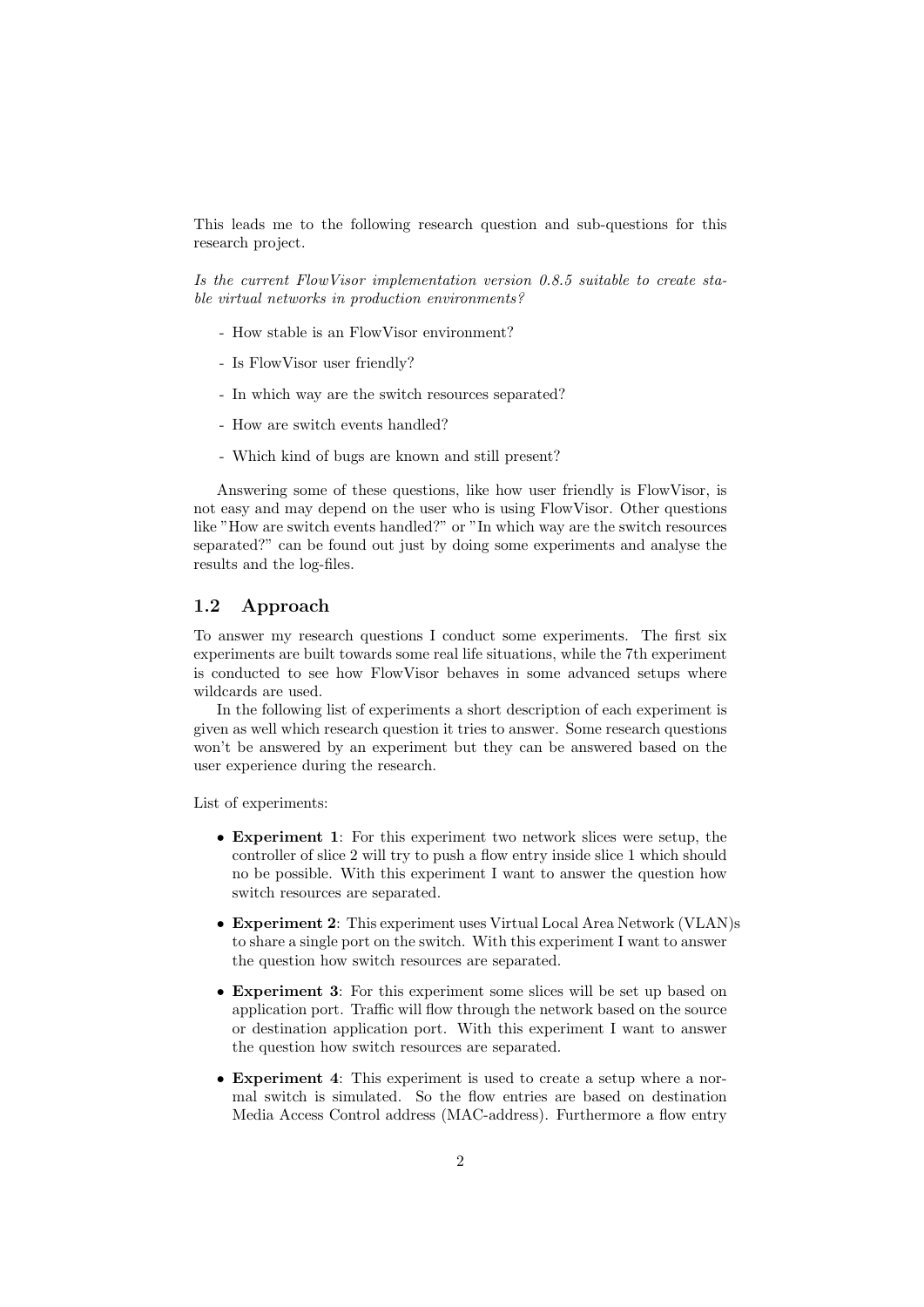This leads me to the following research question and sub-questions for this research project.

Is the current FlowVisor implementation version 0.8.5 suitable to create stable virtual networks in production environments?

- How stable is an FlowVisor environment?
- Is FlowVisor user friendly?
- In which way are the switch resources separated?
- How are switch events handled?
- Which kind of bugs are known and still present?

Answering some of these questions, like how user friendly is FlowVisor, is not easy and may depend on the user who is using FlowVisor. Other questions like "How are switch events handled?" or "In which way are the switch resources separated?" can be found out just by doing some experiments and analyse the results and the log-files.

# 1.2 Approach

To answer my research questions I conduct some experiments. The first six experiments are built towards some real life situations, while the 7th experiment is conducted to see how FlowVisor behaves in some advanced setups where wildcards are used.

In the following list of experiments a short description of each experiment is given as well which research question it tries to answer. Some research questions won't be answered by an experiment but they can be answered based on the user experience during the research.

List of experiments:

- Experiment 1: For this experiment two network slices were setup, the controller of slice 2 will try to push a flow entry inside slice 1 which should no be possible. With this experiment I want to answer the question how switch resources are separated.
- Experiment 2: This experiment uses Virtual Local Area Network (VLAN)s to share a single port on the switch. With this experiment I want to answer the question how switch resources are separated.
- Experiment 3: For this experiment some slices will be set up based on application port. Traffic will flow through the network based on the source or destination application port. With this experiment I want to answer the question how switch resources are separated.
- Experiment 4: This experiment is used to create a setup where a normal switch is simulated. So the flow entries are based on destination Media Access Control address (MAC-address). Furthermore a flow entry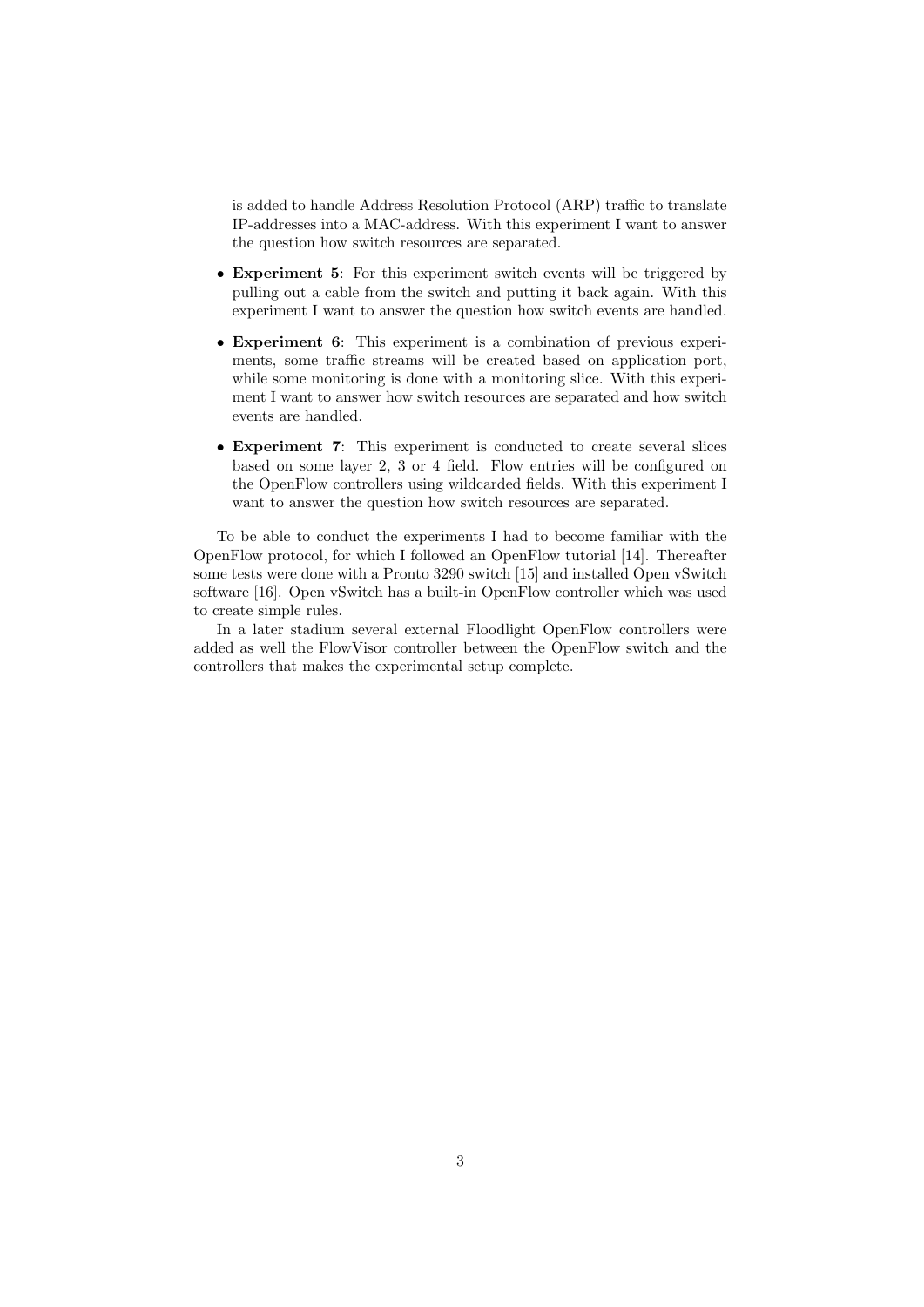is added to handle Address Resolution Protocol (ARP) traffic to translate IP-addresses into a MAC-address. With this experiment I want to answer the question how switch resources are separated.

- Experiment 5: For this experiment switch events will be triggered by pulling out a cable from the switch and putting it back again. With this experiment I want to answer the question how switch events are handled.
- Experiment 6: This experiment is a combination of previous experiments, some traffic streams will be created based on application port, while some monitoring is done with a monitoring slice. With this experiment I want to answer how switch resources are separated and how switch events are handled.
- Experiment 7: This experiment is conducted to create several slices based on some layer 2, 3 or 4 field. Flow entries will be configured on the OpenFlow controllers using wildcarded fields. With this experiment I want to answer the question how switch resources are separated.

To be able to conduct the experiments I had to become familiar with the OpenFlow protocol, for which I followed an OpenFlow tutorial [14]. Thereafter some tests were done with a Pronto 3290 switch [15] and installed Open vSwitch software [16]. Open vSwitch has a built-in OpenFlow controller which was used to create simple rules.

In a later stadium several external Floodlight OpenFlow controllers were added as well the FlowVisor controller between the OpenFlow switch and the controllers that makes the experimental setup complete.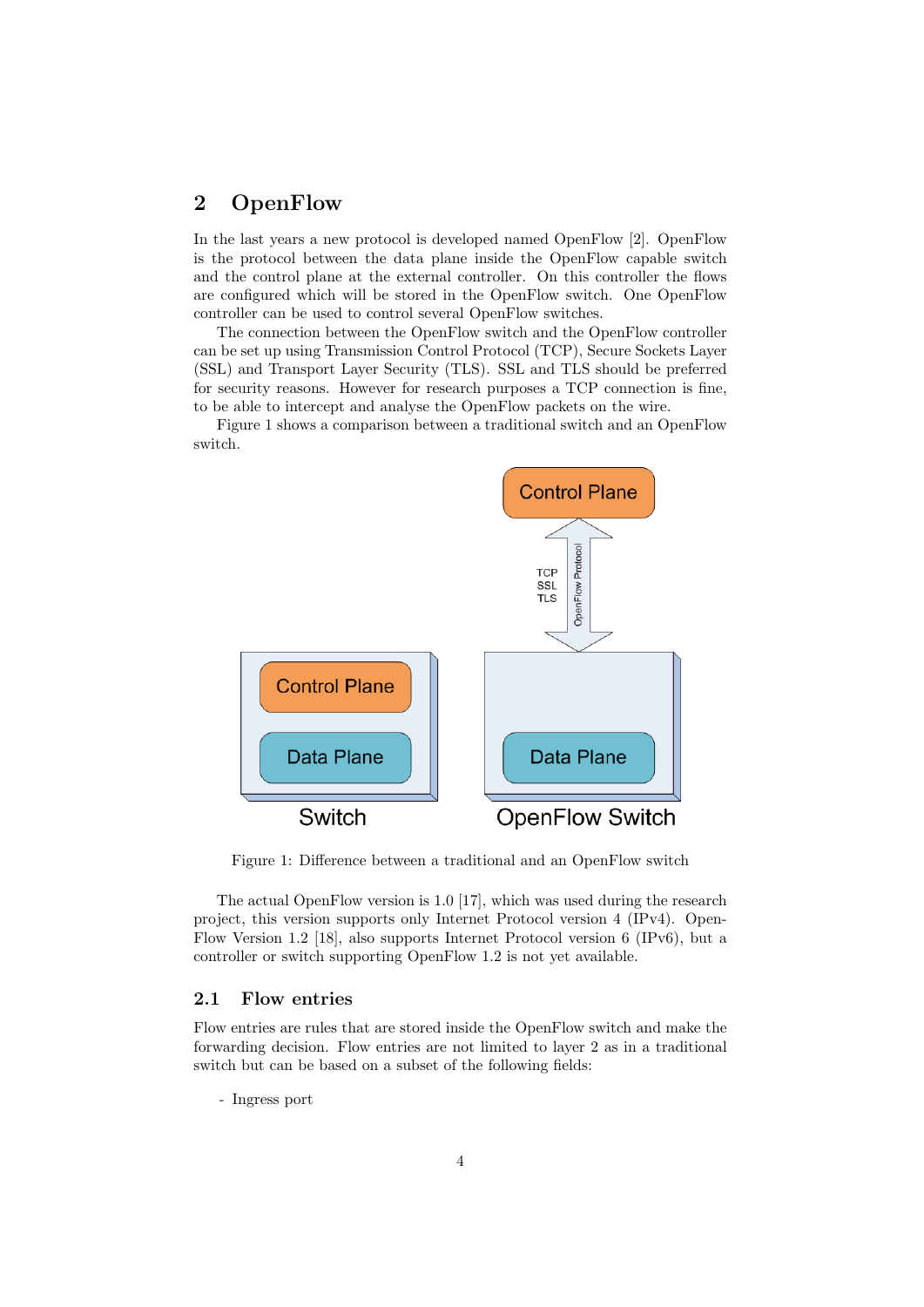# 2 OpenFlow

In the last years a new protocol is developed named OpenFlow [2]. OpenFlow is the protocol between the data plane inside the OpenFlow capable switch and the control plane at the external controller. On this controller the flows are configured which will be stored in the OpenFlow switch. One OpenFlow controller can be used to control several OpenFlow switches.

The connection between the OpenFlow switch and the OpenFlow controller can be set up using Transmission Control Protocol (TCP), Secure Sockets Layer (SSL) and Transport Layer Security (TLS). SSL and TLS should be preferred for security reasons. However for research purposes a TCP connection is fine, to be able to intercept and analyse the OpenFlow packets on the wire.

Figure 1 shows a comparison between a traditional switch and an OpenFlow switch.



Figure 1: Difference between a traditional and an OpenFlow switch

The actual OpenFlow version is 1.0 [17], which was used during the research project, this version supports only Internet Protocol version 4 (IPv4). Open-Flow Version 1.2 [18], also supports Internet Protocol version 6 (IPv6), but a controller or switch supporting OpenFlow 1.2 is not yet available.

# 2.1 Flow entries

Flow entries are rules that are stored inside the OpenFlow switch and make the forwarding decision. Flow entries are not limited to layer 2 as in a traditional switch but can be based on a subset of the following fields:

- Ingress port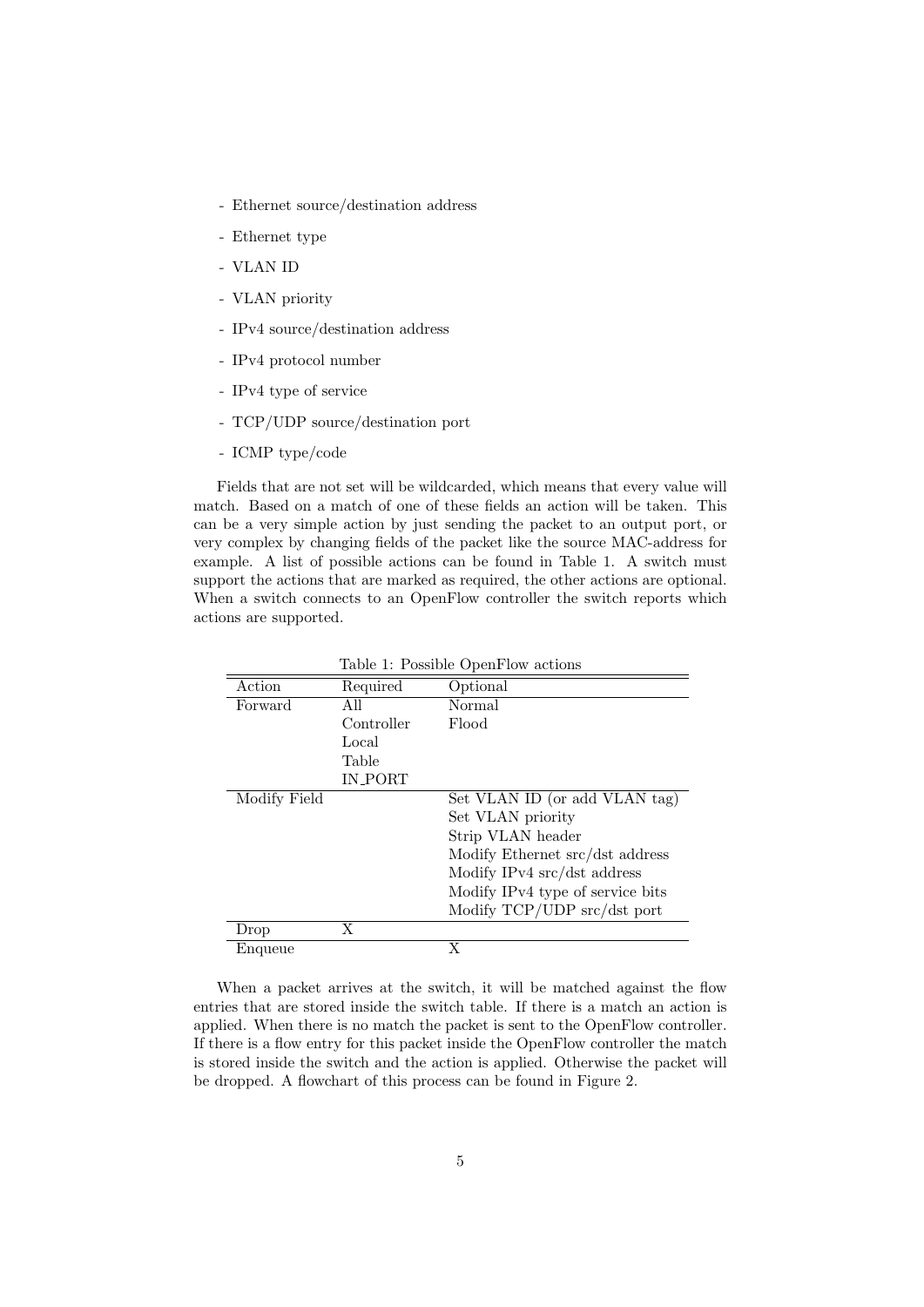- Ethernet source/destination address
- Ethernet type
- VLAN ID
- VLAN priority
- IPv4 source/destination address
- IPv4 protocol number
- IPv4 type of service
- TCP/UDP source/destination port
- ICMP type/code

Fields that are not set will be wildcarded, which means that every value will match. Based on a match of one of these fields an action will be taken. This can be a very simple action by just sending the packet to an output port, or very complex by changing fields of the packet like the source MAC-address for example. A list of possible actions can be found in Table 1. A switch must support the actions that are marked as required, the other actions are optional. When a switch connects to an OpenFlow controller the switch reports which actions are supported.

| Table 1: Possible OpenFlow actions |            |                                  |  |  |  |  |  |  |
|------------------------------------|------------|----------------------------------|--|--|--|--|--|--|
| Action                             | Required   | Optional                         |  |  |  |  |  |  |
| Forward                            | All        | Normal                           |  |  |  |  |  |  |
|                                    | Controller | Flood                            |  |  |  |  |  |  |
|                                    | Local      |                                  |  |  |  |  |  |  |
|                                    | Table      |                                  |  |  |  |  |  |  |
|                                    | IN_PORT    |                                  |  |  |  |  |  |  |
| Modify Field                       |            | Set VLAN ID (or add VLAN tag)    |  |  |  |  |  |  |
|                                    |            | Set VLAN priority                |  |  |  |  |  |  |
|                                    |            | Strip VLAN header                |  |  |  |  |  |  |
|                                    |            | Modify Ethernet src/dst address  |  |  |  |  |  |  |
|                                    |            | Modify IPv4 src/dst address      |  |  |  |  |  |  |
|                                    |            | Modify IPv4 type of service bits |  |  |  |  |  |  |
|                                    |            | Modify TCP/UDP src/dst port      |  |  |  |  |  |  |
| Drop                               | X          |                                  |  |  |  |  |  |  |
| Enqueue                            |            | X                                |  |  |  |  |  |  |

When a packet arrives at the switch, it will be matched against the flow entries that are stored inside the switch table. If there is a match an action is applied. When there is no match the packet is sent to the OpenFlow controller. If there is a flow entry for this packet inside the OpenFlow controller the match is stored inside the switch and the action is applied. Otherwise the packet will be dropped. A flowchart of this process can be found in Figure 2.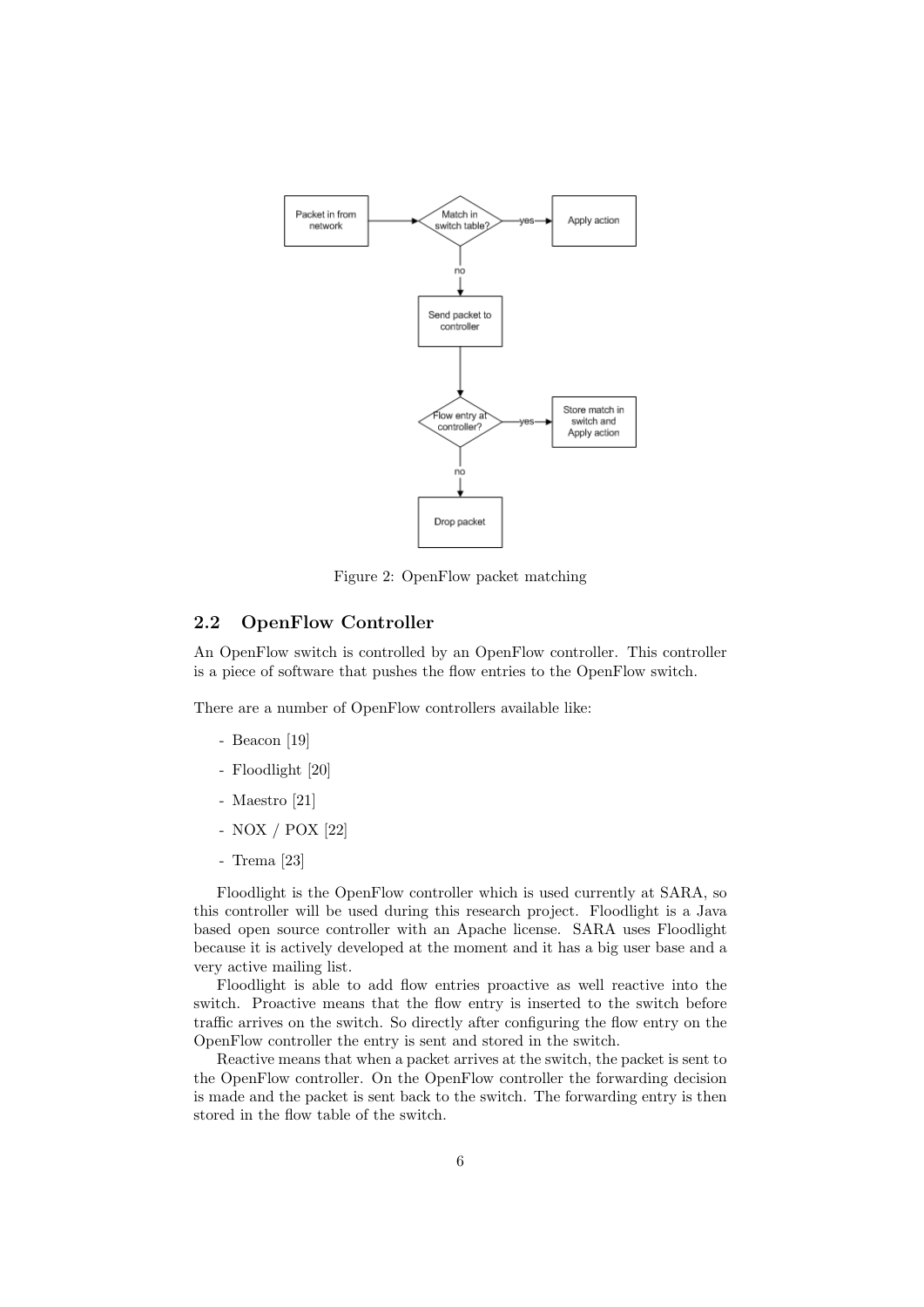

Figure 2: OpenFlow packet matching

# 2.2 OpenFlow Controller

An OpenFlow switch is controlled by an OpenFlow controller. This controller is a piece of software that pushes the flow entries to the OpenFlow switch.

There are a number of OpenFlow controllers available like:

- Beacon [19]
- Floodlight [20]
- Maestro [21]
- NOX / POX [22]
- Trema [23]

Floodlight is the OpenFlow controller which is used currently at SARA, so this controller will be used during this research project. Floodlight is a Java based open source controller with an Apache license. SARA uses Floodlight because it is actively developed at the moment and it has a big user base and a very active mailing list.

Floodlight is able to add flow entries proactive as well reactive into the switch. Proactive means that the flow entry is inserted to the switch before traffic arrives on the switch. So directly after configuring the flow entry on the OpenFlow controller the entry is sent and stored in the switch.

Reactive means that when a packet arrives at the switch, the packet is sent to the OpenFlow controller. On the OpenFlow controller the forwarding decision is made and the packet is sent back to the switch. The forwarding entry is then stored in the flow table of the switch.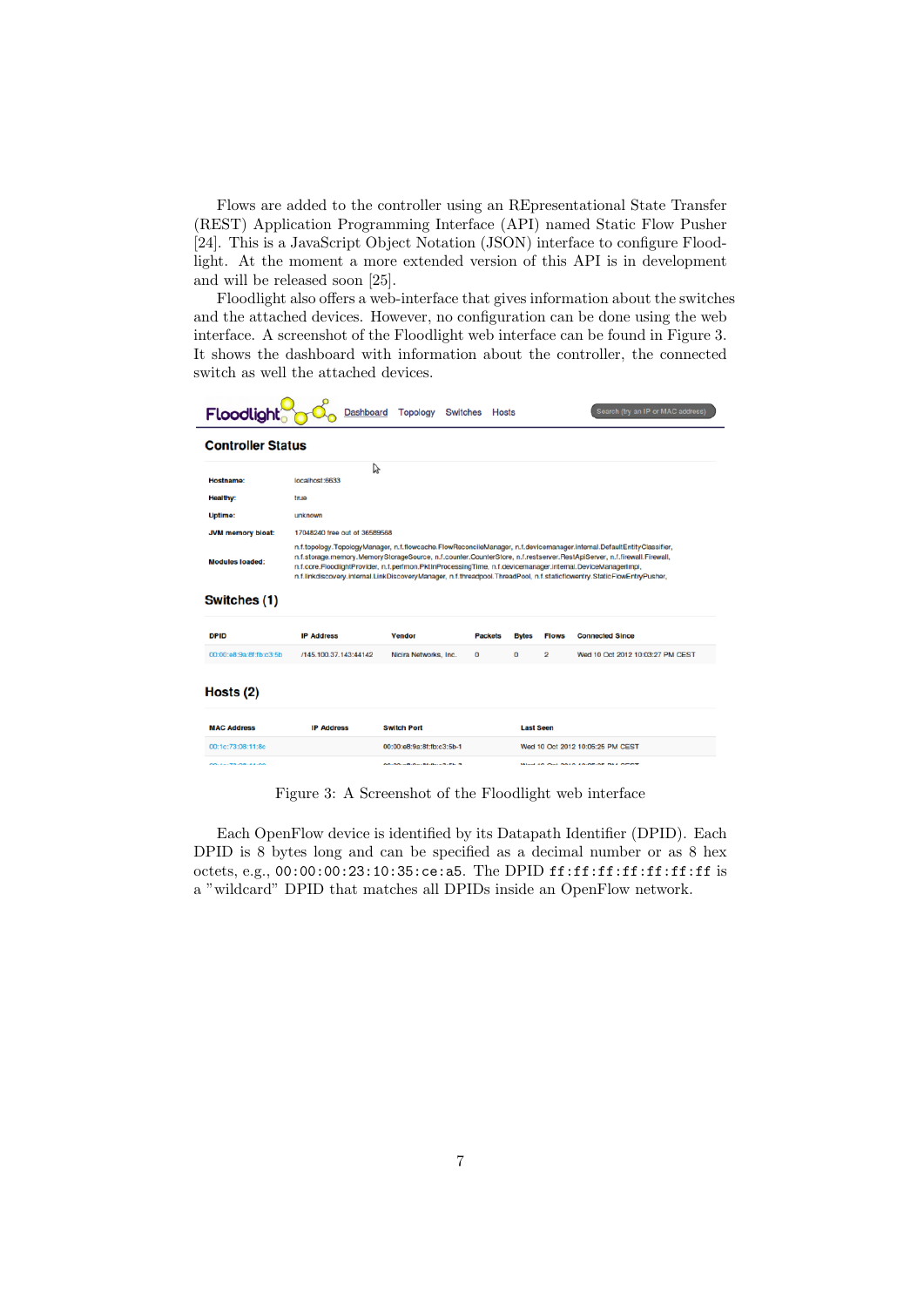Flows are added to the controller using an REpresentational State Transfer (REST) Application Programming Interface (API) named Static Flow Pusher [24]. This is a JavaScript Object Notation (JSON) interface to configure Floodlight. At the moment a more extended version of this API is in development and will be released soon [25].

Floodlight also offers a web-interface that gives information about the switches and the attached devices. However, no configuration can be done using the web interface. A screenshot of the Floodlight web interface can be found in Figure 3. It shows the dashboard with information about the controller, the connected switch as well the attached devices.

 $\overline{a}$ 

| <b>Floodlight</b>        | Dashboard                                                                                                                                                                                                                                                                                                                                                                                                                                                                                | <b>Topology</b><br><b>Switches</b> | <b>Hosts</b>                      |                  |              | Search (try an IP or MAC address) |  |  |  |  |  |
|--------------------------|------------------------------------------------------------------------------------------------------------------------------------------------------------------------------------------------------------------------------------------------------------------------------------------------------------------------------------------------------------------------------------------------------------------------------------------------------------------------------------------|------------------------------------|-----------------------------------|------------------|--------------|-----------------------------------|--|--|--|--|--|
| <b>Controller Status</b> |                                                                                                                                                                                                                                                                                                                                                                                                                                                                                          |                                    |                                   |                  |              |                                   |  |  |  |  |  |
| Hostname:                | じ<br>localhost:6633                                                                                                                                                                                                                                                                                                                                                                                                                                                                      |                                    |                                   |                  |              |                                   |  |  |  |  |  |
| <b>Healthy:</b>          | true                                                                                                                                                                                                                                                                                                                                                                                                                                                                                     |                                    |                                   |                  |              |                                   |  |  |  |  |  |
| <b>Uptime:</b>           | unknown                                                                                                                                                                                                                                                                                                                                                                                                                                                                                  |                                    |                                   |                  |              |                                   |  |  |  |  |  |
| <b>JVM memory bloat:</b> |                                                                                                                                                                                                                                                                                                                                                                                                                                                                                          | 17048240 free out of 36589568      |                                   |                  |              |                                   |  |  |  |  |  |
| <b>Modules loaded:</b>   | n.f.topology.TopologyManager, n.f.flowcache.FlowReconcileManager, n.f.devicemanager.internal.DefaultEntityClassifier,<br>n.f.storage.memory.MemoryStorageSource, n.f.counter.CounterStore, n.f.restserver.RestApiServer, n.f.firewall.Firewall,<br>n.f.core.FloodlightProvider, n.f.perfmon.PktInProcessingTime, n.f.devicemanager.internal.DeviceManagerImpl,<br>n.f.linkdiscovery.internal.LinkDiscoveryManager, n.f.threadpool.ThreadPool, n.f.staticflowentry.StaticFlowEntryPusher, |                                    |                                   |                  |              |                                   |  |  |  |  |  |
| Switches (1)             |                                                                                                                                                                                                                                                                                                                                                                                                                                                                                          |                                    |                                   |                  |              |                                   |  |  |  |  |  |
| <b>DPID</b>              | <b>IP Address</b>                                                                                                                                                                                                                                                                                                                                                                                                                                                                        | <b>Vendor</b>                      | <b>Packets</b>                    | <b>Bytes</b>     | <b>Flows</b> | <b>Connected Since</b>            |  |  |  |  |  |
| 00:00:e8:9a:8f:fb:c3:5b  | /145.100.37.143:44142                                                                                                                                                                                                                                                                                                                                                                                                                                                                    | Nicira Networks, Inc.              | 0                                 | 0                | 2            | Wed 10 Oct 2012 10:03:27 PM CEST  |  |  |  |  |  |
| Hosts $(2)$              |                                                                                                                                                                                                                                                                                                                                                                                                                                                                                          |                                    |                                   |                  |              |                                   |  |  |  |  |  |
| <b>MAC Address</b>       | <b>IP Address</b>                                                                                                                                                                                                                                                                                                                                                                                                                                                                        | <b>Switch Port</b>                 |                                   | <b>Last Seen</b> |              |                                   |  |  |  |  |  |
| 00:1c:73:08:11:8c        |                                                                                                                                                                                                                                                                                                                                                                                                                                                                                          | 00:00:e8:9a:8f:fb:c3:5b-1          |                                   |                  |              | Wed 10 Oct 2012 10:05:25 PM CEST  |  |  |  |  |  |
| 0011112010111101         |                                                                                                                                                                                                                                                                                                                                                                                                                                                                                          | 00:00 - 0-0-01-01-0-0-0-0-0        | Mod 10 Oct 0010 10:05:05 PM OF 0T |                  |              |                                   |  |  |  |  |  |

Figure 3: A Screenshot of the Floodlight web interface

Each OpenFlow device is identified by its Datapath Identifier (DPID). Each DPID is 8 bytes long and can be specified as a decimal number or as 8 hex octets, e.g., 00:00:00:23:10:35:ce:a5. The DPID ff:ff:ff:ff:ff:ff:ff is a "wildcard" DPID that matches all DPIDs inside an OpenFlow network.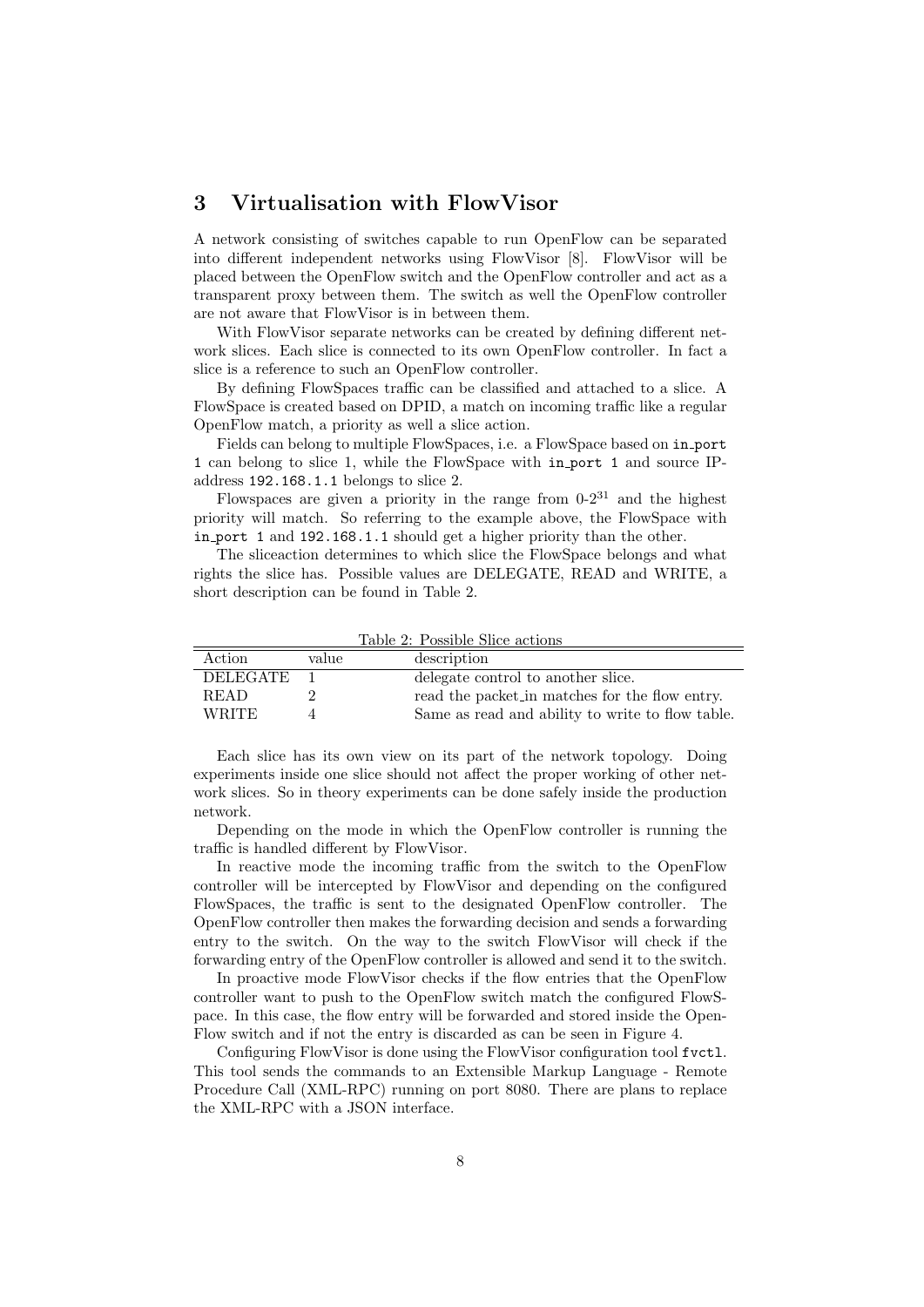# 3 Virtualisation with FlowVisor

A network consisting of switches capable to run OpenFlow can be separated into different independent networks using FlowVisor [8]. FlowVisor will be placed between the OpenFlow switch and the OpenFlow controller and act as a transparent proxy between them. The switch as well the OpenFlow controller are not aware that FlowVisor is in between them.

With FlowVisor separate networks can be created by defining different network slices. Each slice is connected to its own OpenFlow controller. In fact a slice is a reference to such an OpenFlow controller.

By defining FlowSpaces traffic can be classified and attached to a slice. A FlowSpace is created based on DPID, a match on incoming traffic like a regular OpenFlow match, a priority as well a slice action.

Fields can belong to multiple FlowSpaces, i.e. a FlowSpace based on in port 1 can belong to slice 1, while the FlowSpace with in port 1 and source IPaddress 192.168.1.1 belongs to slice 2.

Flowspaces are given a priority in the range from  $0-2^{31}$  and the highest priority will match. So referring to the example above, the FlowSpace with in port 1 and 192.168.1.1 should get a higher priority than the other.

The sliceaction determines to which slice the FlowSpace belongs and what rights the slice has. Possible values are DELEGATE, READ and WRITE, a short description can be found in Table 2.

Action value description DELEGATE 1 delegate control to another slice. READ 2 read the packet in matches for the flow entry.

WRITE 4 Same as read and ability to write to flow table.

Table 2: Possible Slice actions

Each slice has its own view on its part of the network topology. Doing experiments inside one slice should not affect the proper working of other network slices. So in theory experiments can be done safely inside the production network.

Depending on the mode in which the OpenFlow controller is running the traffic is handled different by FlowVisor.

In reactive mode the incoming traffic from the switch to the OpenFlow controller will be intercepted by FlowVisor and depending on the configured FlowSpaces, the traffic is sent to the designated OpenFlow controller. The OpenFlow controller then makes the forwarding decision and sends a forwarding entry to the switch. On the way to the switch FlowVisor will check if the forwarding entry of the OpenFlow controller is allowed and send it to the switch.

In proactive mode FlowVisor checks if the flow entries that the OpenFlow controller want to push to the OpenFlow switch match the configured FlowSpace. In this case, the flow entry will be forwarded and stored inside the Open-Flow switch and if not the entry is discarded as can be seen in Figure 4.

Configuring FlowVisor is done using the FlowVisor configuration tool fvctl. This tool sends the commands to an Extensible Markup Language - Remote Procedure Call (XML-RPC) running on port 8080. There are plans to replace the XML-RPC with a JSON interface.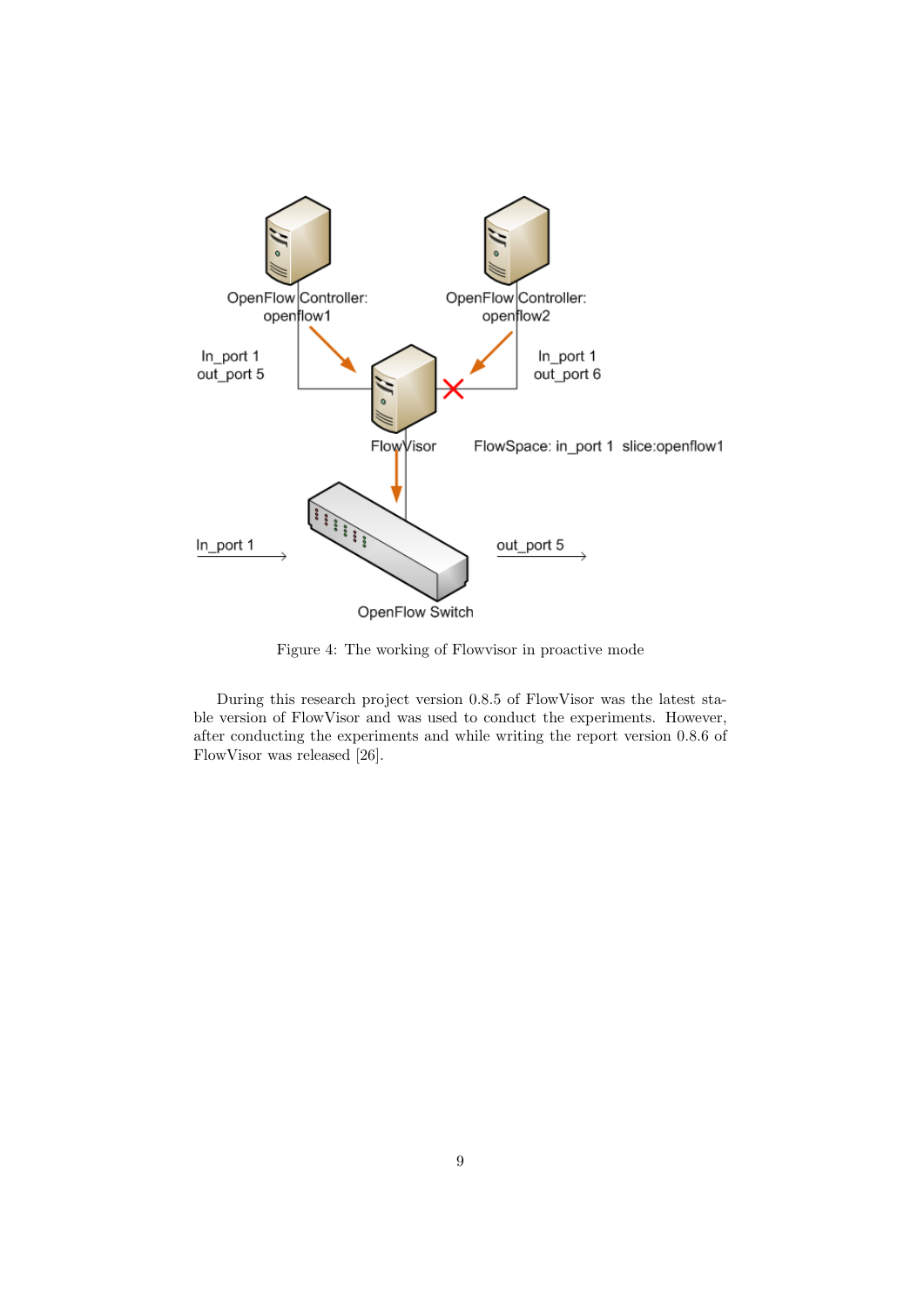

Figure 4: The working of Flowvisor in proactive mode

During this research project version 0.8.5 of FlowVisor was the latest stable version of FlowVisor and was used to conduct the experiments. However, after conducting the experiments and while writing the report version 0.8.6 of FlowVisor was released [26].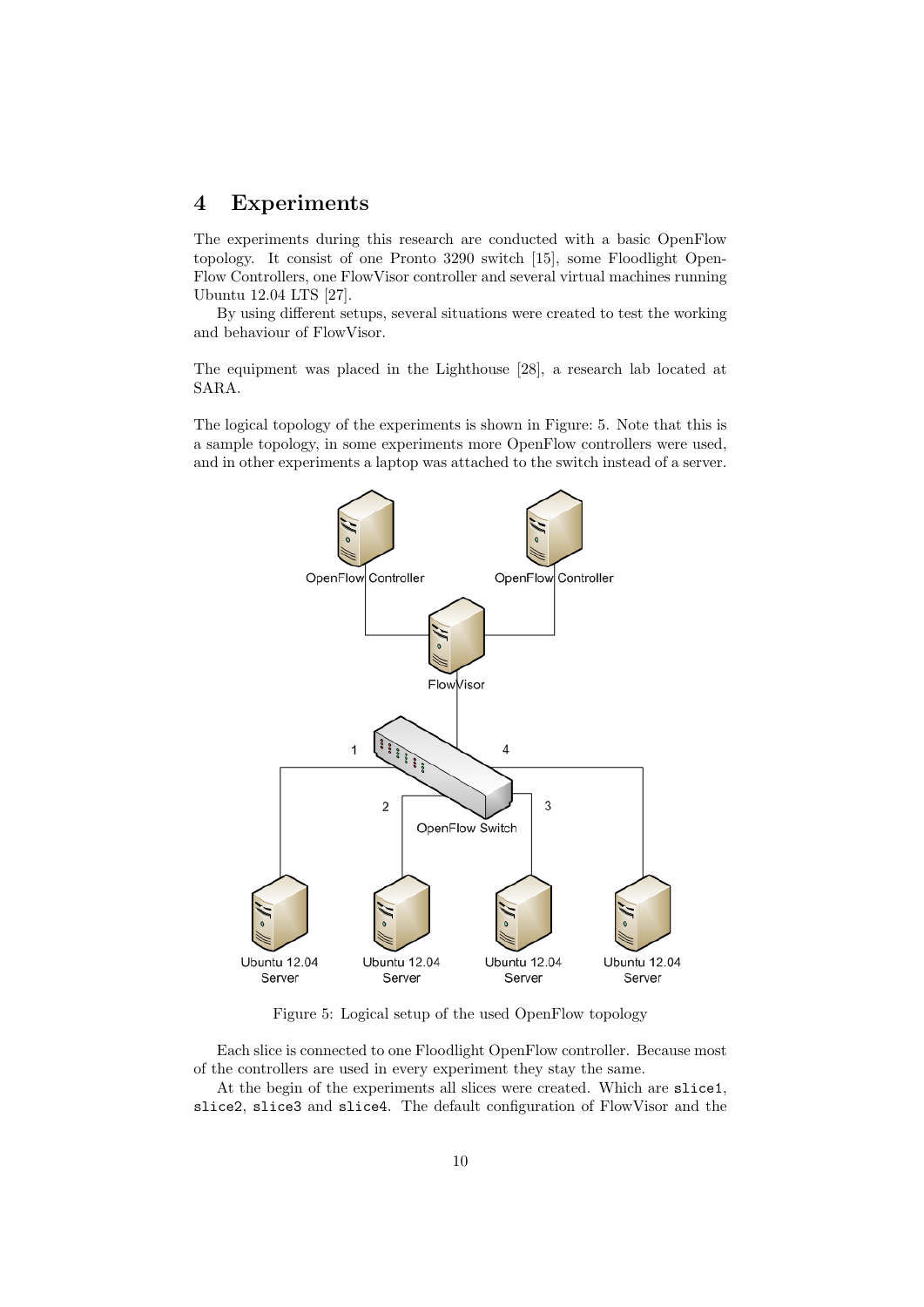# 4 Experiments

The experiments during this research are conducted with a basic OpenFlow topology. It consist of one Pronto 3290 switch [15], some Floodlight Open-Flow Controllers, one FlowVisor controller and several virtual machines running Ubuntu 12.04 LTS [27].

By using different setups, several situations were created to test the working and behaviour of FlowVisor.

The equipment was placed in the Lighthouse [28], a research lab located at SARA.

The logical topology of the experiments is shown in Figure: 5. Note that this is a sample topology, in some experiments more OpenFlow controllers were used, and in other experiments a laptop was attached to the switch instead of a server.



Figure 5: Logical setup of the used OpenFlow topology

Each slice is connected to one Floodlight OpenFlow controller. Because most of the controllers are used in every experiment they stay the same.

At the begin of the experiments all slices were created. Which are slice1, slice2, slice3 and slice4. The default configuration of FlowVisor and the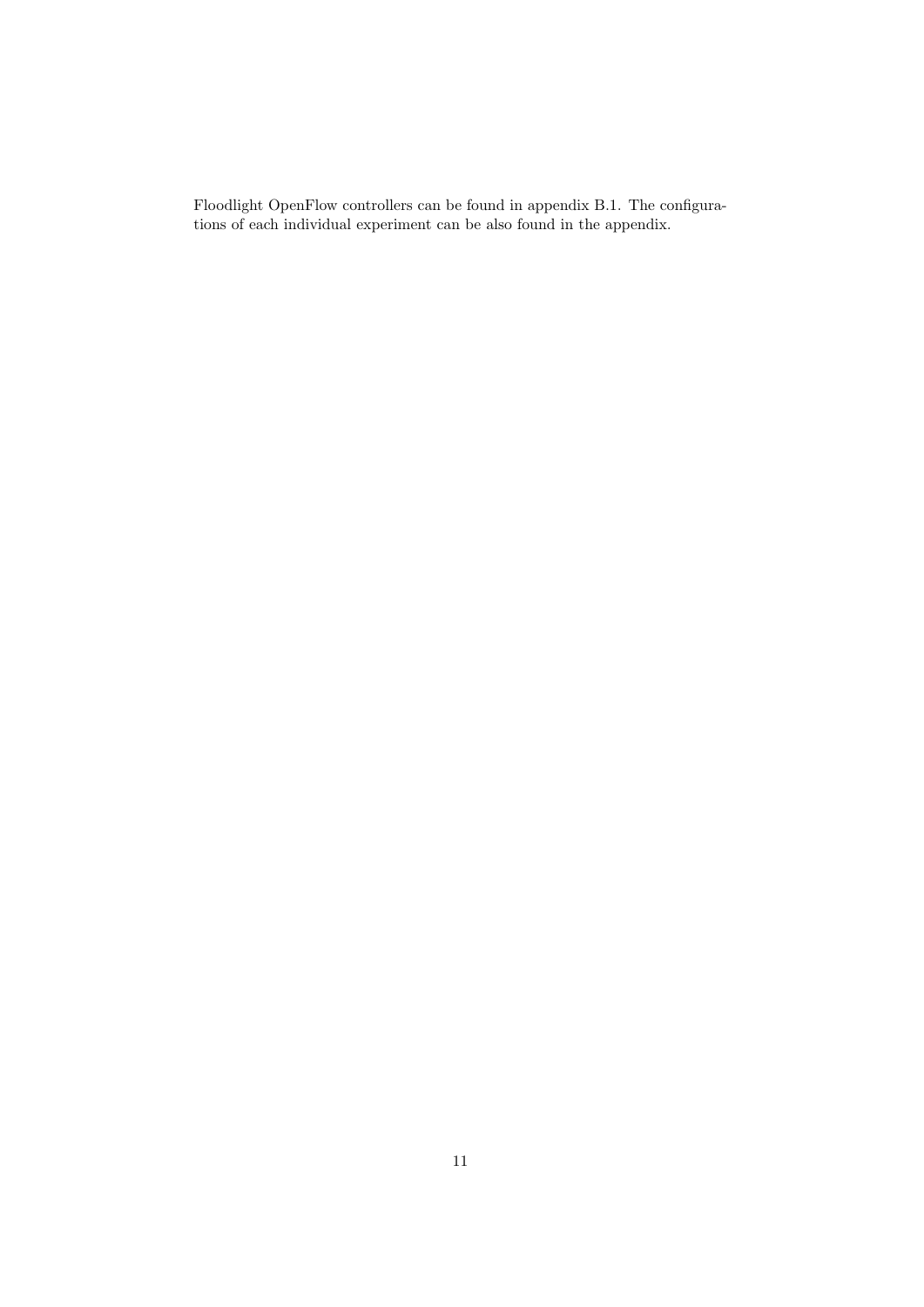Floodlight OpenFlow controllers can be found in appendix B.1. The configurations of each individual experiment can be also found in the appendix.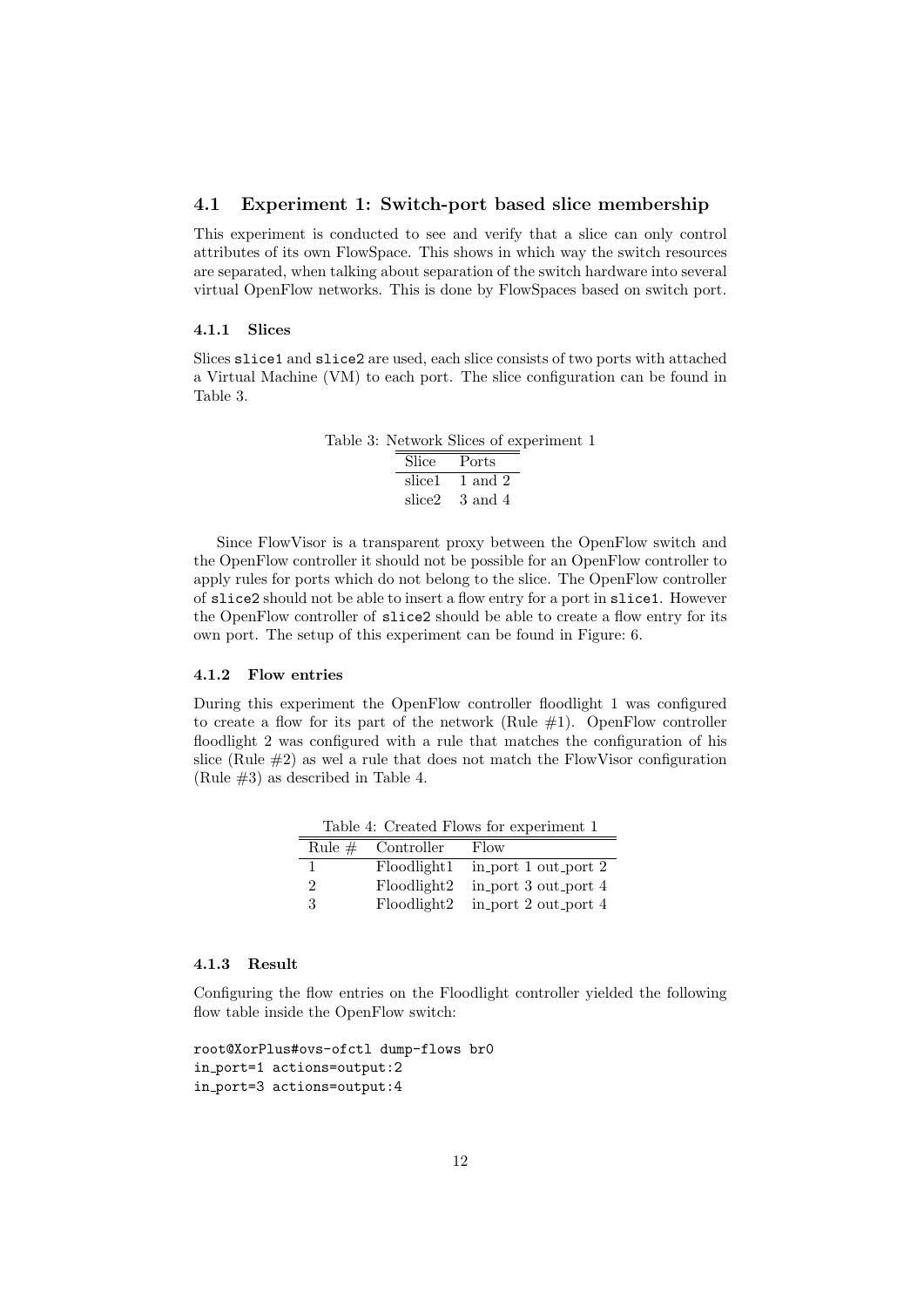### 4.1 Experiment 1: Switch-port based slice membership

This experiment is conducted to see and verify that a slice can only control attributes of its own FlowSpace. This shows in which way the switch resources are separated, when talking about separation of the switch hardware into several virtual OpenFlow networks. This is done by FlowSpaces based on switch port.

#### 4.1.1 Slices

Slices slice1 and slice2 are used, each slice consists of two ports with attached a Virtual Machine (VM) to each port. The slice configuration can be found in Table 3.

> Table 3: Network Slices of experiment 1 Slice Ports slice1  $1$  and  $2$ slice2 3 and 4

Since FlowVisor is a transparent proxy between the OpenFlow switch and the OpenFlow controller it should not be possible for an OpenFlow controller to apply rules for ports which do not belong to the slice. The OpenFlow controller of slice2 should not be able to insert a flow entry for a port in slice1. However the OpenFlow controller of slice2 should be able to create a flow entry for its own port. The setup of this experiment can be found in Figure: 6.

# 4.1.2 Flow entries

During this experiment the OpenFlow controller floodlight 1 was configured to create a flow for its part of the network (Rule  $#1$ ). OpenFlow controller floodlight 2 was configured with a rule that matches the configuration of his slice (Rule  $#2$ ) as wel a rule that does not match the FlowVisor configuration (Rule #3) as described in Table 4.

|  |  |  |  | Table 4: Created Flows for experiment 1 |  |
|--|--|--|--|-----------------------------------------|--|
|  |  |  |  |                                         |  |

| Rule $#$ | Controller  | Flow                 |
|----------|-------------|----------------------|
|          | Floodlight1 | in_port 1 out_port 2 |
| 2        | Floodlight2 | in_port 3 out_port 4 |
| 3        | Floodlight2 | in port 2 out port 4 |

## 4.1.3 Result

Configuring the flow entries on the Floodlight controller yielded the following flow table inside the OpenFlow switch:

```
root@XorPlus#ovs-ofctl dump-flows br0
in port=1 actions=output:2
in port=3 actions=output:4
```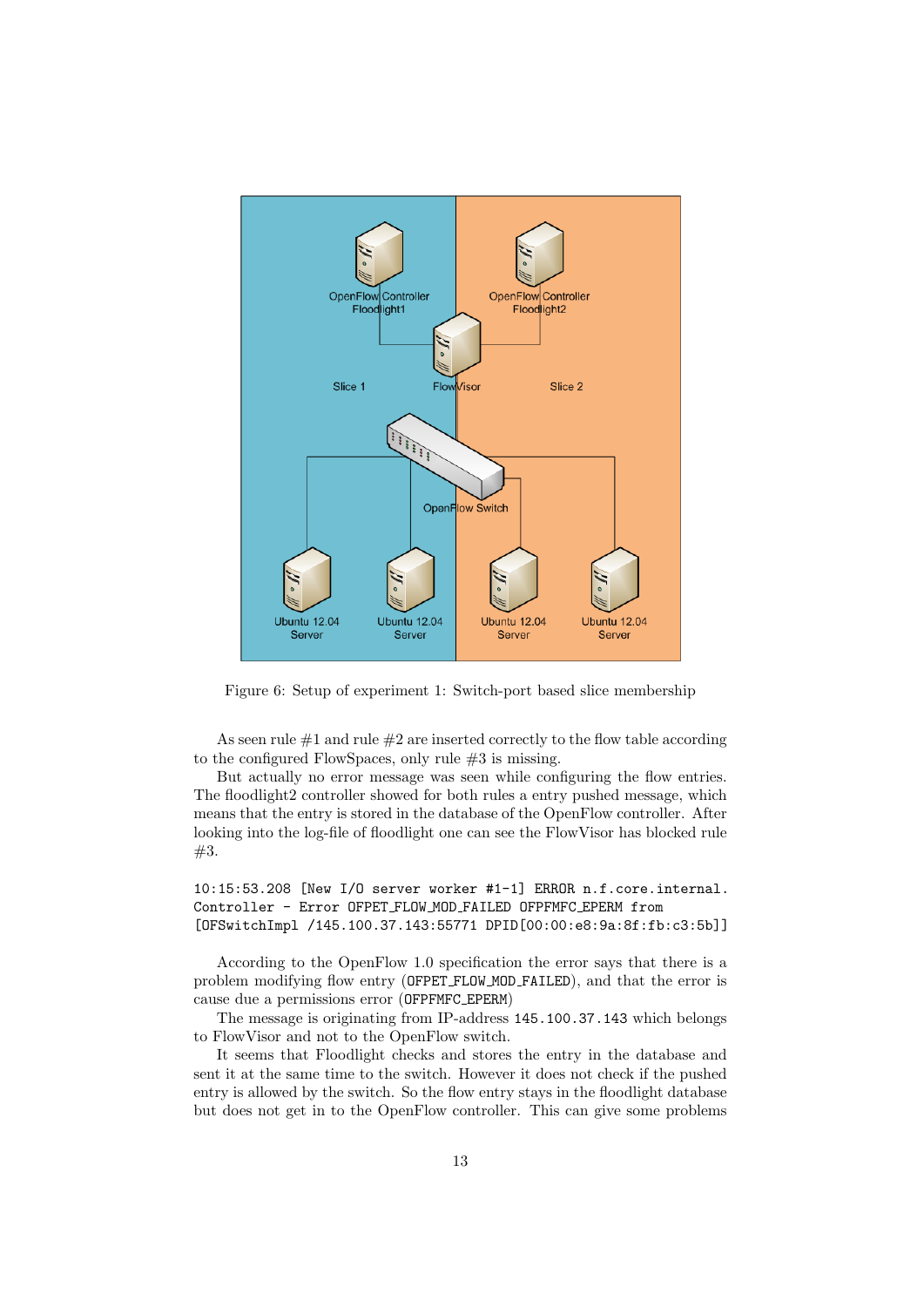

Figure 6: Setup of experiment 1: Switch-port based slice membership

As seen rule  $\#1$  and rule  $\#2$  are inserted correctly to the flow table according to the configured FlowSpaces, only rule #3 is missing.

But actually no error message was seen while configuring the flow entries. The floodlight2 controller showed for both rules a entry pushed message, which means that the entry is stored in the database of the OpenFlow controller. After looking into the log-file of floodlight one can see the FlowVisor has blocked rule  $#3.$ 

10:15:53.208 [New I/O server worker #1-1] ERROR n.f.core.internal. Controller - Error OFPET FLOW MOD FAILED OFPFMFC EPERM from [OFSwitchImpl /145.100.37.143:55771 DPID[00:00:e8:9a:8f:fb:c3:5b]]

According to the OpenFlow 1.0 specification the error says that there is a problem modifying flow entry (OFPET FLOW MOD FAILED), and that the error is cause due a permissions error (OFPFMFC EPERM)

The message is originating from IP-address 145.100.37.143 which belongs to FlowVisor and not to the OpenFlow switch.

It seems that Floodlight checks and stores the entry in the database and sent it at the same time to the switch. However it does not check if the pushed entry is allowed by the switch. So the flow entry stays in the floodlight database but does not get in to the OpenFlow controller. This can give some problems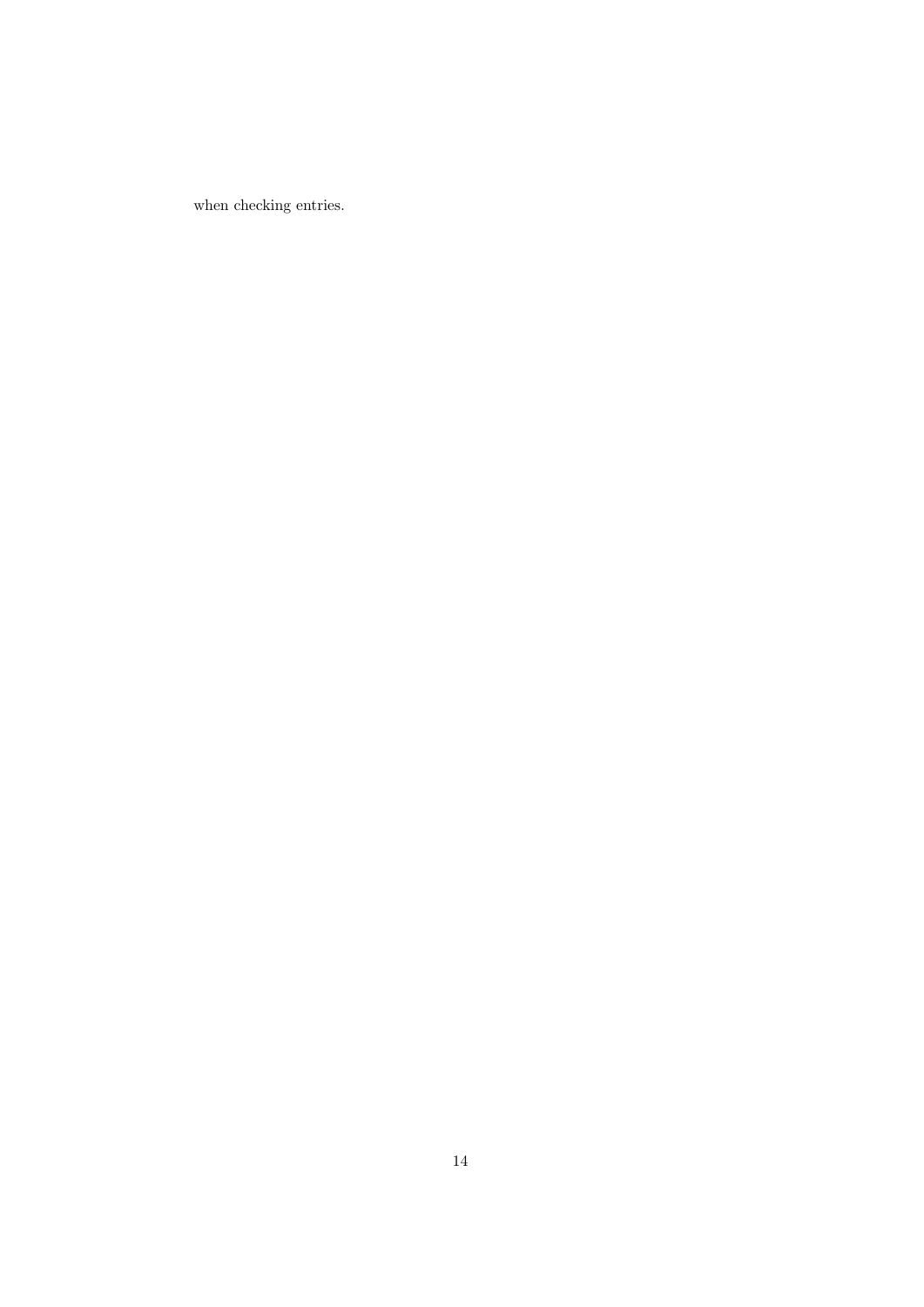when checking entries.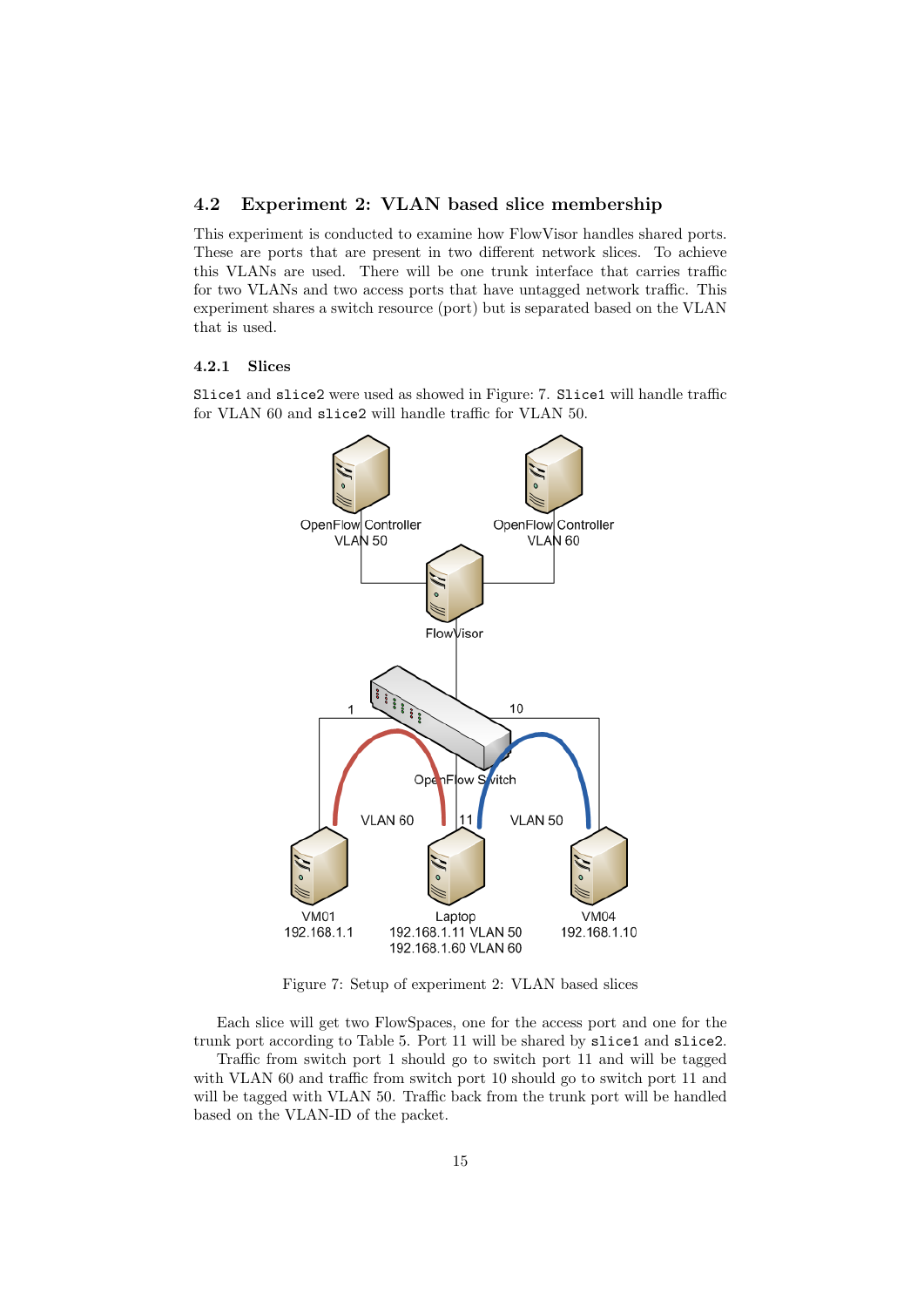# 4.2 Experiment 2: VLAN based slice membership

This experiment is conducted to examine how FlowVisor handles shared ports. These are ports that are present in two different network slices. To achieve this VLANs are used. There will be one trunk interface that carries traffic for two VLANs and two access ports that have untagged network traffic. This experiment shares a switch resource (port) but is separated based on the VLAN that is used.

#### 4.2.1 Slices

Slice1 and slice2 were used as showed in Figure: 7. Slice1 will handle traffic for VLAN 60 and slice2 will handle traffic for VLAN 50.



Figure 7: Setup of experiment 2: VLAN based slices

Each slice will get two FlowSpaces, one for the access port and one for the trunk port according to Table 5. Port 11 will be shared by slice1 and slice2. Traffic from switch port 1 should go to switch port 11 and will be tagged with VLAN 60 and traffic from switch port 10 should go to switch port 11 and will be tagged with VLAN 50. Traffic back from the trunk port will be handled based on the VLAN-ID of the packet.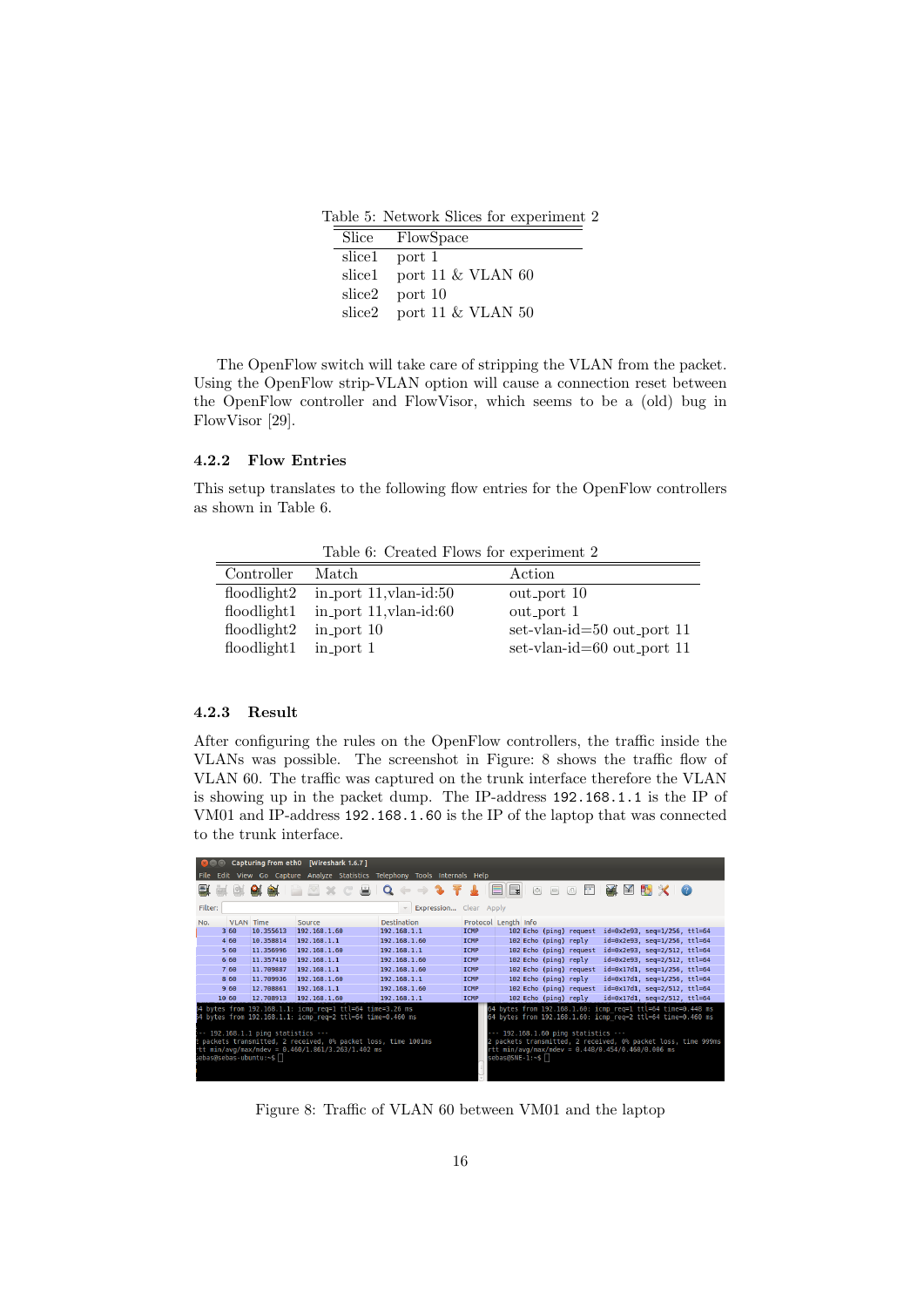Table 5: Network Slices for experiment 2

|        | Slice FlowSpace          |
|--------|--------------------------|
|        | slice1 port 1            |
| slice1 | port 11 $\&$ VLAN 60     |
|        | slice $2$ port 10        |
|        | slice2 port 11 & VLAN 50 |

The OpenFlow switch will take care of stripping the VLAN from the packet. Using the OpenFlow strip-VLAN option will cause a connection reset between the OpenFlow controller and FlowVisor, which seems to be a (old) bug in FlowVisor [29].

## 4.2.2 Flow Entries

This setup translates to the following flow entries for the OpenFlow controllers as shown in Table 6.

Table 6: Created Flows for experiment 2

| Controller                  | Match                        | Action                     |
|-----------------------------|------------------------------|----------------------------|
| $f_{\text{0}}$ floodlight 2 | in port $11$ , vlan-id: $50$ | out_port 10                |
| floodlight1                 | in port $11$ , vlan-id: $60$ | out_port 1                 |
| $f_{\text{0}}$ floodlight 2 | $in$ port 10                 | set-vlan-id=50 out_port 11 |
| floodlight1                 | in_port 1                    | set-vlan-id=60 out_port 11 |

## 4.2.3 Result

After configuring the rules on the OpenFlow controllers, the traffic inside the VLANs was possible. The screenshot in Figure: 8 shows the traffic flow of VLAN 60. The traffic was captured on the trunk interface therefore the VLAN is showing up in the packet dump. The IP-address 192.168.1.1 is the IP of VM01 and IP-address 192.168.1.60 is the IP of the laptop that was connected to the trunk interface.

|                                                                                                                                                                                                                                                                                                                                          |                                                                        |                | Capturing from eth0 [Wireshark 1.6.7]                            |                                 |                      |   |             |     |                         |                            |                                        |     |
|------------------------------------------------------------------------------------------------------------------------------------------------------------------------------------------------------------------------------------------------------------------------------------------------------------------------------------------|------------------------------------------------------------------------|----------------|------------------------------------------------------------------|---------------------------------|----------------------|---|-------------|-----|-------------------------|----------------------------|----------------------------------------|-----|
|                                                                                                                                                                                                                                                                                                                                          | Edit View Go Capture Analyze Statistics Telephony Tools Internals Help |                |                                                                  |                                 |                      |   |             |     |                         |                            |                                        |     |
| 릴                                                                                                                                                                                                                                                                                                                                        |                                                                        | 图<br><b>PA</b> | $\mathbb{Z} \times \mathbb{C}$ $\mathbb{R} \setminus \mathbf{Q}$ | $\Leftrightarrow$ $\Rightarrow$ |                      | E | $\bigoplus$ | $=$ | P.<br>$\vert$           | <b>No.</b><br>$\mathbb{R}$ |                                        | - 0 |
| Filter:<br>Expression Clear Apply                                                                                                                                                                                                                                                                                                        |                                                                        |                |                                                                  |                                 |                      |   |             |     |                         |                            |                                        |     |
| No.                                                                                                                                                                                                                                                                                                                                      | <b>VLAN</b> Time                                                       |                | Source                                                           | <b>Destination</b>              | Protocol Length Info |   |             |     |                         |                            |                                        |     |
|                                                                                                                                                                                                                                                                                                                                          | 360                                                                    | 10.355613      | 192.168.1.60                                                     | 192.168.1.1                     | <b>TCMP</b>          |   |             |     | 102 Echo (ping) request |                            | $id=0x2e93$ , $seq=1/256$ , ttl=64     |     |
|                                                                                                                                                                                                                                                                                                                                          | 460                                                                    | 10.358814      | 192.168.1.1                                                      | 192.168.1.60                    | <b>TCMP</b>          |   |             |     | 102 Echo (ping) reply   |                            | id=0x2e93, seq=1/256, ttl=64           |     |
|                                                                                                                                                                                                                                                                                                                                          | 5 60                                                                   | 11.356996      | 192.168.1.60                                                     | 192.168.1.1                     | <b>TCMP</b>          |   |             |     | 102 Echo (ping) request |                            | id=0x2e93, seq=2/512, ttl=64           |     |
|                                                                                                                                                                                                                                                                                                                                          | 6 60                                                                   | 11.357410      | 192.168.1.1                                                      | 192.168.1.60                    | <b>TCMP</b>          |   |             |     | 102 Echo (ping) reply   |                            | id=0x2e93, seq=2/512, ttl=64           |     |
|                                                                                                                                                                                                                                                                                                                                          | 7 60                                                                   | 11.709887      | 192.168.1.1                                                      | 192.168.1.60                    | <b>TCMP</b>          |   |             |     | 102 Echo (ping) request |                            | $id = 0x17d1$ , $seq = 1/256$ , ttl=64 |     |
|                                                                                                                                                                                                                                                                                                                                          | 8 60                                                                   | 11.709936      | 192.168.1.60                                                     | 192.168.1.1                     | <b>TCMP</b>          |   |             |     | 102 Echo (ping) reply   |                            | id=0x17d1, seq=1/256, ttl=64           |     |
|                                                                                                                                                                                                                                                                                                                                          | 960                                                                    | 12.708861      | 192.168.1.1                                                      | 192.168.1.60                    | <b>TCMP</b>          |   |             |     | 102 Echo (ping) request |                            | $id = 0x17d1$ , $seq = 2/512$ , ttl=64 |     |
| 10 60                                                                                                                                                                                                                                                                                                                                    |                                                                        | 12.708913      | 192.168.1.60                                                     | 192.168.1.1                     | <b>ICMP</b>          |   |             |     | 102 Echo (ping) reply   |                            | id=0x17d1, seq=2/512, ttl=64           |     |
| 54 bytes from 192.168.1.1: icmp req=1 ttl=64 time=3.26 ms<br>64 bytes from 192.168.1.60: icmp req=1 ttl=64 time=0.448 ms<br>64 bytes from 192.168.1.60: icmp req=2 ttl=64 time=0.460 ms<br>54 bytes from 192.168.1.1: icmp req=2 ttl=64 time=0.460 ms<br>$-$ 192.168.1.1 ping statistics $-$<br>$-0.192.168.1.60$ ping statistics $-0.1$ |                                                                        |                |                                                                  |                                 |                      |   |             |     |                         |                            |                                        |     |
| packets transmitted, 2 received, 0% packet loss, time 999ms<br>packets transmitted, 2 received, 0% packet loss, time 1001ms<br>tt min/avq/max/mdev = 0.460/1.861/3.263/1.402 ms<br>rtt min/avg/max/mdev = $0.448/0.454/0.460/0.006$ ms<br>}ebas@sebas-ubuntu:~\$<br>sebas@SNE-1:~\$                                                      |                                                                        |                |                                                                  |                                 |                      |   |             |     |                         |                            |                                        |     |

Figure 8: Traffic of VLAN 60 between VM01 and the laptop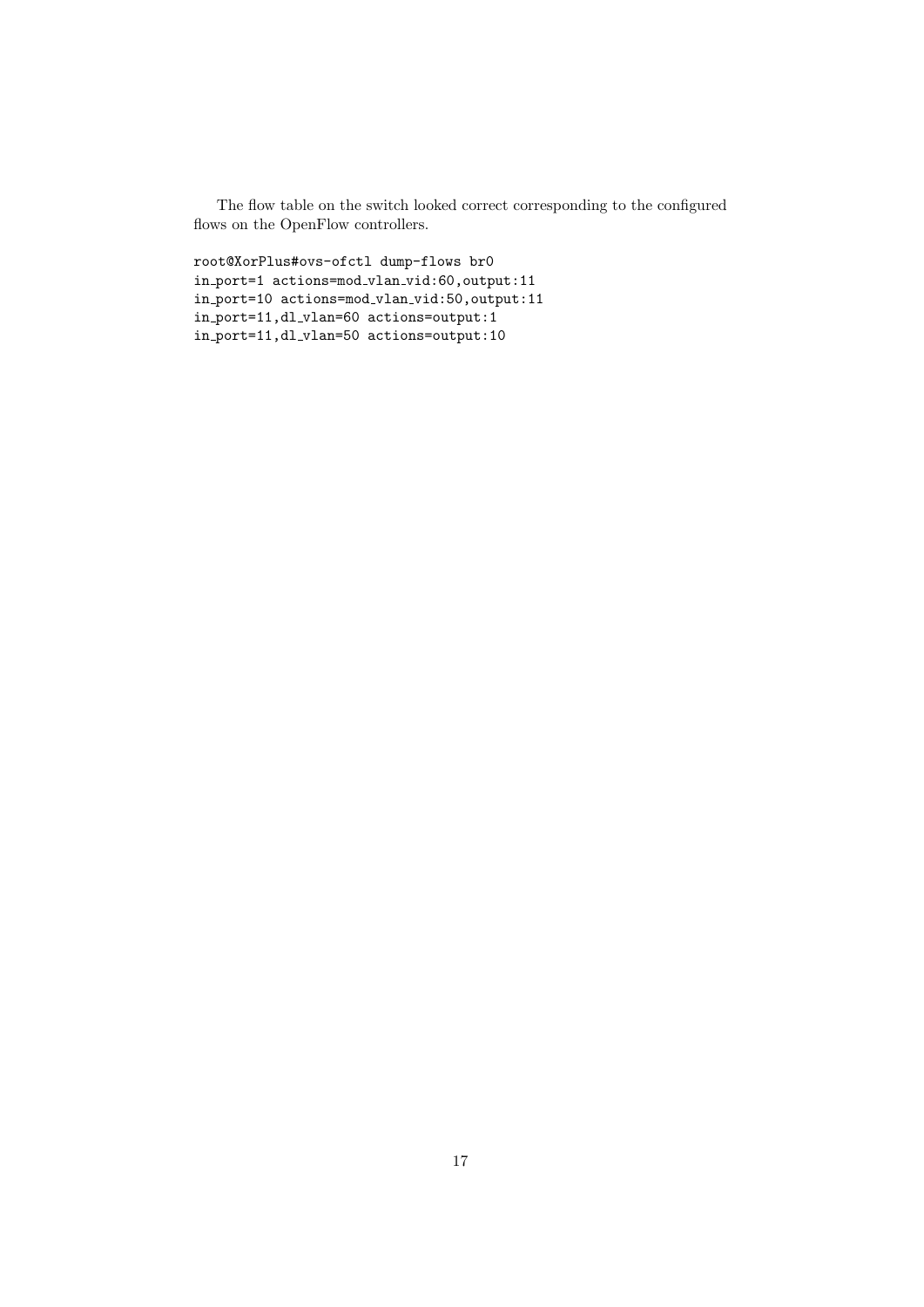The flow table on the switch looked correct corresponding to the configured flows on the OpenFlow controllers.

```
root@XorPlus#ovs-ofctl dump-flows br0
in port=1 actions=mod vlan vid:60,output:11
in port=10 actions=mod vlan vid:50,output:11
in port=11,dl vlan=60 actions=output:1
in port=11,dl vlan=50 actions=output:10
```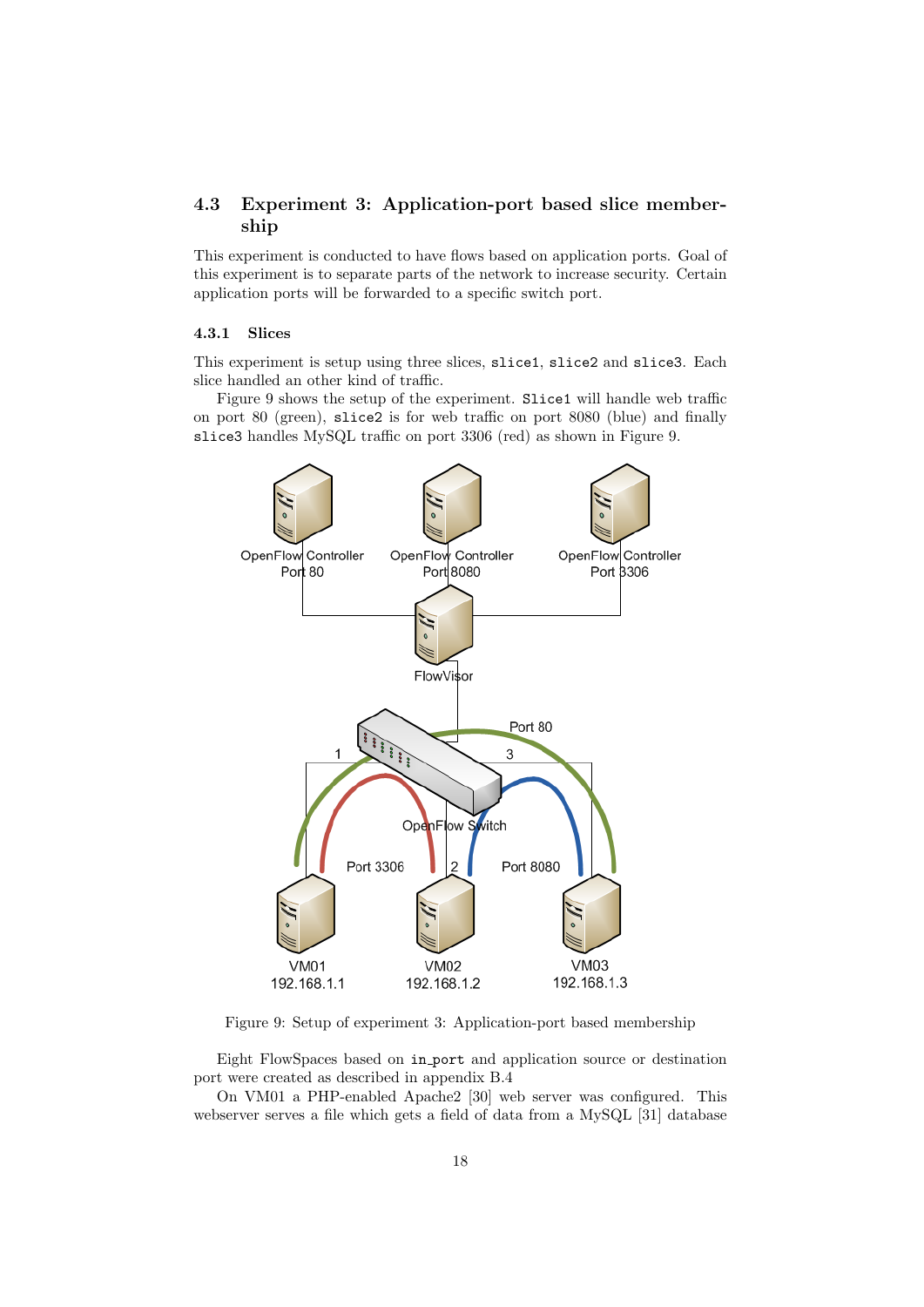# 4.3 Experiment 3: Application-port based slice membership

This experiment is conducted to have flows based on application ports. Goal of this experiment is to separate parts of the network to increase security. Certain application ports will be forwarded to a specific switch port.

# 4.3.1 Slices

This experiment is setup using three slices, slice1, slice2 and slice3. Each slice handled an other kind of traffic.

Figure 9 shows the setup of the experiment. Slice1 will handle web traffic on port 80 (green), slice2 is for web traffic on port 8080 (blue) and finally slice3 handles MySQL traffic on port 3306 (red) as shown in Figure 9.



Figure 9: Setup of experiment 3: Application-port based membership

Eight FlowSpaces based on in port and application source or destination port were created as described in appendix B.4

On VM01 a PHP-enabled Apache2 [30] web server was configured. This webserver serves a file which gets a field of data from a MySQL [31] database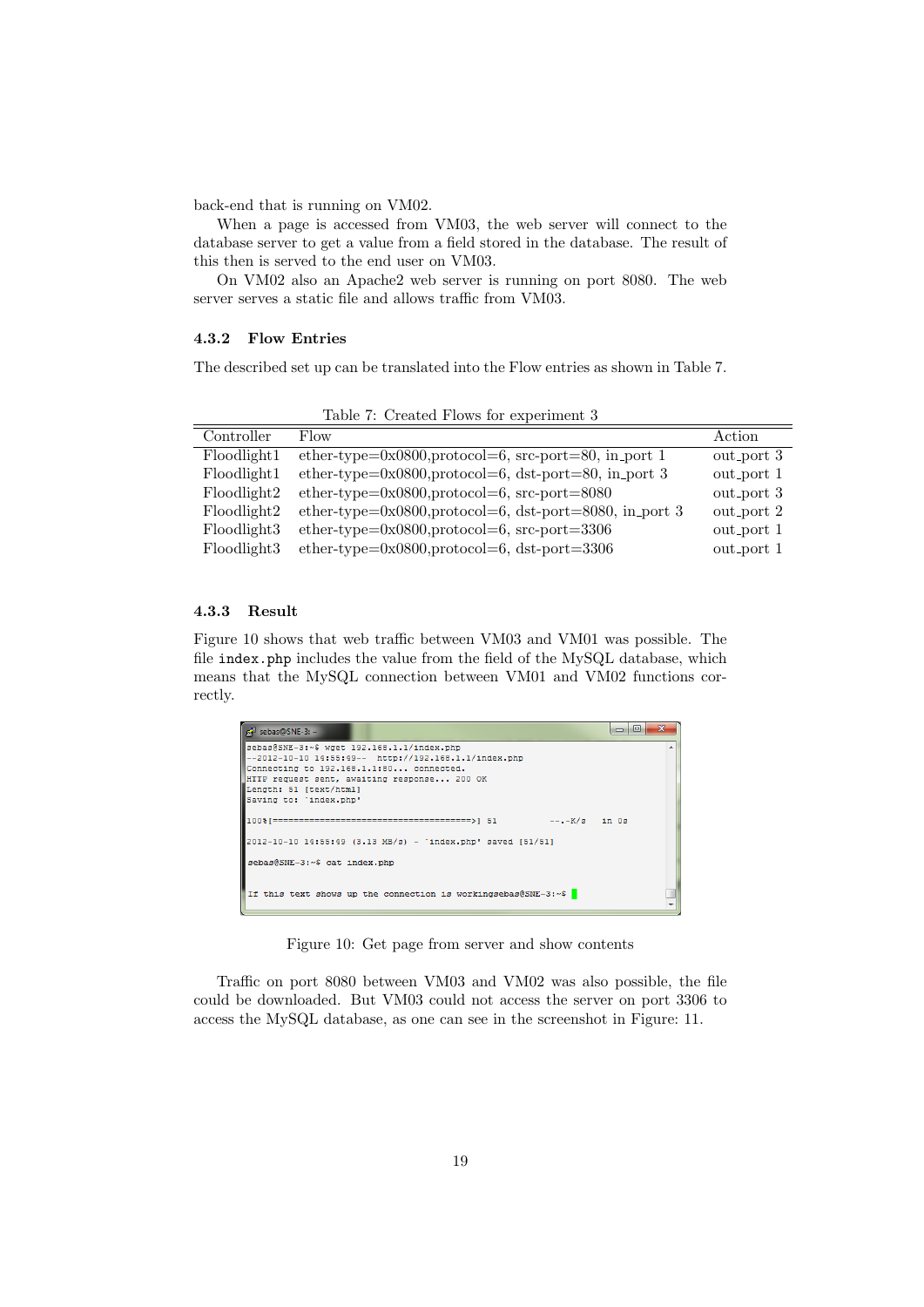back-end that is running on VM02.

When a page is accessed from VM03, the web server will connect to the database server to get a value from a field stored in the database. The result of this then is served to the end user on VM03.

On VM02 also an Apache2 web server is running on port 8080. The web server serves a static file and allows traffic from VM03.

# 4.3.2 Flow Entries

The described set up can be translated into the Flow entries as shown in Table 7.

| Controller  | Flow                                                           | Action     |
|-------------|----------------------------------------------------------------|------------|
| Floodlight1 | ether-type= $0x0800$ ,protocol=6, src-port=80, in_port 1       | out_port 3 |
| Floodlight1 | ether-type= $0x0800$ ,protocol=6, dst-port=80, in_port 3       | out_port 1 |
| Floodlight2 | ether-type= $0x0800$ ,protocol=6, src-port= $8080$             | out_port 3 |
| Floodlight2 | ether-type= $0x0800$ ,protocol=6, dst-port= $8080$ , in_port 3 | out_port 2 |
| Floodlight3 | ether-type= $0x0800$ ,protocol=6, src-port= $3306$             | out_port 1 |
| Floodlight3 | ether-type= $0x0800$ ,protocol=6, dst-port= $3306$             | out_port 1 |

Table 7: Created Flows for experiment 3

# 4.3.3 Result

Figure 10 shows that web traffic between VM03 and VM01 was possible. The file index.php includes the value from the field of the MySQL database, which means that the MySQL connection between VM01 and VM02 functions correctly.

| $\mathbf{x}$<br>$\Box$<br>$\mathbb{R}^2$ sebas@SNE-3: ~<br>$\Box$ |   |
|-------------------------------------------------------------------|---|
| sebas@SNE-3:~\$ wget 192.168.1.1/index.php                        | ▴ |
| --2012-10-10 14:55:49-- http://192.168.1.1/index.php              |   |
| Connecting to 192.168.1.1:80 connected.                           |   |
| HTTP request sent, awaiting response 200 OK                       |   |
| Length: 51 [text/html]                                            |   |
| Saving to: 'index.php'                                            |   |
| --.-K/s in 0s                                                     |   |
| 2012-10-10 14:55:49 (3.13 MB/s) - 'index.php' saved [51/51]       |   |
| sebas@SNE-3:~\$ cat index.php                                     |   |
| If this text shows up the connection is workingsebas@SNE-3:~\$    |   |

Figure 10: Get page from server and show contents

Traffic on port 8080 between VM03 and VM02 was also possible, the file could be downloaded. But VM03 could not access the server on port 3306 to access the MySQL database, as one can see in the screenshot in Figure: 11.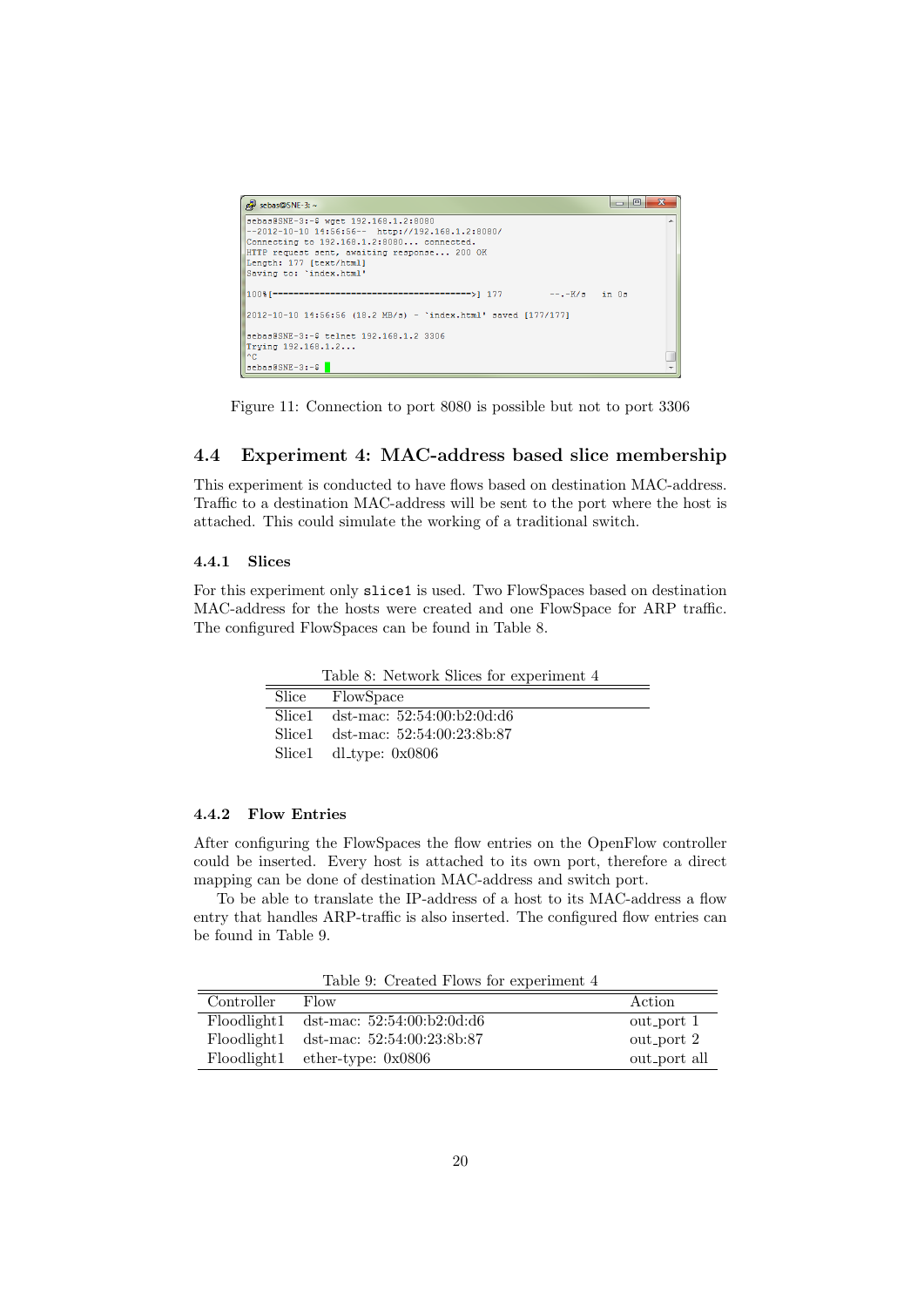| $\mathbb{R}^2$ sebas@SNE-3: ~                                                                                                           |                 | $\Box$ |  |
|-----------------------------------------------------------------------------------------------------------------------------------------|-----------------|--------|--|
| sebas@SNE-3:~\$ wget 192.168.1.2:8080<br>l--2012-10-10 14:56:56-- http://192.168.1.2:8080/<br>Connecting to 192.168.1.2:8080 connected. |                 |        |  |
| HTTP request sent, awaiting response 200 OK<br>Length: 177 [text/html]                                                                  |                 |        |  |
| Saving to: 'index.html'                                                                                                                 |                 |        |  |
|                                                                                                                                         | $--.-K/s$ in 0s |        |  |
| $ 2012-10-10$ 14:56:56 (18.2 MB/s) - 'index.html' saved [177/177]                                                                       |                 |        |  |
| sebas@SNE-3:~\$ telnet 192.168.1.2 3306                                                                                                 |                 |        |  |
| Trying 192.168.1.2<br>l^c:                                                                                                              |                 |        |  |
| $s$ ebas@SNE-3:~\$                                                                                                                      |                 |        |  |

Figure 11: Connection to port 8080 is possible but not to port 3306

# 4.4 Experiment 4: MAC-address based slice membership

This experiment is conducted to have flows based on destination MAC-address. Traffic to a destination MAC-address will be sent to the port where the host is attached. This could simulate the working of a traditional switch.

### 4.4.1 Slices

For this experiment only slice1 is used. Two FlowSpaces based on destination MAC-address for the hosts were created and one FlowSpace for ARP traffic. The configured FlowSpaces can be found in Table 8.

Table 8: Network Slices for experiment 4

| Slice FlowSpace                   |
|-----------------------------------|
| Slice1 dst-mac: 52:54:00:b2:0d:d6 |
| Slice1 dst-mac: 52:54:00:23:8b:87 |
| Slice1 $dl_type: 0x0806$          |

### 4.4.2 Flow Entries

After configuring the FlowSpaces the flow entries on the OpenFlow controller could be inserted. Every host is attached to its own port, therefore a direct mapping can be done of destination MAC-address and switch port.

To be able to translate the IP-address of a host to its MAC-address a flow entry that handles ARP-traffic is also inserted. The configured flow entries can be found in Table 9.

Table 9: Created Flows for experiment 4

| Controller  | Flow                         | Action       |
|-------------|------------------------------|--------------|
| Floodlight1 | dst-mac: $52:54:00:b2:0d:d6$ | out_port 1   |
| Floodlight1 | dst-mac: $52:54:00:23:8b:87$ | out_port 2   |
| Floodlight1 | ether-type: $0x0806$         | out_port all |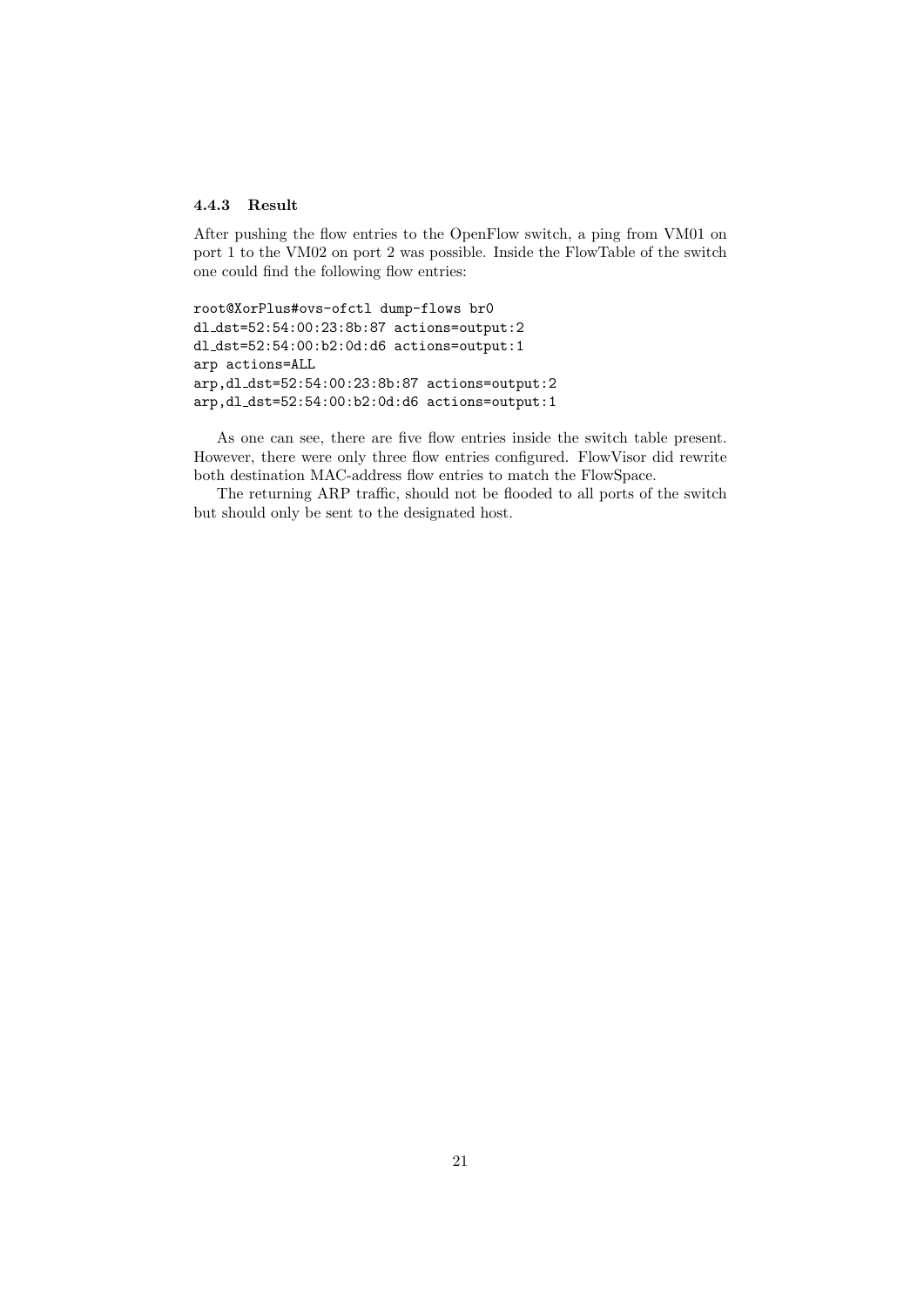## 4.4.3 Result

After pushing the flow entries to the OpenFlow switch, a ping from VM01 on port 1 to the VM02 on port 2 was possible. Inside the FlowTable of the switch one could find the following flow entries:

root@XorPlus#ovs-ofctl dump-flows br0 dl dst=52:54:00:23:8b:87 actions=output:2 dl dst=52:54:00:b2:0d:d6 actions=output:1 arp actions=ALL arp,dl dst=52:54:00:23:8b:87 actions=output:2 arp,dl dst=52:54:00:b2:0d:d6 actions=output:1

As one can see, there are five flow entries inside the switch table present. However, there were only three flow entries configured. FlowVisor did rewrite both destination MAC-address flow entries to match the FlowSpace.

The returning ARP traffic, should not be flooded to all ports of the switch but should only be sent to the designated host.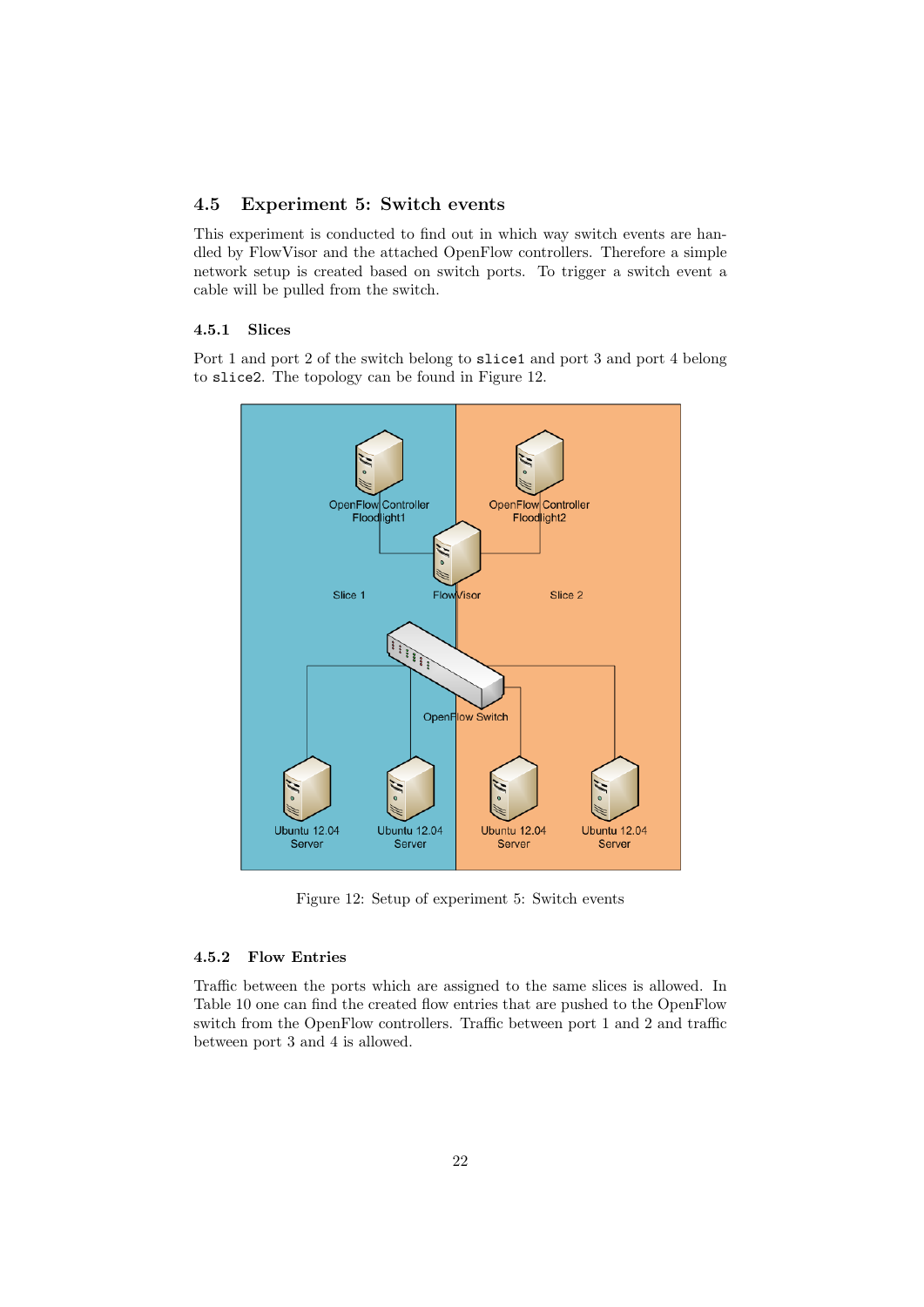# 4.5 Experiment 5: Switch events

This experiment is conducted to find out in which way switch events are handled by FlowVisor and the attached OpenFlow controllers. Therefore a simple network setup is created based on switch ports. To trigger a switch event a cable will be pulled from the switch.

# 4.5.1 Slices

Port 1 and port 2 of the switch belong to slice1 and port 3 and port 4 belong to slice2. The topology can be found in Figure 12.



Figure 12: Setup of experiment 5: Switch events

# 4.5.2 Flow Entries

Traffic between the ports which are assigned to the same slices is allowed. In Table 10 one can find the created flow entries that are pushed to the OpenFlow switch from the OpenFlow controllers. Traffic between port 1 and 2 and traffic between port 3 and 4 is allowed.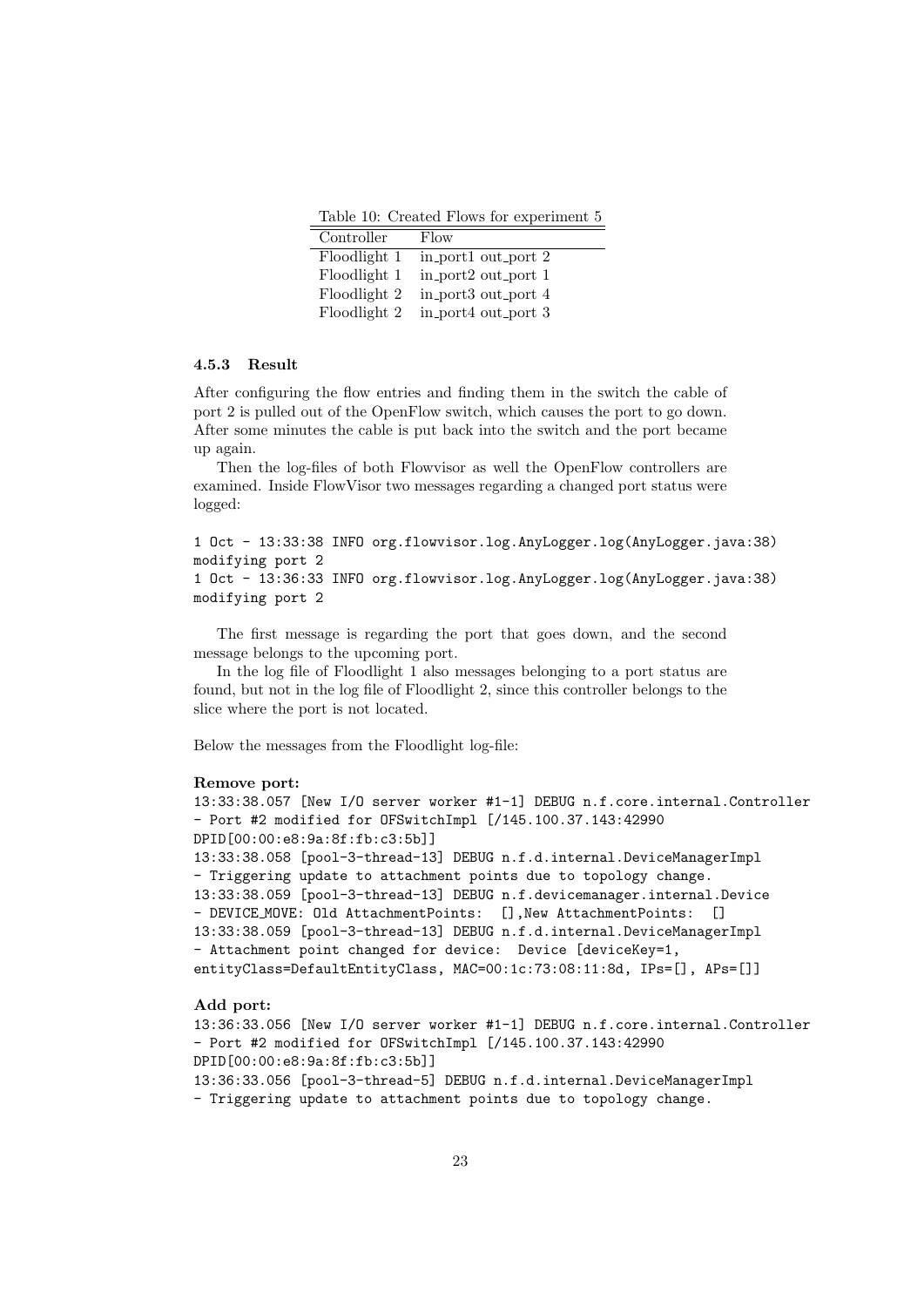Table 10: Created Flows for experiment 5

| Controller   | Flow                |
|--------------|---------------------|
| Floodlight 1 | in_port1 out_port 2 |
| Floodlight 1 | in_port2 out_port 1 |
| Floodlight 2 | in_port3 out_port 4 |
| Floodlight 2 | in_port4 out_port 3 |

# 4.5.3 Result

After configuring the flow entries and finding them in the switch the cable of port 2 is pulled out of the OpenFlow switch, which causes the port to go down. After some minutes the cable is put back into the switch and the port became up again.

Then the log-files of both Flowvisor as well the OpenFlow controllers are examined. Inside FlowVisor two messages regarding a changed port status were logged:

```
1 Oct - 13:33:38 INFO org.flowvisor.log.AnyLogger.log(AnyLogger.java:38)
modifying port 2
1 Oct - 13:36:33 INFO org.flowvisor.log.AnyLogger.log(AnyLogger.java:38)
modifying port 2
```
The first message is regarding the port that goes down, and the second message belongs to the upcoming port.

In the log file of Floodlight 1 also messages belonging to a port status are found, but not in the log file of Floodlight 2, since this controller belongs to the slice where the port is not located.

Below the messages from the Floodlight log-file:

#### Remove port:

```
13:33:38.057 [New I/O server worker #1-1] DEBUG n.f.core.internal.Controller
- Port #2 modified for OFSwitchImpl [/145.100.37.143:42990
DPID[00:00:e8:9a:8f:fb:c3:5b]]
13:33:38.058 [pool-3-thread-13] DEBUG n.f.d.internal.DeviceManagerImpl
- Triggering update to attachment points due to topology change.
13:33:38.059 [pool-3-thread-13] DEBUG n.f.devicemanager.internal.Device
- DEVICE MOVE: Old AttachmentPoints: [],New AttachmentPoints: []
13:33:38.059 [pool-3-thread-13] DEBUG n.f.d.internal.DeviceManagerImpl
- Attachment point changed for device: Device [deviceKey=1,
entityClass=DefaultEntityClass, MAC=00:1c:73:08:11:8d, IPs=[], APs=[]]
```
#### Add port:

13:36:33.056 [New I/O server worker #1-1] DEBUG n.f.core.internal.Controller - Port #2 modified for OFSwitchImpl [/145.100.37.143:42990 DPID[00:00:e8:9a:8f:fb:c3:5b]] 13:36:33.056 [pool-3-thread-5] DEBUG n.f.d.internal.DeviceManagerImpl - Triggering update to attachment points due to topology change.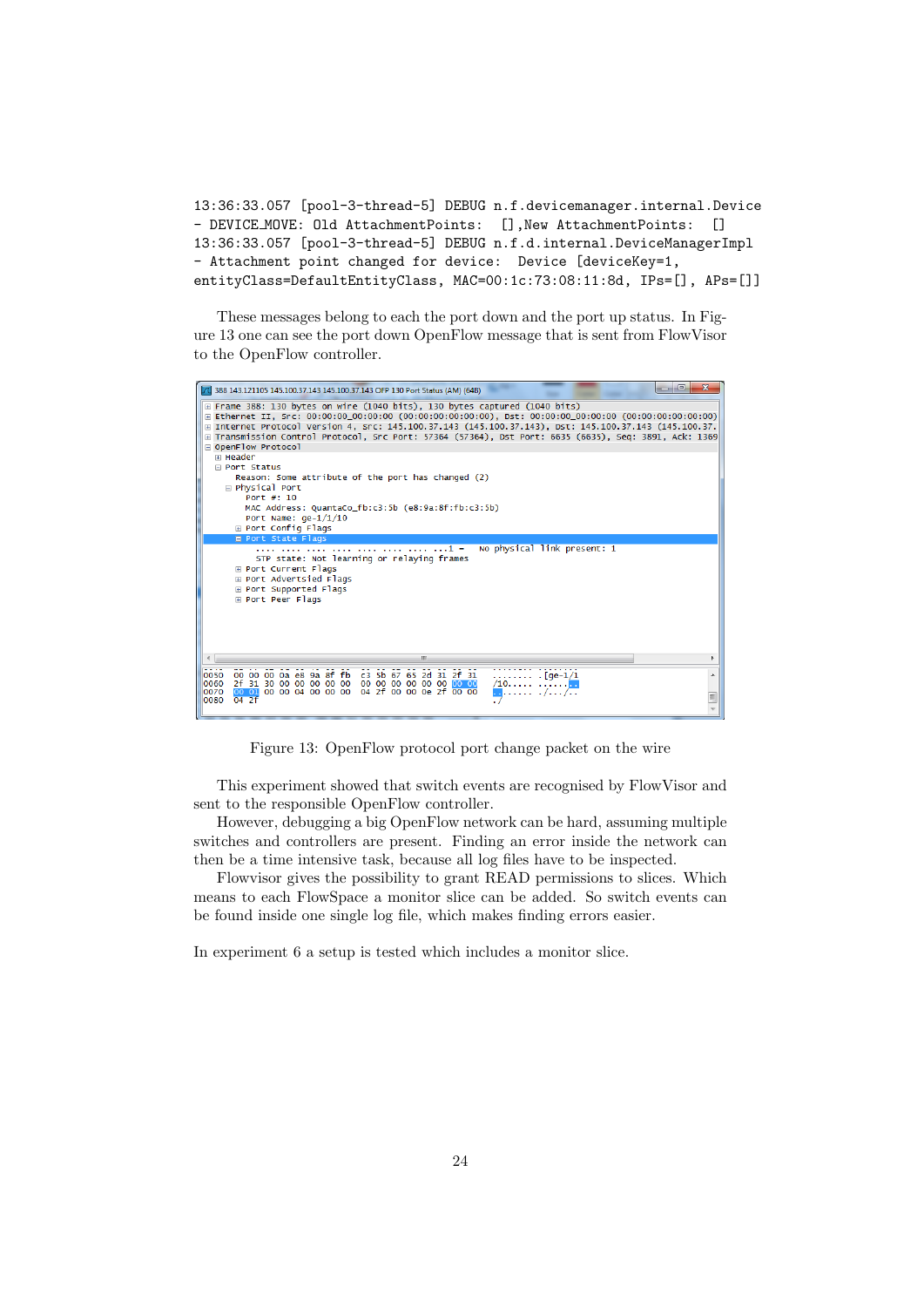```
13:36:33.057 [pool-3-thread-5] DEBUG n.f.devicemanager.internal.Device
- DEVICE MOVE: Old AttachmentPoints: [],New AttachmentPoints: []
13:36:33.057 [pool-3-thread-5] DEBUG n.f.d.internal.DeviceManagerImpl
- Attachment point changed for device: Device [deviceKey=1,
entityClass=DefaultEntityClass, MAC=00:1c:73:08:11:8d, IPs=[], APs=[]]
```
These messages belong to each the port down and the port up status. In Figure 13 one can see the port down OpenFlow message that is sent from FlowVisor to the OpenFlow controller.



Figure 13: OpenFlow protocol port change packet on the wire

This experiment showed that switch events are recognised by FlowVisor and sent to the responsible OpenFlow controller.

However, debugging a big OpenFlow network can be hard, assuming multiple switches and controllers are present. Finding an error inside the network can then be a time intensive task, because all log files have to be inspected.

Flowvisor gives the possibility to grant READ permissions to slices. Which means to each FlowSpace a monitor slice can be added. So switch events can be found inside one single log file, which makes finding errors easier.

In experiment 6 a setup is tested which includes a monitor slice.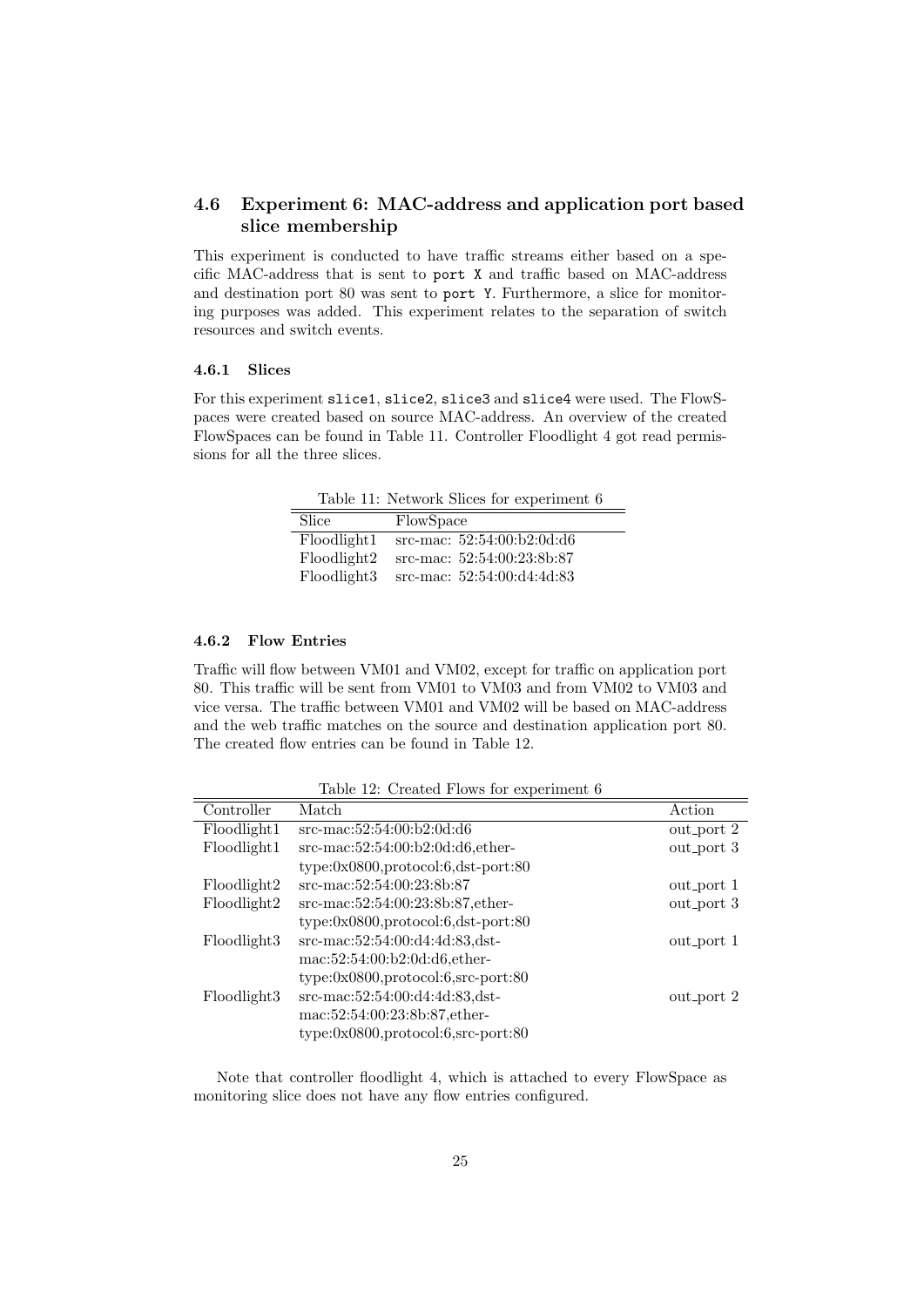# 4.6 Experiment 6: MAC-address and application port based slice membership

This experiment is conducted to have traffic streams either based on a specific MAC-address that is sent to port X and traffic based on MAC-address and destination port 80 was sent to port Y. Furthermore, a slice for monitoring purposes was added. This experiment relates to the separation of switch resources and switch events.

# 4.6.1 Slices

For this experiment slice1, slice2, slice3 and slice4 were used. The FlowSpaces were created based on source MAC-address. An overview of the created FlowSpaces can be found in Table 11. Controller Floodlight 4 got read permissions for all the three slices.

Table 11: Network Slices for experiment 6

| Slice       | FlowSpace                    |
|-------------|------------------------------|
| Floodlight1 | src-mac: $52:54:00:b2:0d:d6$ |
| Floodlight2 | src-mac: $52:54:00:23:8b:87$ |
| Floodlight3 | src-mac: $52:54:00:04:4d:83$ |

### 4.6.2 Flow Entries

Traffic will flow between VM01 and VM02, except for traffic on application port 80. This traffic will be sent from VM01 to VM03 and from VM02 to VM03 and vice versa. The traffic between VM01 and VM02 will be based on MAC-address and the web traffic matches on the source and destination application port 80. The created flow entries can be found in Table 12.

| Controller  | Match                                     | Action     |
|-------------|-------------------------------------------|------------|
| Floodlight1 | $src$ -mac:52:54:00:b2:0d:d6              | out_port 2 |
| Floodlight1 | $src$ -mac:52:54:00:b2:0d:d6,ether-       | out_port 3 |
|             | $type:0x0800, protocol:6,dst-port:80$     |            |
| Floodlight2 | src-mac:52:54:00:23:8b:87                 | out_port 1 |
| Floodlight2 | src-mac:52:54:00:23:8b:87,ether-          | out_port 3 |
|             | $type:0x0800, protocol:6,dst-port:80$     |            |
| Floodlight3 | src-mac:52:54:00:d4:4d:83,dst-            | out_port 1 |
|             | mac:52:54:00:b2:0d:d6,ether-              |            |
|             | $type: 0x0800, protocol: 6, src-port: 80$ |            |
| Floodlight3 | src-mac:52:54:00:d4:4d:83,dst-            | out_port 2 |
|             | mac:52:54:00:23:8b:87,ether-              |            |
|             | $type: 0x0800, protocol: 6, src-port: 80$ |            |
|             |                                           |            |

Table 12: Created Flows for experiment 6

Note that controller floodlight 4, which is attached to every FlowSpace as monitoring slice does not have any flow entries configured.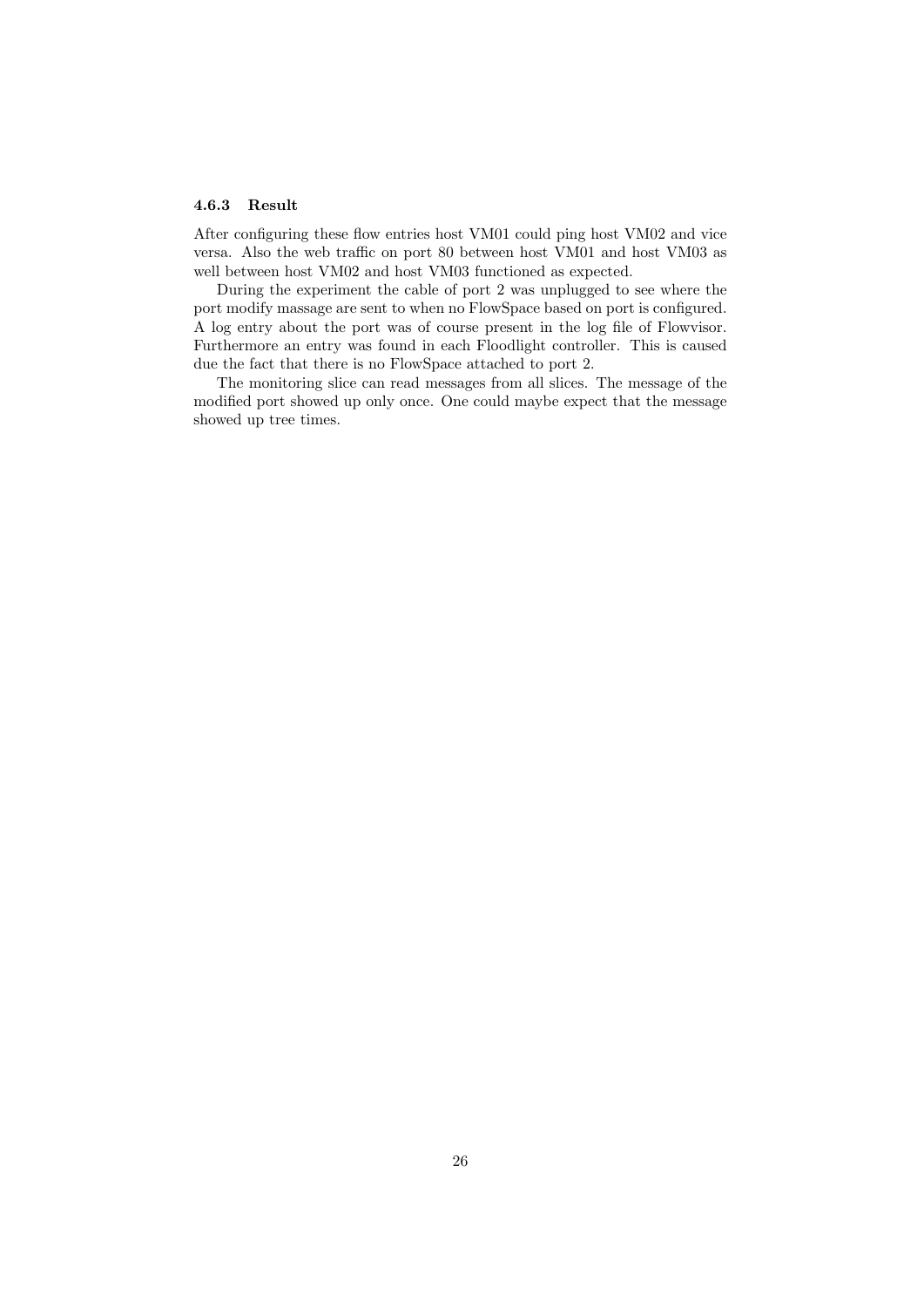### 4.6.3 Result

After configuring these flow entries host VM01 could ping host VM02 and vice versa. Also the web traffic on port 80 between host VM01 and host VM03 as well between host VM02 and host VM03 functioned as expected.

During the experiment the cable of port 2 was unplugged to see where the port modify massage are sent to when no FlowSpace based on port is configured. A log entry about the port was of course present in the log file of Flowvisor. Furthermore an entry was found in each Floodlight controller. This is caused due the fact that there is no FlowSpace attached to port 2.

The monitoring slice can read messages from all slices. The message of the modified port showed up only once. One could maybe expect that the message showed up tree times.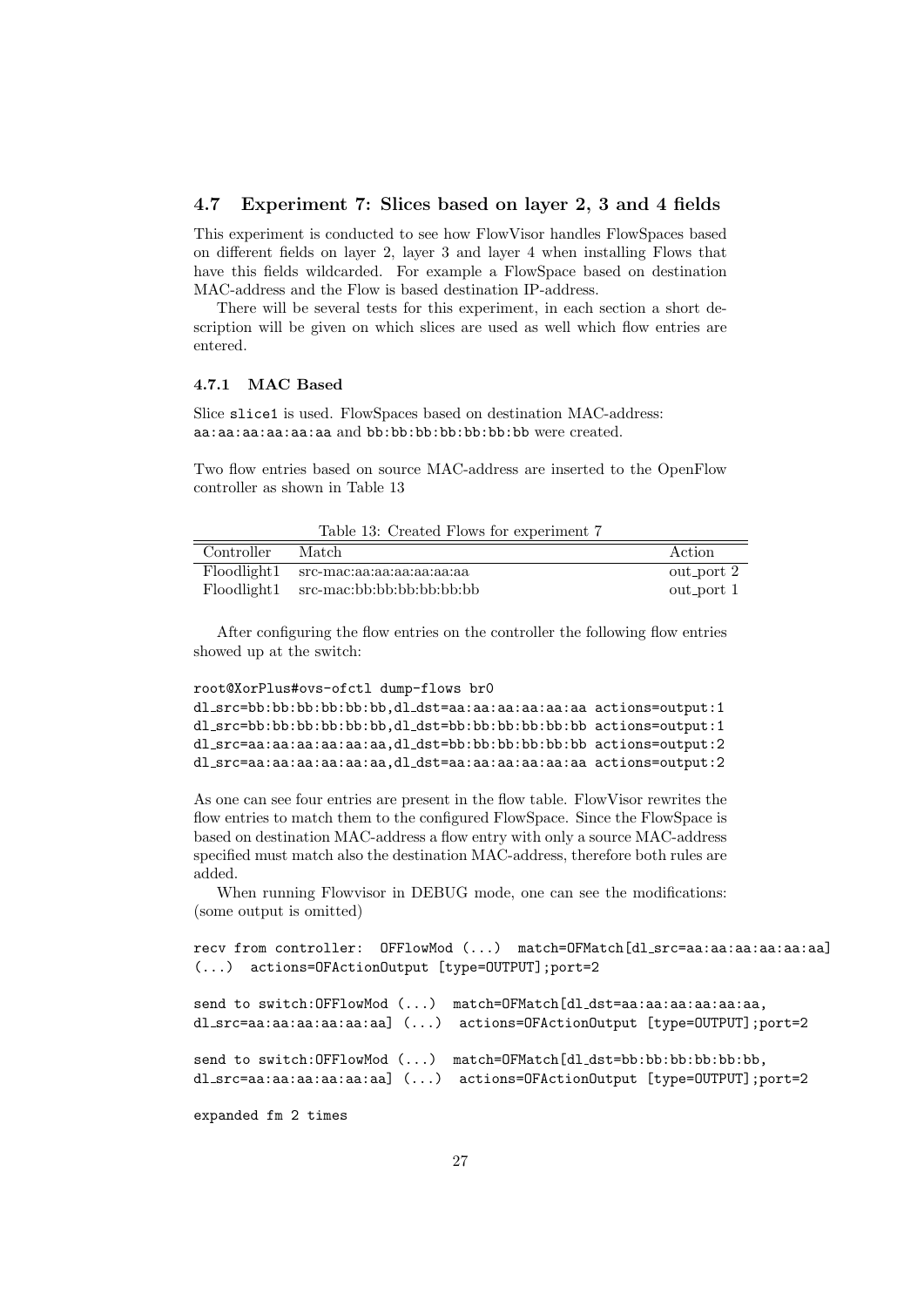### 4.7 Experiment 7: Slices based on layer 2, 3 and 4 fields

This experiment is conducted to see how FlowVisor handles FlowSpaces based on different fields on layer 2, layer 3 and layer 4 when installing Flows that have this fields wildcarded. For example a FlowSpace based on destination MAC-address and the Flow is based destination IP-address.

There will be several tests for this experiment, in each section a short description will be given on which slices are used as well which flow entries are entered.

### 4.7.1 MAC Based

Slice slice1 is used. FlowSpaces based on destination MAC-address: aa:aa:aa:aa:aa:aa and bb:bb:bb:bb:bb:bb:bb were created.

Two flow entries based on source MAC-address are inserted to the OpenFlow controller as shown in Table 13

|            | Table 15: Created Flows for experiment t |            |
|------------|------------------------------------------|------------|
| Controller | Match                                    | Action     |
|            | Floodlight1 src-mac:aa:aa:aa:aa:aa:aa:aa | out_port 2 |
|            | Floodlight1 src-mac:bb:bb:bb:bb:bb:bb:bb | out_port 1 |

 $T<sub>a</sub>$ ble 19:  $C<sub>measured</sub>$  Flower

After configuring the flow entries on the controller the following flow entries showed up at the switch:

```
root@XorPlus#ovs-ofctl dump-flows br0
dl src=bb:bb:bb:bb:bb:bb,dl dst=aa:aa:aa:aa:aa:aa actions=output:1
dl src=bb:bb:bb:bb:bb:bb,dl dst=bb:bb:bb:bb:bb:bb actions=output:1
dl src=aa:aa:aa:aa:aa:aa,dl dst=bb:bb:bb:bb:bb:bb actions=output:2
dl src=aa:aa:aa:aa:aa:aa,dl dst=aa:aa:aa:aa:aa:aa actions=output:2
```
As one can see four entries are present in the flow table. FlowVisor rewrites the flow entries to match them to the configured FlowSpace. Since the FlowSpace is based on destination MAC-address a flow entry with only a source MAC-address specified must match also the destination MAC-address, therefore both rules are added.

When running Flowvisor in DEBUG mode, one can see the modifications: (some output is omitted)

```
recv from controller: OFFlowMod (...) match=OFMatch[dl src=aa:aa:aa:aa:aa:aa]
(...) actions=OFActionOutput [type=OUTPUT];port=2
```

```
send to switch: OFFlowMod (...) match=OFMatch[dl_dst=aa:aa:aa:aa:aa:aa,
dl src=aa:aa:aa:aa:aa:aa] (...) actions=OFActionOutput [type=OUTPUT];port=2
send to switch: OFFlowMod (...) match=OFMatch[dl_dst=bb:bb:bb:bb:bb:bb,
dl src=aa:aa:aa:aa:aa:aa] (...) actions=OFActionOutput [type=OUTPUT];port=2
```
expanded fm 2 times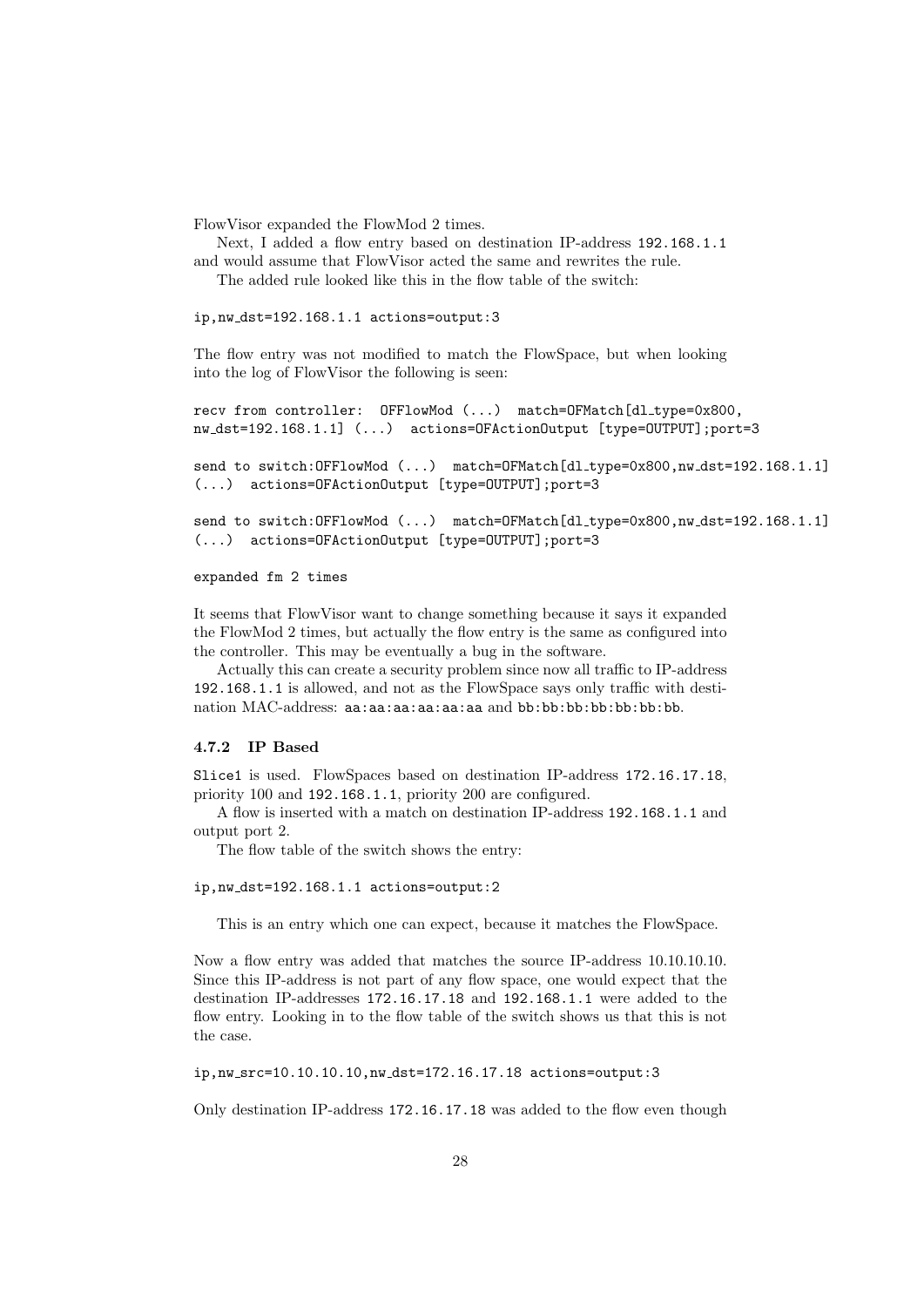FlowVisor expanded the FlowMod 2 times.

Next, I added a flow entry based on destination IP-address 192.168.1.1 and would assume that FlowVisor acted the same and rewrites the rule.

The added rule looked like this in the flow table of the switch:

ip,nw dst=192.168.1.1 actions=output:3

The flow entry was not modified to match the FlowSpace, but when looking into the log of FlowVisor the following is seen:

```
recv from controller: OFFlowMod (...) match=OFMatch[dl type=0x800,
nw dst=192.168.1.1] (...) actions=OFActionOutput [type=OUTPUT];port=3
```
send to switch: OFFlowMod (...) match=OFMatch [dl\_type=0x800,nw\_dst=192.168.1.1] (...) actions=OFActionOutput [type=OUTPUT];port=3

send to switch: OFFlowMod (...) match=OFMatch [dl\_type=0x800,nw\_dst=192.168.1.1] (...) actions=OFActionOutput [type=OUTPUT];port=3

#### expanded fm 2 times

It seems that FlowVisor want to change something because it says it expanded the FlowMod 2 times, but actually the flow entry is the same as configured into the controller. This may be eventually a bug in the software.

Actually this can create a security problem since now all traffic to IP-address 192.168.1.1 is allowed, and not as the FlowSpace says only traffic with destination MAC-address: aa:aa:aa:aa:aa:aa and bb:bb:bb:bb:bb:bb:bb.

## 4.7.2 IP Based

Slice1 is used. FlowSpaces based on destination IP-address 172.16.17.18, priority 100 and 192.168.1.1, priority 200 are configured.

A flow is inserted with a match on destination IP-address 192.168.1.1 and output port 2.

The flow table of the switch shows the entry:

#### ip,nw dst=192.168.1.1 actions=output:2

This is an entry which one can expect, because it matches the FlowSpace.

Now a flow entry was added that matches the source IP-address 10.10.10.10. Since this IP-address is not part of any flow space, one would expect that the destination IP-addresses 172.16.17.18 and 192.168.1.1 were added to the flow entry. Looking in to the flow table of the switch shows us that this is not the case.

ip,nw src=10.10.10.10,nw dst=172.16.17.18 actions=output:3

Only destination IP-address 172.16.17.18 was added to the flow even though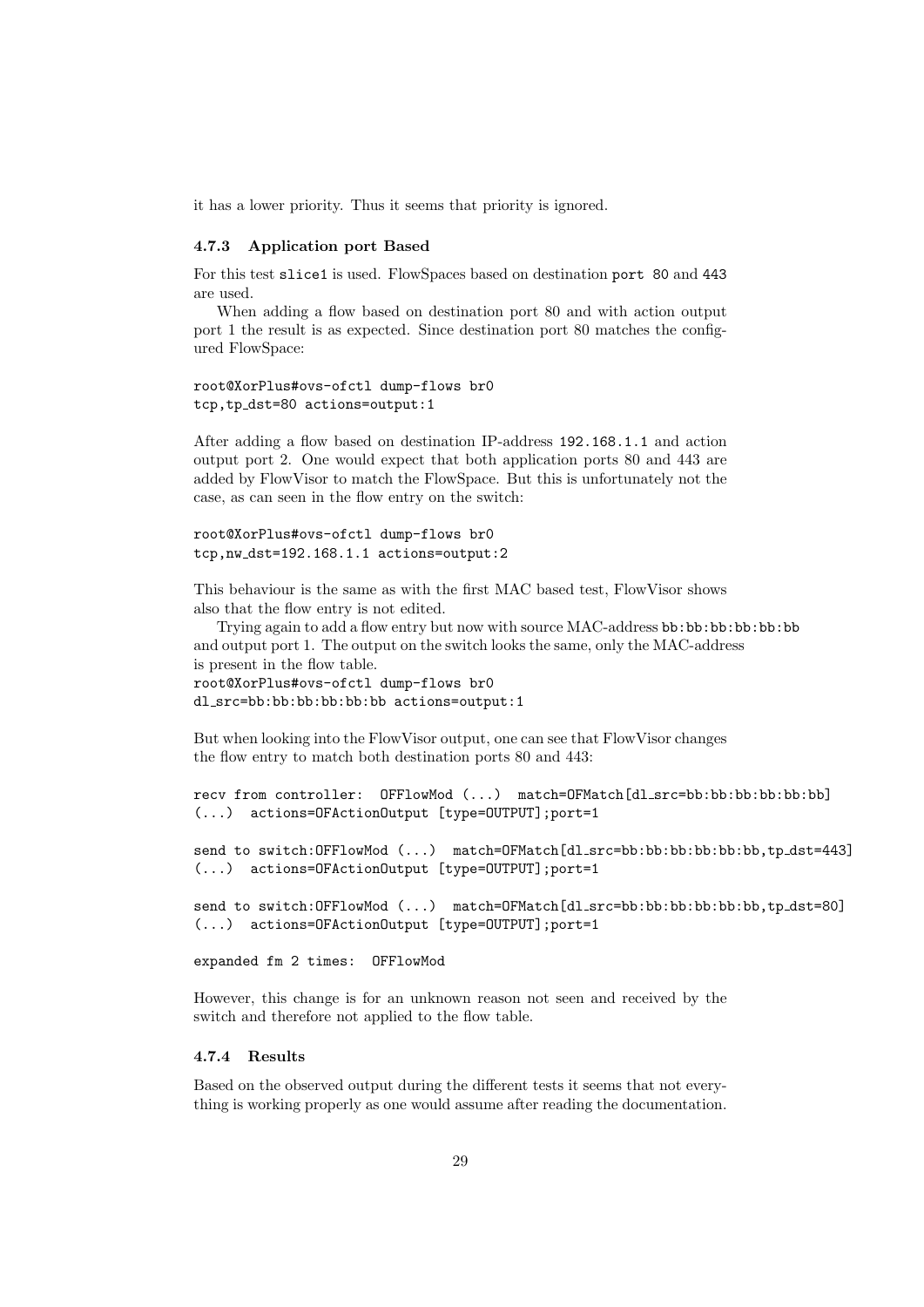it has a lower priority. Thus it seems that priority is ignored.

#### 4.7.3 Application port Based

For this test slice1 is used. FlowSpaces based on destination port 80 and 443 are used.

When adding a flow based on destination port 80 and with action output port 1 the result is as expected. Since destination port 80 matches the configured FlowSpace:

```
root@XorPlus#ovs-ofctl dump-flows br0
tcp,tp dst=80 actions=output:1
```
After adding a flow based on destination IP-address 192.168.1.1 and action output port 2. One would expect that both application ports 80 and 443 are added by FlowVisor to match the FlowSpace. But this is unfortunately not the case, as can seen in the flow entry on the switch:

```
root@XorPlus#ovs-ofctl dump-flows br0
tcp,nw dst=192.168.1.1 actions=output:2
```
This behaviour is the same as with the first MAC based test, FlowVisor shows also that the flow entry is not edited.

Trying again to add a flow entry but now with source MAC-address bb:bb:bb:bb:bb:bb and output port 1. The output on the switch looks the same, only the MAC-address is present in the flow table.

```
root@XorPlus#ovs-ofctl dump-flows br0
dl src=bb:bb:bb:bb:bb:bb actions=output:1
```
But when looking into the FlowVisor output, one can see that FlowVisor changes the flow entry to match both destination ports 80 and 443:

```
recv from controller: OFFlowMod (...) match=OFMatch[dl_src=bb:bb:bb:bb:bb:bb]
(...) actions=OFActionOutput [type=OUTPUT];port=1
```

```
send to switch:OFFlowMod (...) match=OFMatch[dl_src=bb:bb:bb:bb:bb;bb,tp_dst=443]
(...) actions=OFActionOutput [type=OUTPUT];port=1
```
send to switch:OFFlowMod (...) match=OFMatch[dl\_src=bb:bb:bb:bb:bb:bb,tp\_dst=80] (...) actions=OFActionOutput [type=OUTPUT];port=1

expanded fm 2 times: OFFlowMod

However, this change is for an unknown reason not seen and received by the switch and therefore not applied to the flow table.

#### 4.7.4 Results

Based on the observed output during the different tests it seems that not everything is working properly as one would assume after reading the documentation.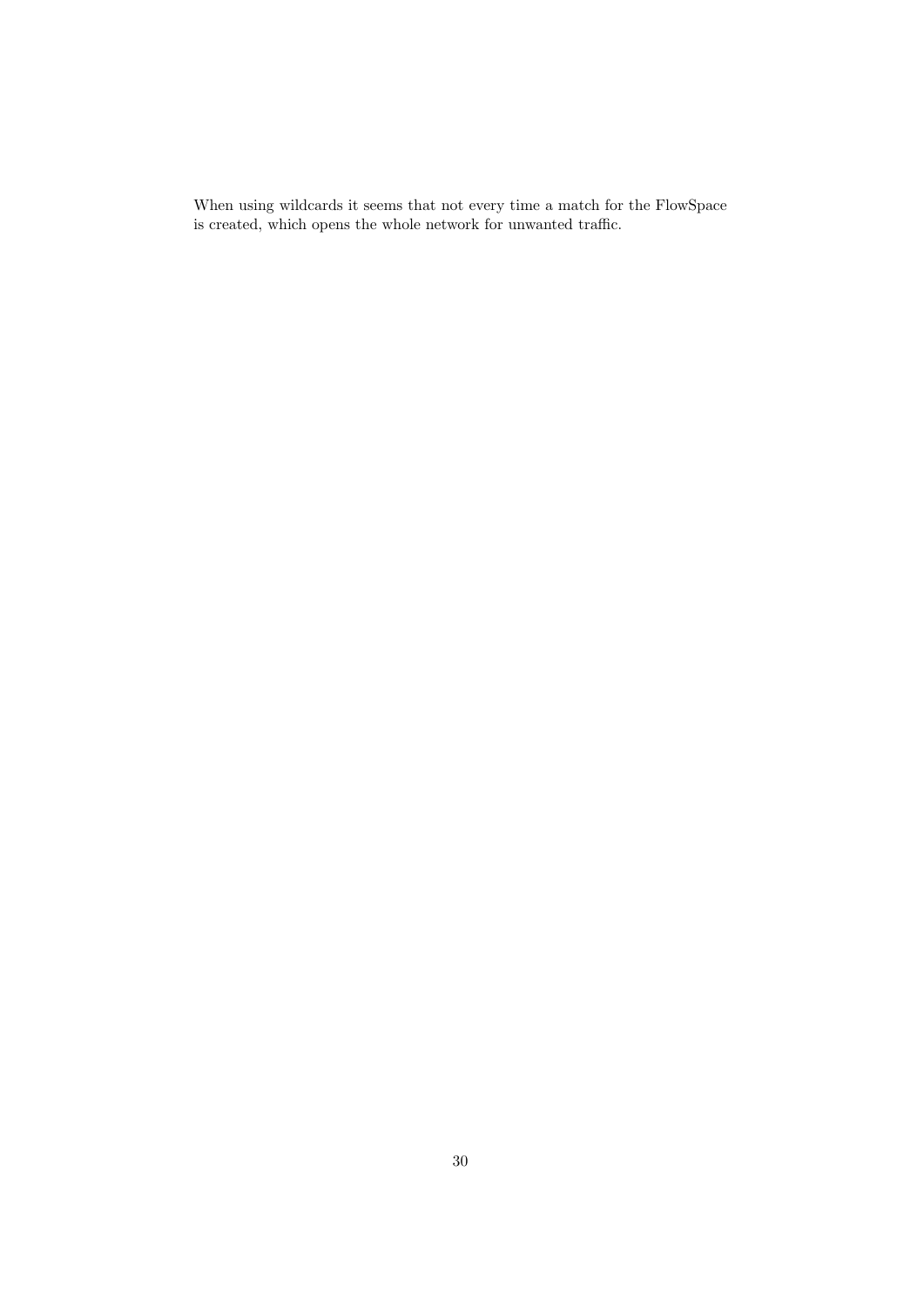When using wildcards it seems that not every time a match for the FlowSpace is created, which opens the whole network for unwanted traffic.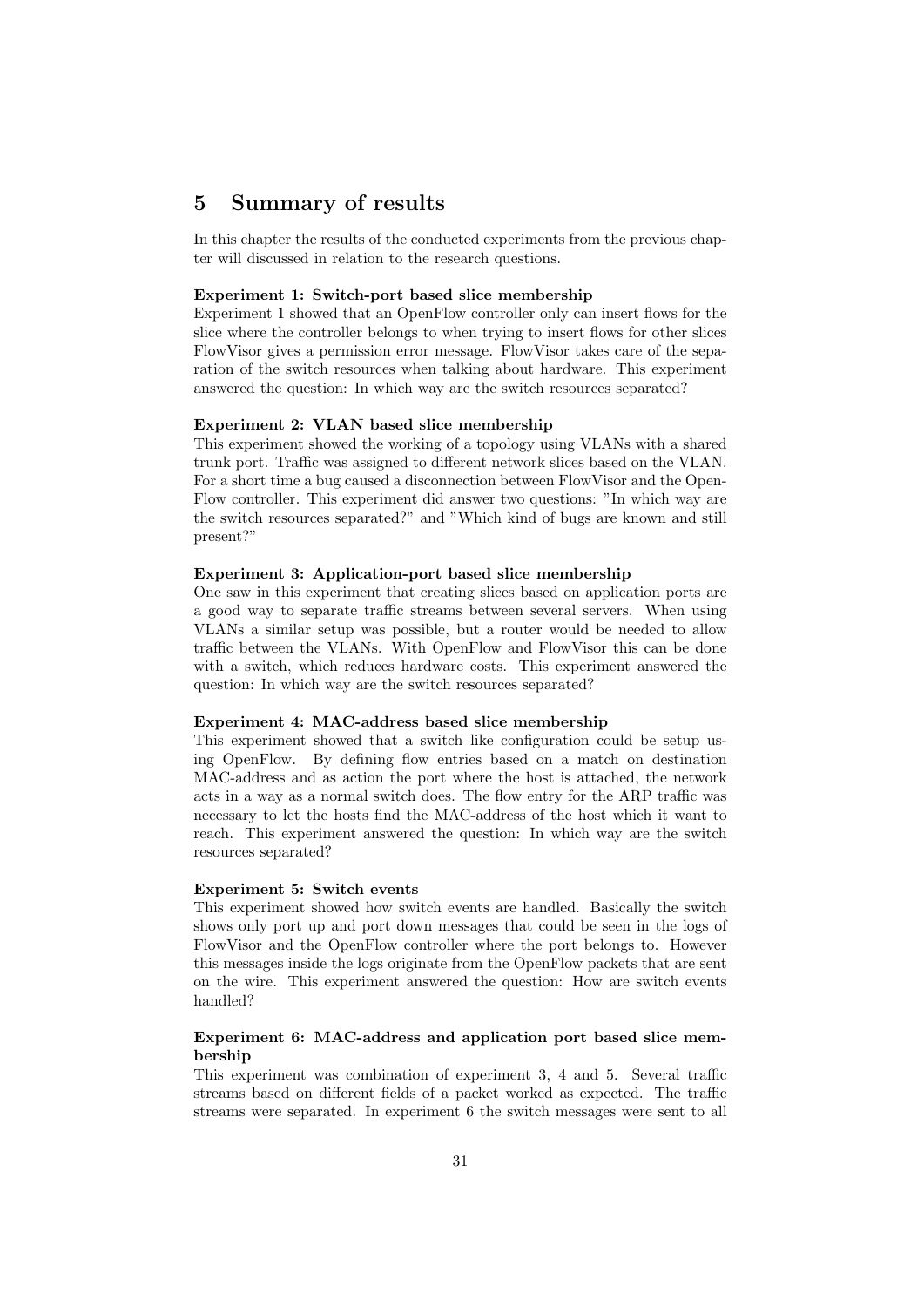# 5 Summary of results

In this chapter the results of the conducted experiments from the previous chapter will discussed in relation to the research questions.

#### Experiment 1: Switch-port based slice membership

Experiment 1 showed that an OpenFlow controller only can insert flows for the slice where the controller belongs to when trying to insert flows for other slices FlowVisor gives a permission error message. FlowVisor takes care of the separation of the switch resources when talking about hardware. This experiment answered the question: In which way are the switch resources separated?

# Experiment 2: VLAN based slice membership

This experiment showed the working of a topology using VLANs with a shared trunk port. Traffic was assigned to different network slices based on the VLAN. For a short time a bug caused a disconnection between FlowVisor and the Open-Flow controller. This experiment did answer two questions: "In which way are the switch resources separated?" and "Which kind of bugs are known and still present?"

#### Experiment 3: Application-port based slice membership

One saw in this experiment that creating slices based on application ports are a good way to separate traffic streams between several servers. When using VLANs a similar setup was possible, but a router would be needed to allow traffic between the VLANs. With OpenFlow and FlowVisor this can be done with a switch, which reduces hardware costs. This experiment answered the question: In which way are the switch resources separated?

#### Experiment 4: MAC-address based slice membership

This experiment showed that a switch like configuration could be setup using OpenFlow. By defining flow entries based on a match on destination MAC-address and as action the port where the host is attached, the network acts in a way as a normal switch does. The flow entry for the ARP traffic was necessary to let the hosts find the MAC-address of the host which it want to reach. This experiment answered the question: In which way are the switch resources separated?

#### Experiment 5: Switch events

This experiment showed how switch events are handled. Basically the switch shows only port up and port down messages that could be seen in the logs of FlowVisor and the OpenFlow controller where the port belongs to. However this messages inside the logs originate from the OpenFlow packets that are sent on the wire. This experiment answered the question: How are switch events handled?

# Experiment 6: MAC-address and application port based slice membership

This experiment was combination of experiment 3, 4 and 5. Several traffic streams based on different fields of a packet worked as expected. The traffic streams were separated. In experiment 6 the switch messages were sent to all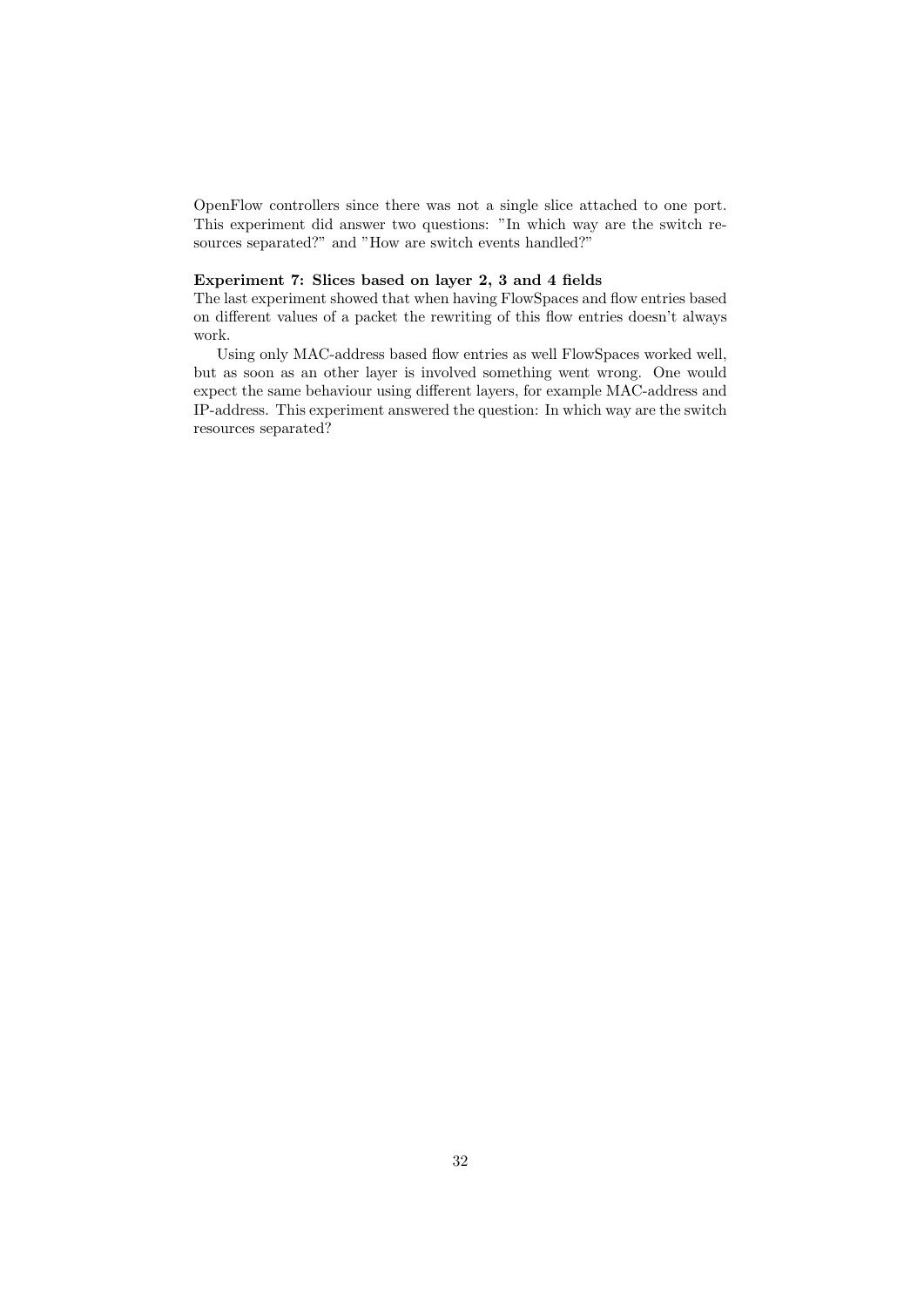OpenFlow controllers since there was not a single slice attached to one port. This experiment did answer two questions: "In which way are the switch resources separated?" and "How are switch events handled?"

# Experiment 7: Slices based on layer 2, 3 and 4 fields

The last experiment showed that when having FlowSpaces and flow entries based on different values of a packet the rewriting of this flow entries doesn't always work.

Using only MAC-address based flow entries as well FlowSpaces worked well, but as soon as an other layer is involved something went wrong. One would expect the same behaviour using different layers, for example MAC-address and IP-address. This experiment answered the question: In which way are the switch resources separated?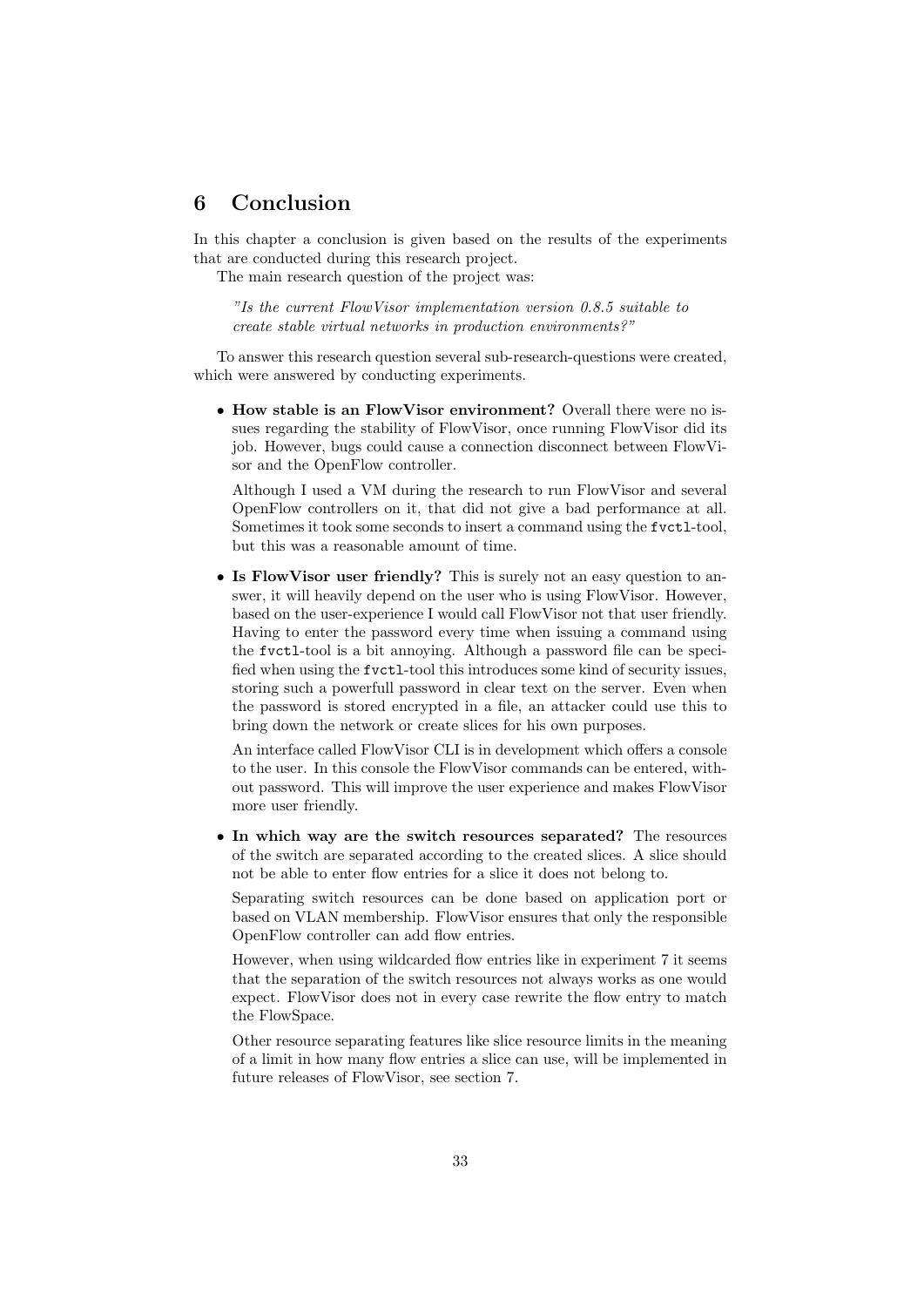# 6 Conclusion

In this chapter a conclusion is given based on the results of the experiments that are conducted during this research project.

The main research question of the project was:

"Is the current FlowVisor implementation version 0.8.5 suitable to create stable virtual networks in production environments?"

To answer this research question several sub-research-questions were created, which were answered by conducting experiments.

• How stable is an FlowVisor environment? Overall there were no issues regarding the stability of FlowVisor, once running FlowVisor did its job. However, bugs could cause a connection disconnect between FlowVisor and the OpenFlow controller.

Although I used a VM during the research to run FlowVisor and several OpenFlow controllers on it, that did not give a bad performance at all. Sometimes it took some seconds to insert a command using the fvctl-tool, but this was a reasonable amount of time.

• Is FlowVisor user friendly? This is surely not an easy question to answer, it will heavily depend on the user who is using FlowVisor. However, based on the user-experience I would call FlowVisor not that user friendly. Having to enter the password every time when issuing a command using the fvctl-tool is a bit annoying. Although a password file can be specified when using the fvctl-tool this introduces some kind of security issues, storing such a powerfull password in clear text on the server. Even when the password is stored encrypted in a file, an attacker could use this to bring down the network or create slices for his own purposes.

An interface called FlowVisor CLI is in development which offers a console to the user. In this console the FlowVisor commands can be entered, without password. This will improve the user experience and makes FlowVisor more user friendly.

• In which way are the switch resources separated? The resources of the switch are separated according to the created slices. A slice should not be able to enter flow entries for a slice it does not belong to.

Separating switch resources can be done based on application port or based on VLAN membership. FlowVisor ensures that only the responsible OpenFlow controller can add flow entries.

However, when using wildcarded flow entries like in experiment 7 it seems that the separation of the switch resources not always works as one would expect. FlowVisor does not in every case rewrite the flow entry to match the FlowSpace.

Other resource separating features like slice resource limits in the meaning of a limit in how many flow entries a slice can use, will be implemented in future releases of FlowVisor, see section 7.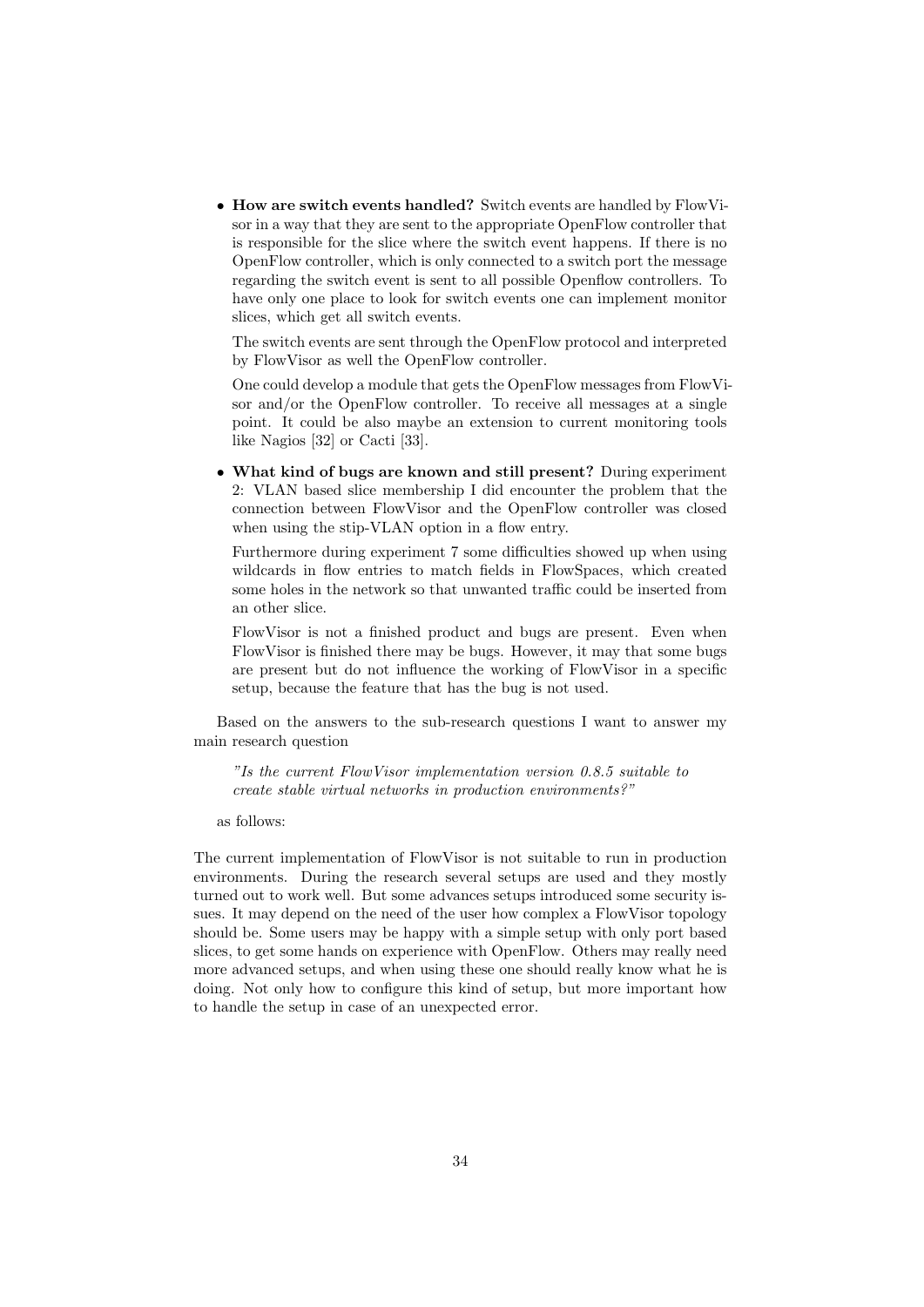• How are switch events handled? Switch events are handled by FlowVisor in a way that they are sent to the appropriate OpenFlow controller that is responsible for the slice where the switch event happens. If there is no OpenFlow controller, which is only connected to a switch port the message regarding the switch event is sent to all possible Openflow controllers. To have only one place to look for switch events one can implement monitor slices, which get all switch events.

The switch events are sent through the OpenFlow protocol and interpreted by FlowVisor as well the OpenFlow controller.

One could develop a module that gets the OpenFlow messages from FlowVisor and/or the OpenFlow controller. To receive all messages at a single point. It could be also maybe an extension to current monitoring tools like Nagios [32] or Cacti [33].

• What kind of bugs are known and still present? During experiment 2: VLAN based slice membership I did encounter the problem that the connection between FlowVisor and the OpenFlow controller was closed when using the stip-VLAN option in a flow entry.

Furthermore during experiment 7 some difficulties showed up when using wildcards in flow entries to match fields in FlowSpaces, which created some holes in the network so that unwanted traffic could be inserted from an other slice.

FlowVisor is not a finished product and bugs are present. Even when FlowVisor is finished there may be bugs. However, it may that some bugs are present but do not influence the working of FlowVisor in a specific setup, because the feature that has the bug is not used.

Based on the answers to the sub-research questions I want to answer my main research question

"Is the current FlowVisor implementation version 0.8.5 suitable to create stable virtual networks in production environments?"

as follows:

The current implementation of FlowVisor is not suitable to run in production environments. During the research several setups are used and they mostly turned out to work well. But some advances setups introduced some security issues. It may depend on the need of the user how complex a FlowVisor topology should be. Some users may be happy with a simple setup with only port based slices, to get some hands on experience with OpenFlow. Others may really need more advanced setups, and when using these one should really know what he is doing. Not only how to configure this kind of setup, but more important how to handle the setup in case of an unexpected error.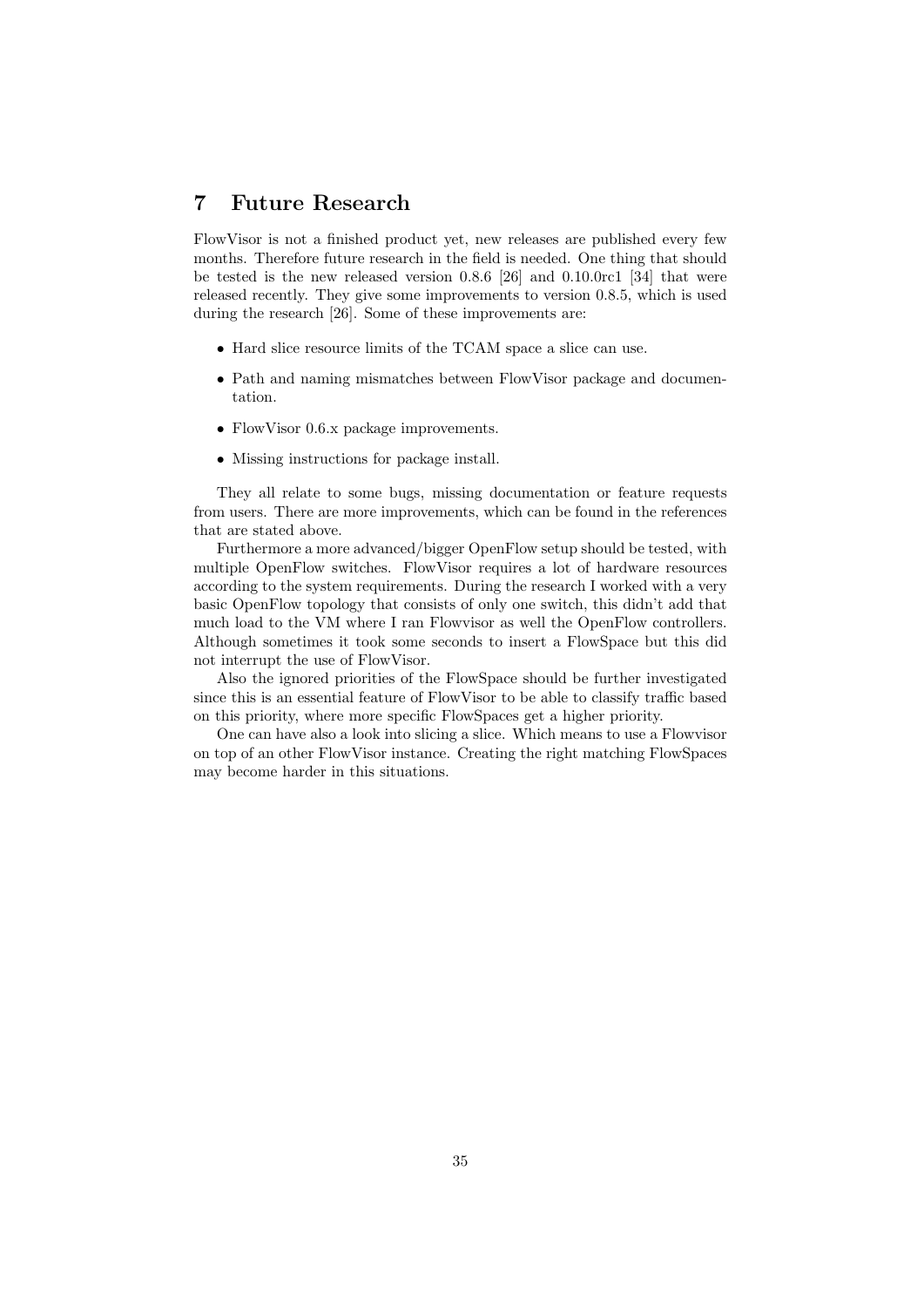# 7 Future Research

FlowVisor is not a finished product yet, new releases are published every few months. Therefore future research in the field is needed. One thing that should be tested is the new released version 0.8.6 [26] and 0.10.0rc1 [34] that were released recently. They give some improvements to version 0.8.5, which is used during the research [26]. Some of these improvements are:

- Hard slice resource limits of the TCAM space a slice can use.
- Path and naming mismatches between FlowVisor package and documentation.
- FlowVisor 0.6.x package improvements.
- Missing instructions for package install.

They all relate to some bugs, missing documentation or feature requests from users. There are more improvements, which can be found in the references that are stated above.

Furthermore a more advanced/bigger OpenFlow setup should be tested, with multiple OpenFlow switches. FlowVisor requires a lot of hardware resources according to the system requirements. During the research I worked with a very basic OpenFlow topology that consists of only one switch, this didn't add that much load to the VM where I ran Flowvisor as well the OpenFlow controllers. Although sometimes it took some seconds to insert a FlowSpace but this did not interrupt the use of FlowVisor.

Also the ignored priorities of the FlowSpace should be further investigated since this is an essential feature of FlowVisor to be able to classify traffic based on this priority, where more specific FlowSpaces get a higher priority.

One can have also a look into slicing a slice. Which means to use a Flowvisor on top of an other FlowVisor instance. Creating the right matching FlowSpaces may become harder in this situations.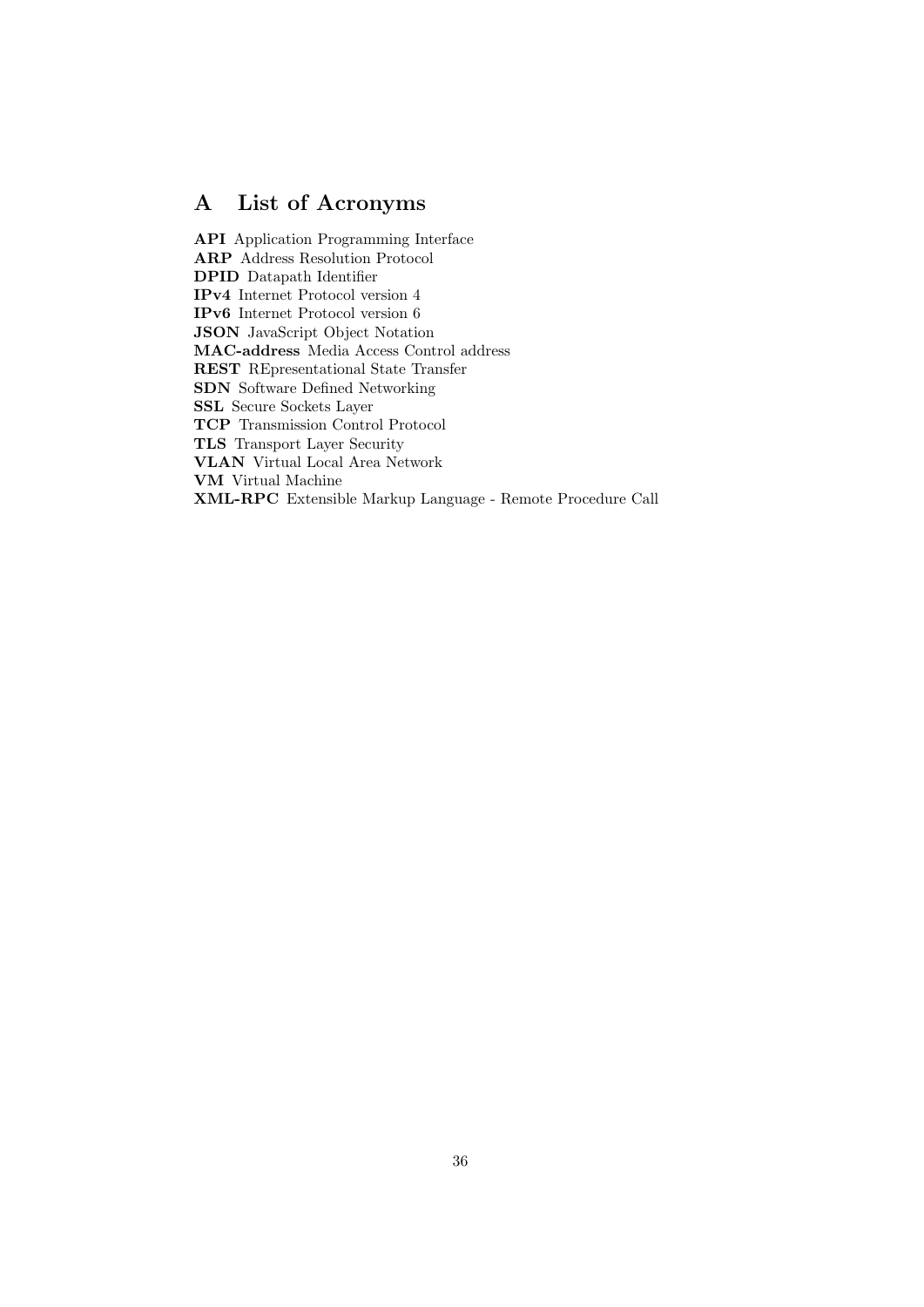# A List of Acronyms

API Application Programming Interface ARP Address Resolution Protocol DPID Datapath Identifier IPv4 Internet Protocol version 4 IPv6 Internet Protocol version 6 JSON JavaScript Object Notation MAC-address Media Access Control address REST REpresentational State Transfer SDN Software Defined Networking SSL Secure Sockets Layer TCP Transmission Control Protocol TLS Transport Layer Security VLAN Virtual Local Area Network VM Virtual Machine XML-RPC Extensible Markup Language - Remote Procedure Call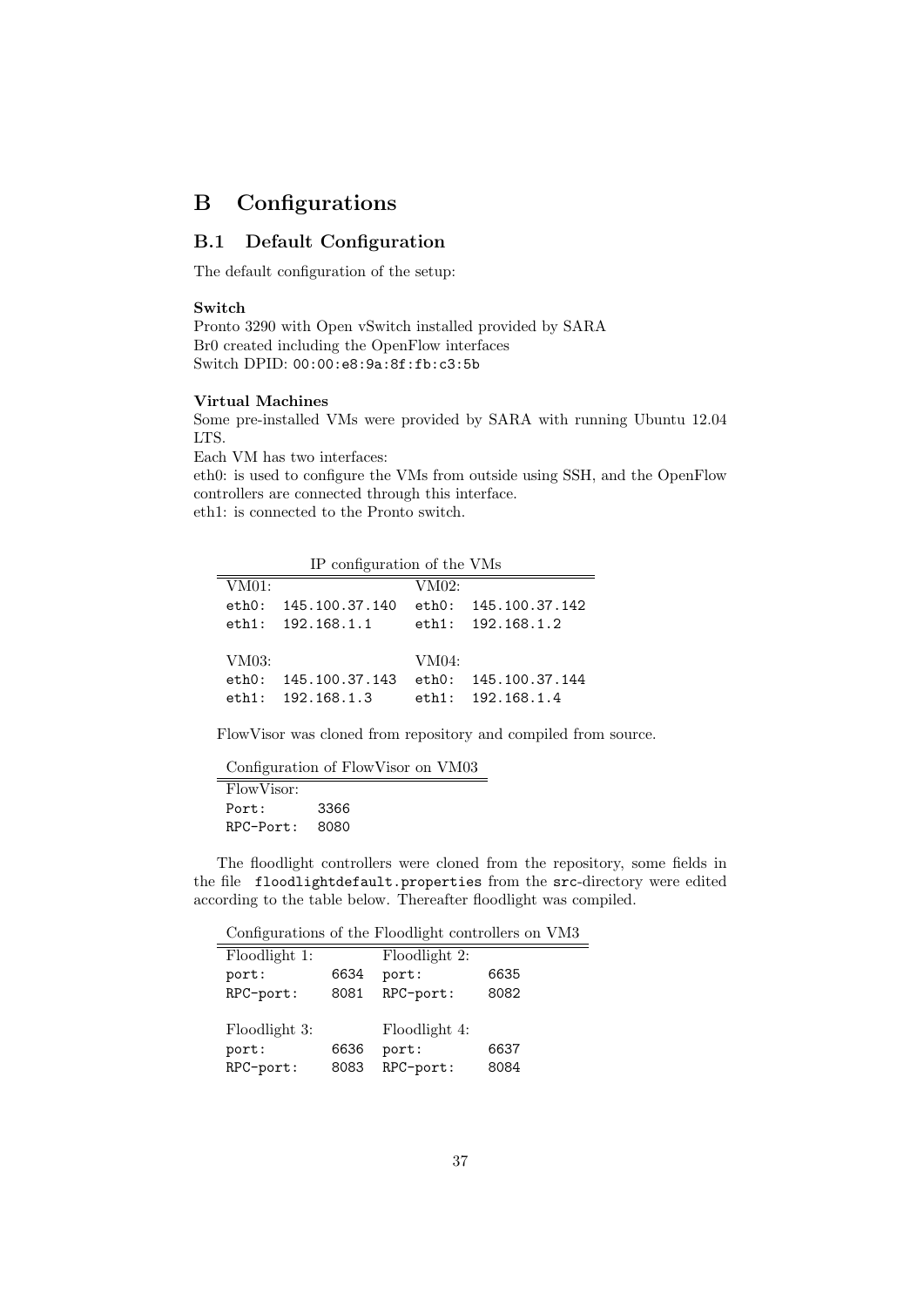# B Configurations

# B.1 Default Configuration

The default configuration of the setup:

#### Switch

Pronto 3290 with Open vSwitch installed provided by SARA Br0 created including the OpenFlow interfaces Switch DPID: 00:00:e8:9a:8f:fb:c3:5b

### Virtual Machines

Some pre-installed VMs were provided by SARA with running Ubuntu 12.04 LTS.

Each VM has two interfaces:

eth0: is used to configure the VMs from outside using SSH, and the OpenFlow controllers are connected through this interface. eth1: is connected to the Pronto switch.

IP configuration of the VMs

| $\frac{1}{2}$ $\frac{1}{2}$ $\frac{1}{2}$ $\frac{1}{2}$ $\frac{1}{2}$ $\frac{1}{2}$ $\frac{1}{2}$ $\frac{1}{2}$ $\frac{1}{2}$ $\frac{1}{2}$ $\frac{1}{2}$ $\frac{1}{2}$ $\frac{1}{2}$ $\frac{1}{2}$ $\frac{1}{2}$ $\frac{1}{2}$ $\frac{1}{2}$ $\frac{1}{2}$ $\frac{1}{2}$ $\frac{1}{2}$ $\frac{1}{2}$ $\frac{1}{2}$ |                |       |                      |
|---------------------------------------------------------------------------------------------------------------------------------------------------------------------------------------------------------------------------------------------------------------------------------------------------------------------|----------------|-------|----------------------|
| VM01:                                                                                                                                                                                                                                                                                                               |                | VM02: |                      |
| $e$ th $0$ :                                                                                                                                                                                                                                                                                                        | 145.100.37.140 |       | eth0: 145.100.37.142 |
| $e$ th $1$ :                                                                                                                                                                                                                                                                                                        | 192.168.1.1    |       | eth1: 192.168.1.2    |
|                                                                                                                                                                                                                                                                                                                     |                |       |                      |
| VM03:                                                                                                                                                                                                                                                                                                               |                | VM04: |                      |
| $e$ th $0:$                                                                                                                                                                                                                                                                                                         | 145.100.37.143 |       | eth0: 145.100.37.144 |
| $e$ th $1:$                                                                                                                                                                                                                                                                                                         | 192.168.1.3    |       | $e$ th1: 192.168.1.4 |

FlowVisor was cloned from repository and compiled from source.

Configuration of FlowVisor on VM03

FlowVisor: Port: 3366 RPC-Port: 8080

The floodlight controllers were cloned from the repository, some fields in the file floodlightdefault.properties from the src-directory were edited according to the table below. Thereafter floodlight was compiled.

Configurations of the Floodlight controllers on VM3

| Floodlight 1: |      | Floodlight 2: |      |
|---------------|------|---------------|------|
| port:         | 6634 | port:         | 6635 |
| RPC-port:     | 8081 | RPC-port:     | 8082 |
|               |      |               |      |
| Floodlight 3: |      | Floodlight 4: |      |
| port:         | 6636 | port:         | 6637 |
| RPC-port:     | 8083 | RPC-port:     | 8084 |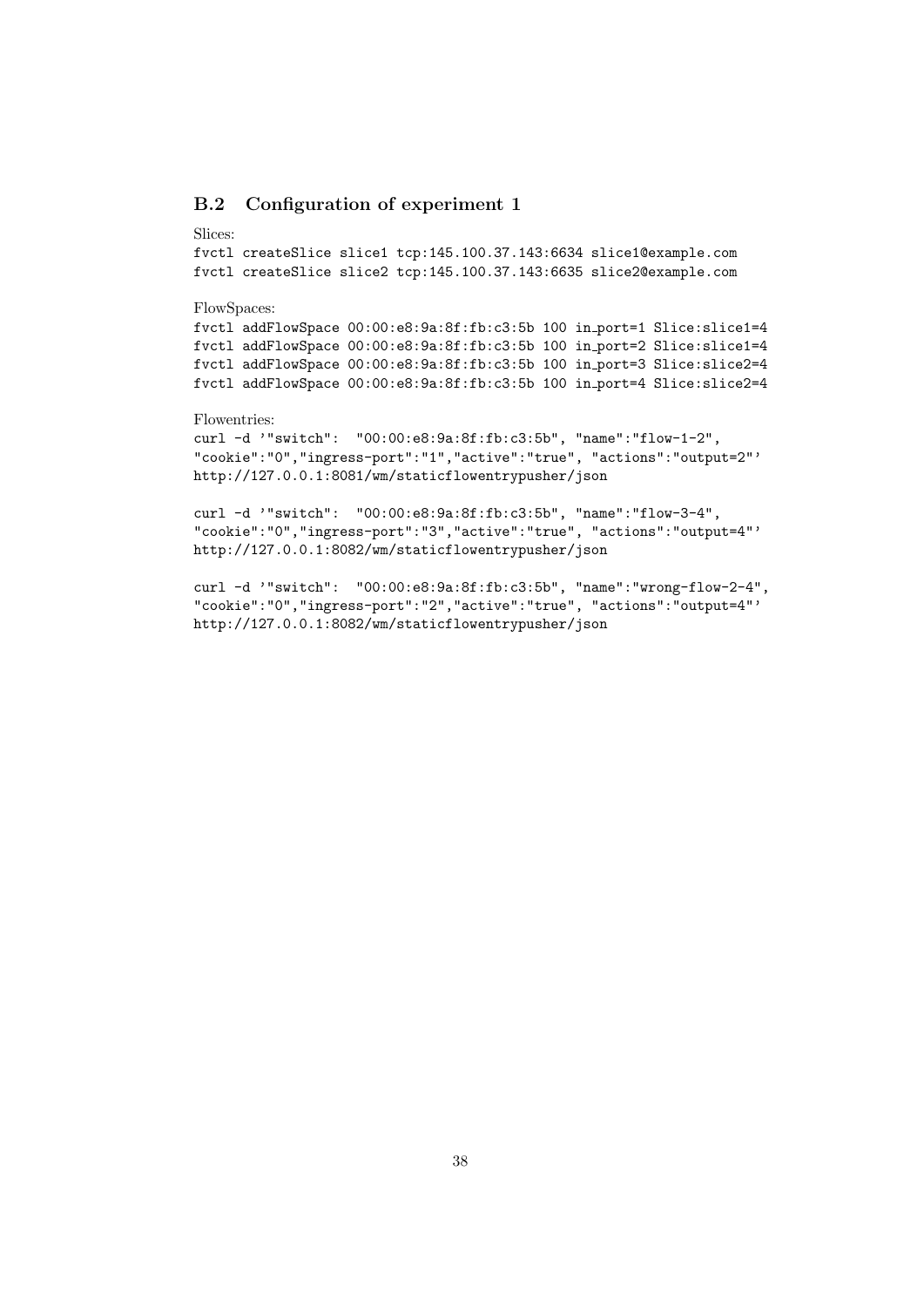# B.2 Configuration of experiment 1

#### Slices:

fvctl createSlice slice1 tcp:145.100.37.143:6634 slice1@example.com fvctl createSlice slice2 tcp:145.100.37.143:6635 slice2@example.com

#### FlowSpaces:

fvctl addFlowSpace 00:00:e8:9a:8f:fb:c3:5b 100 in port=1 Slice:slice1=4 fvctl addFlowSpace 00:00:e8:9a:8f:fb:c3:5b 100 in port=2 Slice:slice1=4 fvctl addFlowSpace 00:00:e8:9a:8f:fb:c3:5b 100 in port=3 Slice:slice2=4 fvctl addFlowSpace 00:00:e8:9a:8f:fb:c3:5b 100 in port=4 Slice:slice2=4

# Flowentries:

curl -d '"switch": "00:00:e8:9a:8f:fb:c3:5b", "name":"flow-1-2", "cookie":"0","ingress-port":"1","active":"true", "actions":"output=2"' http://127.0.0.1:8081/wm/staticflowentrypusher/json

curl -d '"switch": "00:00:e8:9a:8f:fb:c3:5b", "name":"flow-3-4", "cookie":"0","ingress-port":"3","active":"true", "actions":"output=4"' http://127.0.0.1:8082/wm/staticflowentrypusher/json

curl -d '"switch": "00:00:e8:9a:8f:fb:c3:5b", "name":"wrong-flow-2-4", "cookie":"0","ingress-port":"2","active":"true", "actions":"output=4"' http://127.0.0.1:8082/wm/staticflowentrypusher/json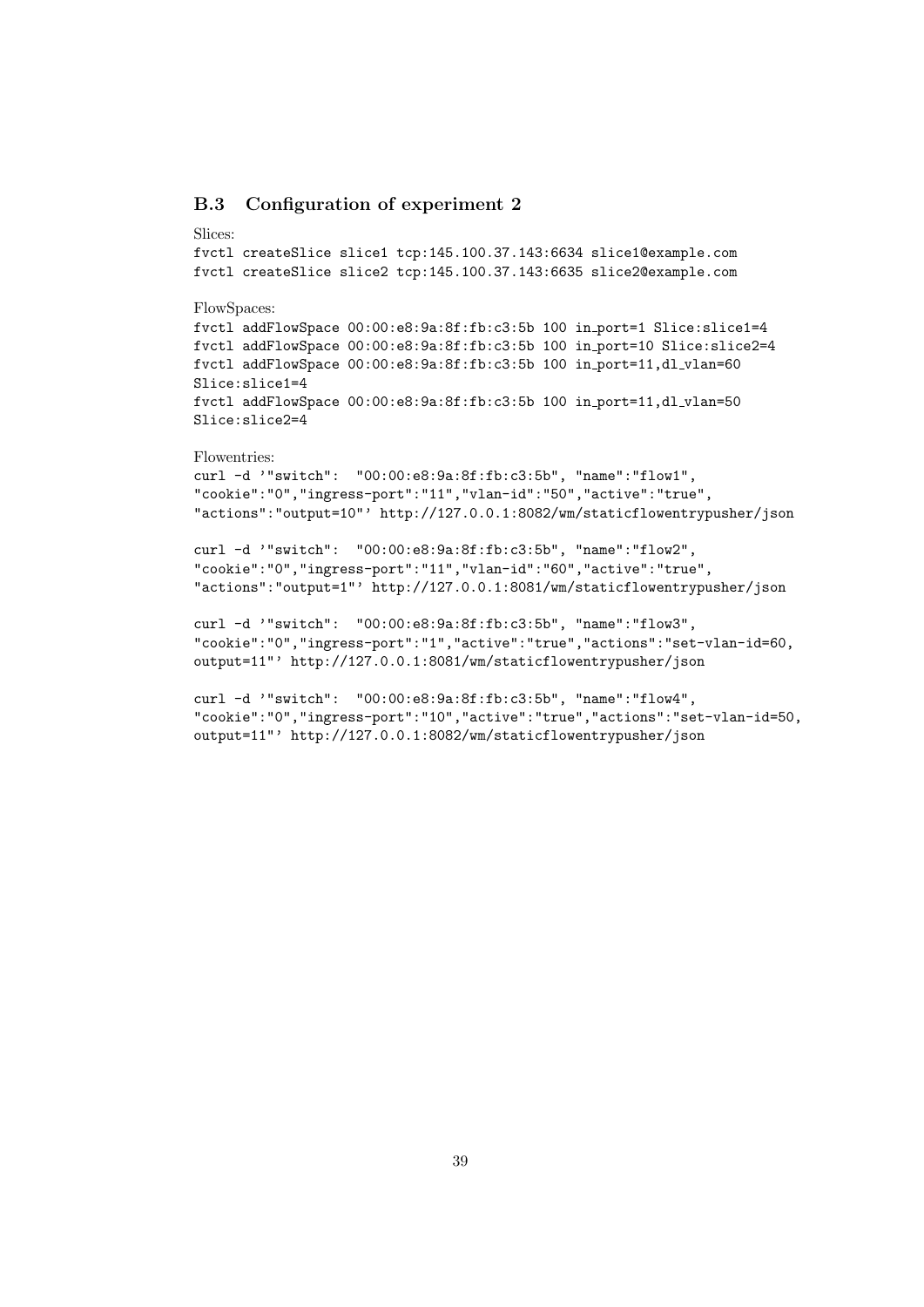# B.3 Configuration of experiment 2

#### Slices:

```
fvctl createSlice slice1 tcp:145.100.37.143:6634 slice1@example.com
fvctl createSlice slice2 tcp:145.100.37.143:6635 slice2@example.com
```
#### FlowSpaces:

fvctl addFlowSpace 00:00:e8:9a:8f:fb:c3:5b 100 in port=1 Slice:slice1=4 fvctl addFlowSpace 00:00:e8:9a:8f:fb:c3:5b 100 in port=10 Slice:slice2=4 fvctl addFlowSpace  $00:00:e8:9a:8f:fb: c3:5b 100 in-port=11, d1_vlan=60$ Slice:slice1=4 fvctl addFlowSpace  $00:00:e8:9a:8f:fb:c3:5b 100 in-port=11,dl_vlan=50$ Slice:slice2=4

#### Flowentries:

```
curl -d '"switch": "00:00:e8:9a:8f:fb:c3:5b", "name":"flow1",
"cookie":"0","ingress-port":"11","vlan-id":"50","active":"true",
"actions":"output=10"' http://127.0.0.1:8082/wm/staticflowentrypusher/json
```

```
curl -d '"switch": "00:00:e8:9a:8f:fb:c3:5b", "name":"flow2",
"cookie":"0","ingress-port":"11","vlan-id":"60","active":"true",
"actions":"output=1"' http://127.0.0.1:8081/wm/staticflowentrypusher/json
```

```
curl -d '"switch": "00:00:e8:9a:8f:fb:c3:5b", "name":"flow3",
"cookie":"0","ingress-port":"1","active":"true","actions":"set-vlan-id=60,
output=11"' http://127.0.0.1:8081/wm/staticflowentrypusher/json
```

```
curl -d '"switch": "00:00:e8:9a:8f:fb:c3:5b", "name":"flow4",
"cookie":"0","ingress-port":"10","active":"true","actions":"set-vlan-id=50,
output=11"' http://127.0.0.1:8082/wm/staticflowentrypusher/json
```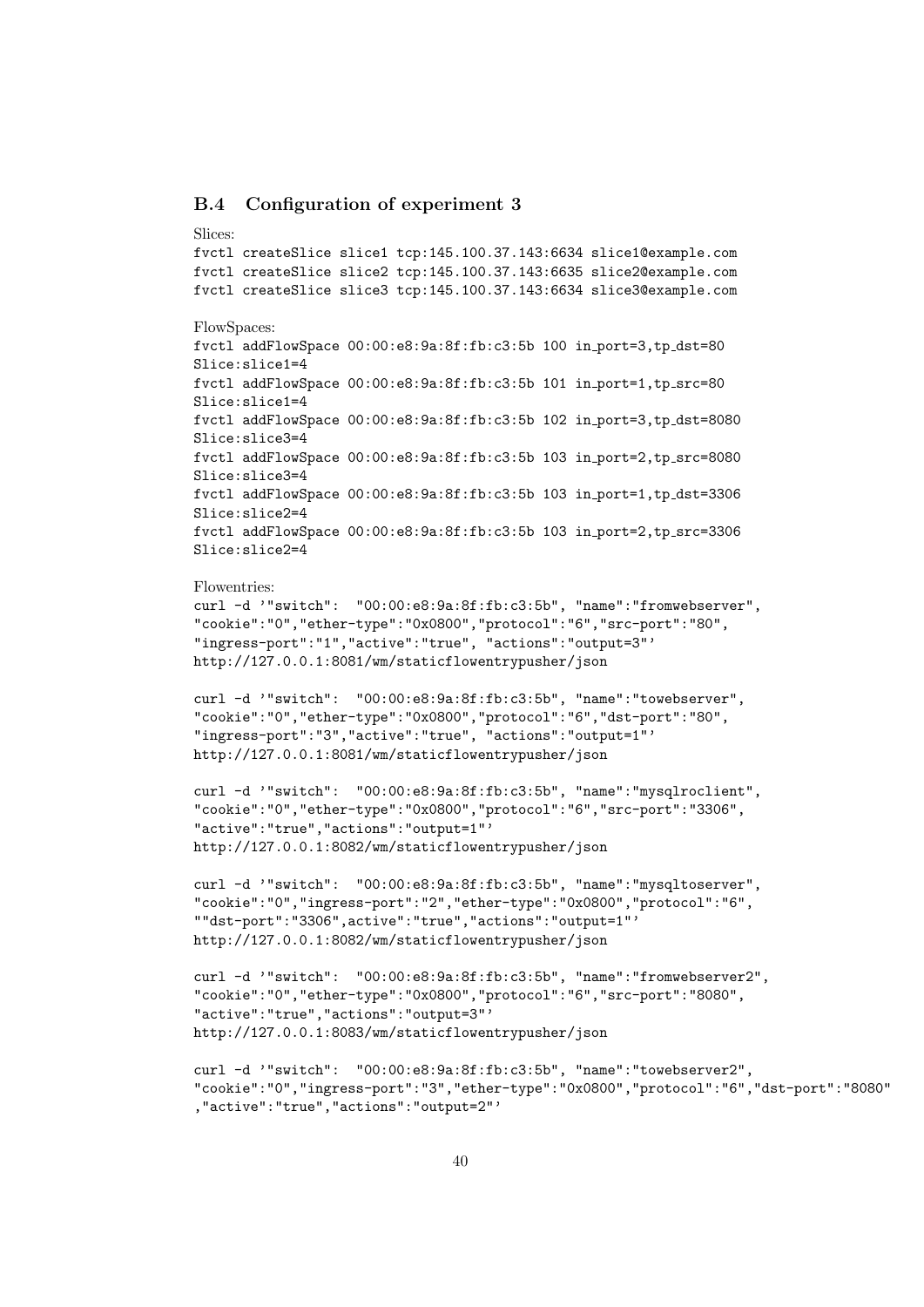## B.4 Configuration of experiment 3

#### Slices:

```
fvctl createSlice slice1 tcp:145.100.37.143:6634 slice1@example.com
fvctl createSlice slice2 tcp:145.100.37.143:6635 slice2@example.com
fvctl createSlice slice3 tcp:145.100.37.143:6634 slice3@example.com
FlowSpaces:
fvctl addFlowSpace 00:00:e8:9a:8f:fb:c3:5b 100 in port=3,tp dst=80
Slice:slice1=4
fvctl addFlowSpace 00:00:e8:9a:8f:fb: c3:5b 101 in-port=1, tp src=80Slice:slice1=4
fvctl addFlowSpace 00:00:e8:9a:8f:fb:c3:5b 102 in port=3,tp dst=8080
Slice:slice3=4
fvctl addFlowSpace 00:00:e8:9a:8f:fb:c3:5b 103 in port=2,tp src=8080
Slice:slice3=4
fvctl addFlowSpace 00:00:e8:9a:8f:fb:c3:5b 103 in port=1,tp dst=3306
Slice:slice2=4
fvctl addFlowSpace 00:00:e8:9a:8f:fb:c3:5b 103 in port=2,tp src=3306
Slice:slice2=4
```

```
Flowentries:
```

```
curl -d '"switch": "00:00:e8:9a:8f:fb:c3:5b", "name":"fromwebserver",
"cookie":"0","ether-type":"0x0800","protocol":"6","src-port":"80",
"ingress-port":"1","active":"true", "actions":"output=3"'
http://127.0.0.1:8081/wm/staticflowentrypusher/json
```

```
curl -d '"switch": "00:00:e8:9a:8f:fb:c3:5b", "name":"towebserver",
"cookie":"0","ether-type":"0x0800","protocol":"6","dst-port":"80",
"ingress-port":"3","active":"true", "actions":"output=1"'
http://127.0.0.1:8081/wm/staticflowentrypusher/json
```

```
curl -d '"switch": "00:00:e8:9a:8f:fb:c3:5b", "name":"mysqlroclient",
"cookie":"0","ether-type":"0x0800","protocol":"6","src-port":"3306",
"active":"true","actions":"output=1"'
http://127.0.0.1:8082/wm/staticflowentrypusher/json
```

```
curl -d '"switch": "00:00:e8:9a:8f:fb:c3:5b", "name":"mysqltoserver",
"cookie":"0","ingress-port":"2","ether-type":"0x0800","protocol":"6",
""dst-port":"3306",active":"true","actions":"output=1"'
http://127.0.0.1:8082/wm/staticflowentrypusher/json
```

```
curl -d '"switch": "00:00:e8:9a:8f:fb:c3:5b", "name":"fromwebserver2",
"cookie":"0","ether-type":"0x0800","protocol":"6","src-port":"8080",
"active":"true","actions":"output=3"'
http://127.0.0.1:8083/wm/staticflowentrypusher/json
```

```
curl -d '"switch": "00:00:e8:9a:8f:fb:c3:5b", "name":"towebserver2",
"cookie":"0","ingress-port":"3","ether-type":"0x0800","protocol":"6","dst-port":"8080"
,"active":"true","actions":"output=2"'
```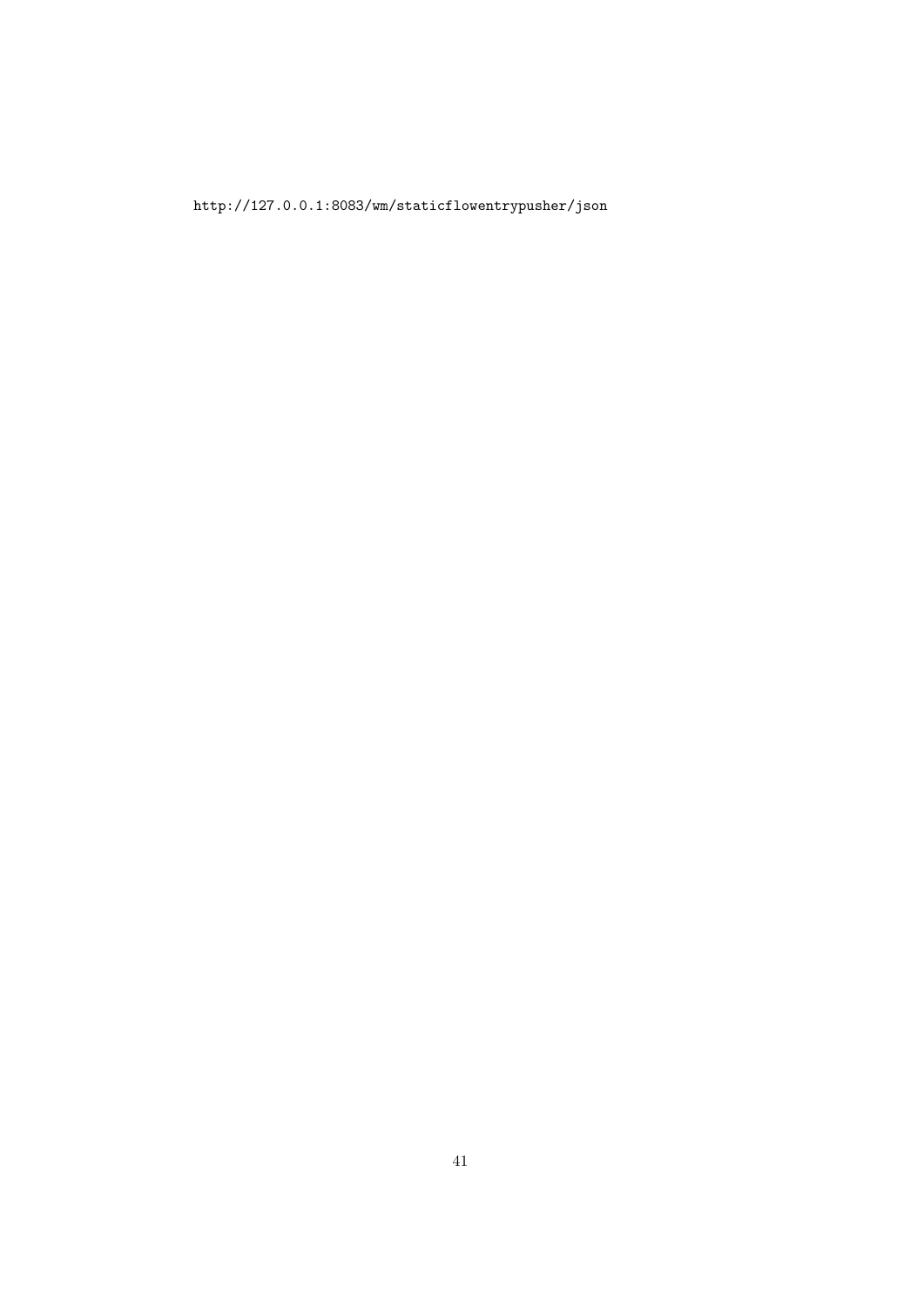http://127.0.0.1:8083/wm/staticflowentrypusher/json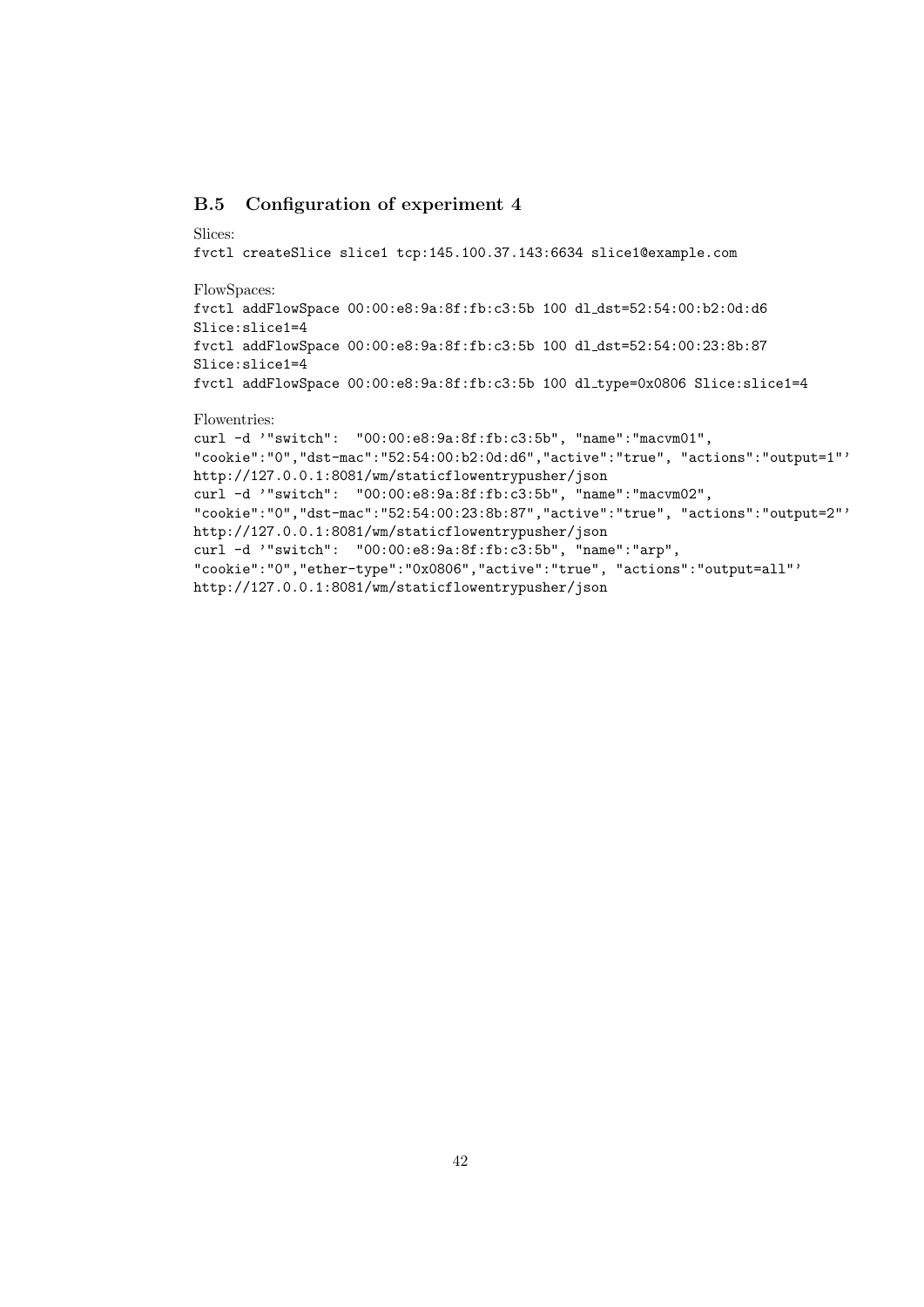# B.5 Configuration of experiment 4

#### Slices:

fvctl createSlice slice1 tcp:145.100.37.143:6634 slice1@example.com FlowSpaces: fvctl addFlowSpace 00:00:e8:9a:8f:fb:c3:5b 100 dl dst=52:54:00:b2:0d:d6 Slice:slice1=4 fvctl addFlowSpace 00:00:e8:9a:8f:fb:c3:5b 100 dl dst=52:54:00:23:8b:87 Slice:slice1=4 fvctl addFlowSpace 00:00:e8:9a:8f:fb:c3:5b 100 dl type=0x0806 Slice:slice1=4

# Flowentries:

curl -d '"switch": "00:00:e8:9a:8f:fb:c3:5b", "name":"macvm01", "cookie":"0","dst-mac":"52:54:00:b2:0d:d6","active":"true", "actions":"output=1"' http://127.0.0.1:8081/wm/staticflowentrypusher/json curl -d '"switch": "00:00:e8:9a:8f:fb:c3:5b", "name":"macvm02", "cookie":"0","dst-mac":"52:54:00:23:8b:87","active":"true", "actions":"output=2"' http://127.0.0.1:8081/wm/staticflowentrypusher/json curl -d '"switch": "00:00:e8:9a:8f:fb:c3:5b", "name":"arp", "cookie":"0","ether-type":"0x0806","active":"true", "actions":"output=all"' http://127.0.0.1:8081/wm/staticflowentrypusher/json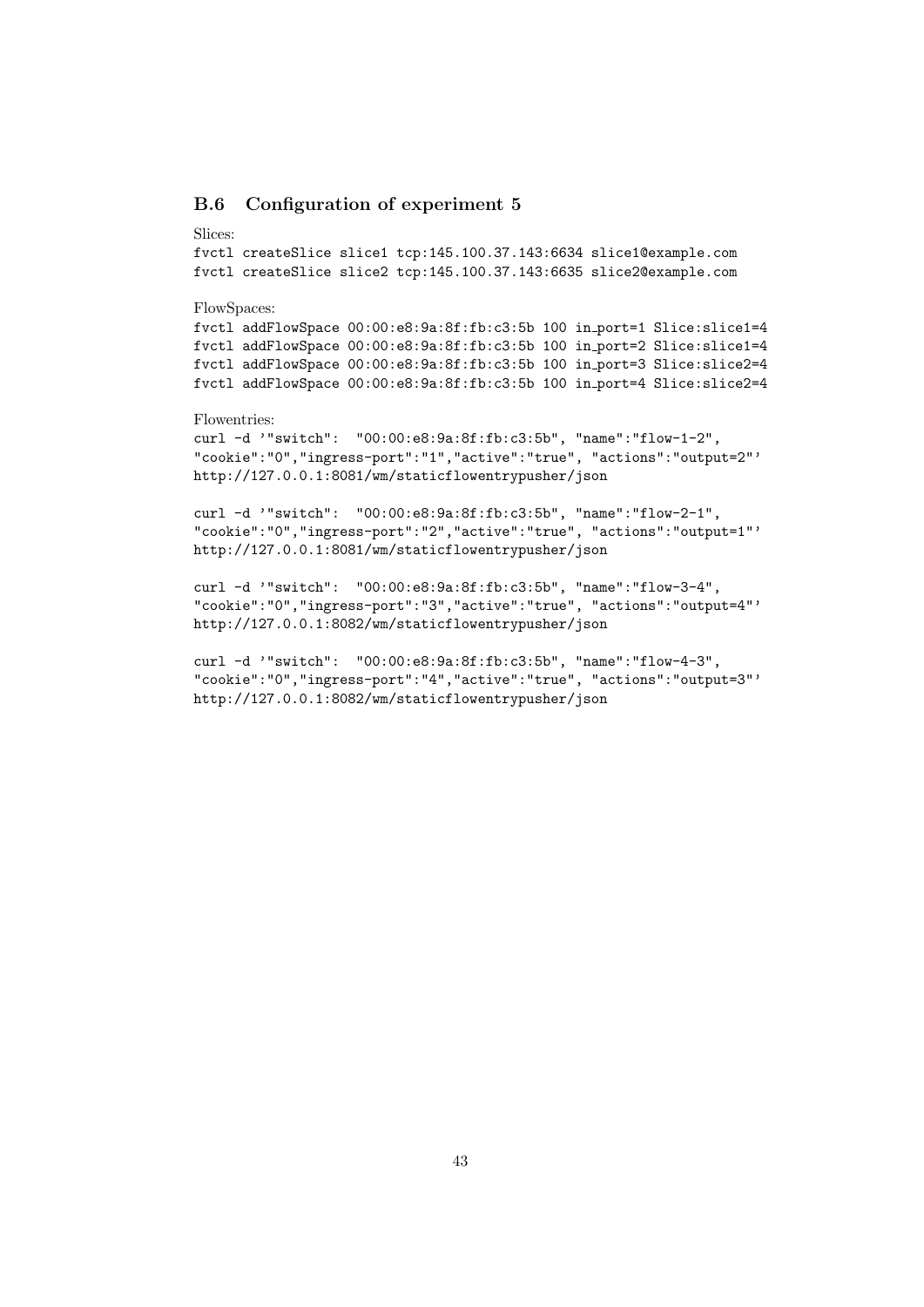# B.6 Configuration of experiment 5

#### Slices:

```
fvctl createSlice slice1 tcp:145.100.37.143:6634 slice1@example.com
fvctl createSlice slice2 tcp:145.100.37.143:6635 slice2@example.com
```
#### FlowSpaces:

fvctl addFlowSpace 00:00:e8:9a:8f:fb:c3:5b 100 in port=1 Slice:slice1=4 fvctl addFlowSpace 00:00:e8:9a:8f:fb:c3:5b 100 in port=2 Slice:slice1=4 fvctl addFlowSpace 00:00:e8:9a:8f:fb:c3:5b 100 in port=3 Slice:slice2=4 fvctl addFlowSpace 00:00:e8:9a:8f:fb:c3:5b 100 in port=4 Slice:slice2=4

# Flowentries:

```
curl -d '"switch": "00:00:e8:9a:8f:fb:c3:5b", "name":"flow-1-2",
"cookie":"0","ingress-port":"1","active":"true", "actions":"output=2"'
http://127.0.0.1:8081/wm/staticflowentrypusher/json
```
curl -d '"switch": "00:00:e8:9a:8f:fb:c3:5b", "name":"flow-2-1", "cookie":"0","ingress-port":"2","active":"true", "actions":"output=1"' http://127.0.0.1:8081/wm/staticflowentrypusher/json

curl -d '"switch": "00:00:e8:9a:8f:fb:c3:5b", "name":"flow-3-4", "cookie":"0","ingress-port":"3","active":"true", "actions":"output=4"' http://127.0.0.1:8082/wm/staticflowentrypusher/json

```
curl -d '"switch": "00:00:e8:9a:8f:fb:c3:5b", "name":"flow-4-3",
"cookie":"0","ingress-port":"4","active":"true", "actions":"output=3"'
http://127.0.0.1:8082/wm/staticflowentrypusher/json
```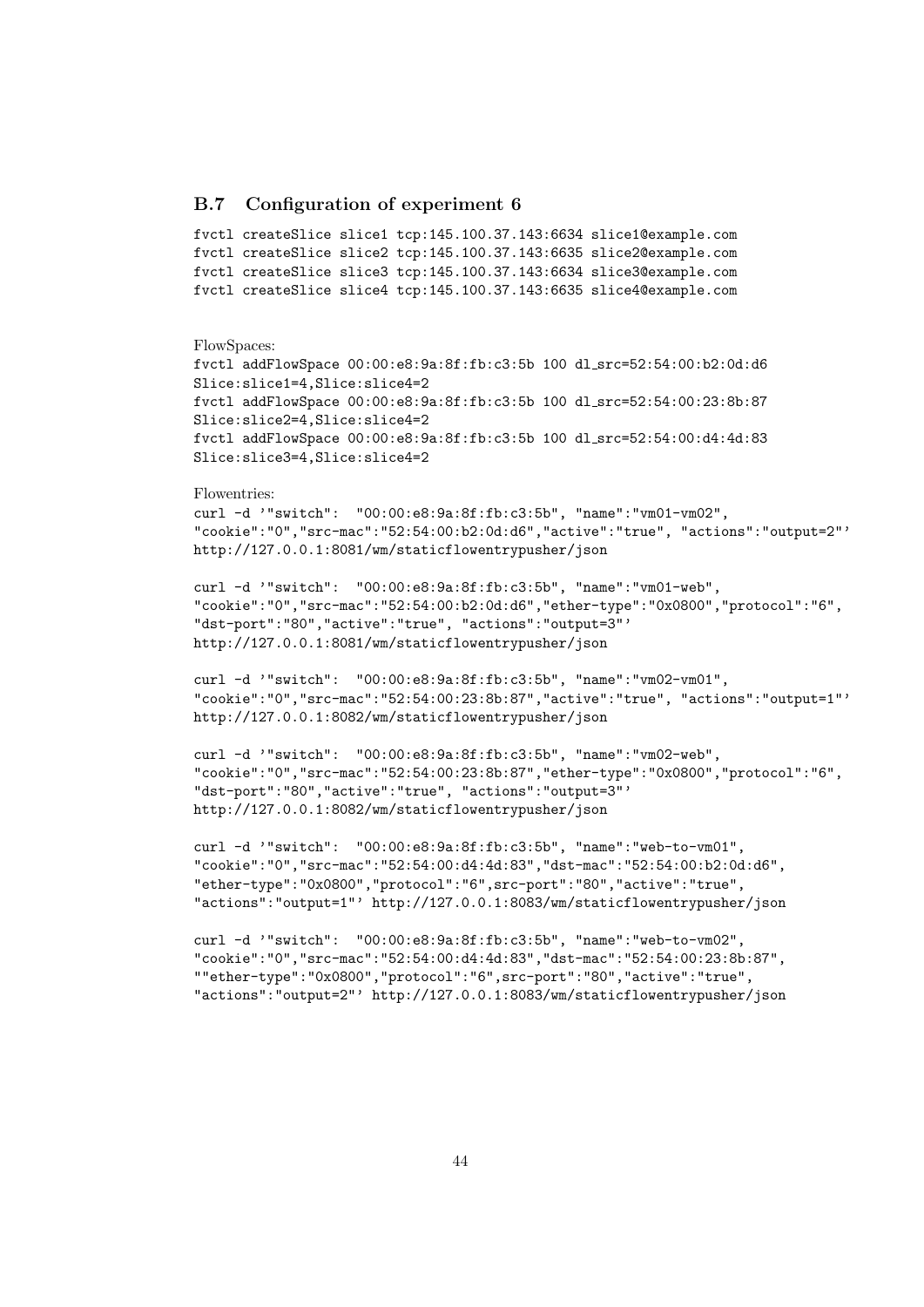# B.7 Configuration of experiment 6

```
fvctl createSlice slice1 tcp:145.100.37.143:6634 slice1@example.com
fvctl createSlice slice2 tcp:145.100.37.143:6635 slice2@example.com
fvctl createSlice slice3 tcp:145.100.37.143:6634 slice3@example.com
fvctl createSlice slice4 tcp:145.100.37.143:6635 slice4@example.com
```
#### FlowSpaces:

```
fvctl addFlowSpace 00:00:e8:9a:8f:fb:c3:5b 100 dl src=52:54:00:b2:0d:d6
Slice:slice1=4,Slice:slice4=2
fvctl addFlowSpace 00:00:e8:9a:8f:fb:c3:5b 100 dl src=52:54:00:23:8b:87
Slice:slice2=4,Slice:slice4=2
fvctl addFlowSpace 00:00:e8:9a:8f:fb:c3:5b 100 dl src=52:54:00:d4:4d:83
Slice:slice3=4,Slice:slice4=2
```
#### Flowentries:

curl -d '"switch": "00:00:e8:9a:8f:fb:c3:5b", "name":"vm01-vm02", "cookie":"0","src-mac":"52:54:00:b2:0d:d6","active":"true", "actions":"output=2"' http://127.0.0.1:8081/wm/staticflowentrypusher/json

curl -d '"switch": "00:00:e8:9a:8f:fb:c3:5b", "name":"vm01-web", "cookie":"0","src-mac":"52:54:00:b2:0d:d6","ether-type":"0x0800","protocol":"6", "dst-port":"80","active":"true", "actions":"output=3"' http://127.0.0.1:8081/wm/staticflowentrypusher/json

```
curl -d '"switch": "00:00:e8:9a:8f:fb:c3:5b", "name":"vm02-vm01",
"cookie":"0","src-mac":"52:54:00:23:8b:87","active":"true", "actions":"output=1"'
http://127.0.0.1:8082/wm/staticflowentrypusher/json
```

```
curl -d '"switch": "00:00:e8:9a:8f:fb:c3:5b", "name":"vm02-web",
"cookie":"0","src-mac":"52:54:00:23:8b:87","ether-type":"0x0800","protocol":"6",
"dst-port":"80","active":"true", "actions":"output=3"'
http://127.0.0.1:8082/wm/staticflowentrypusher/json
```

```
curl -d '"switch": "00:00:e8:9a:8f:fb:c3:5b", "name":"web-to-vm01",
"cookie":"0","src-mac":"52:54:00:d4:4d:83","dst-mac":"52:54:00:b2:0d:d6",
"ether-type":"0x0800","protocol":"6",src-port":"80","active":"true",
"actions":"output=1"' http://127.0.0.1:8083/wm/staticflowentrypusher/json
```

```
curl -d '"switch": "00:00:e8:9a:8f:fb:c3:5b", "name":"web-to-vm02",
"cookie":"0","src-mac":"52:54:00:d4:4d:83","dst-mac":"52:54:00:23:8b:87",
""ether-type":"0x0800","protocol":"6",src-port":"80","active":"true",
"actions":"output=2"' http://127.0.0.1:8083/wm/staticflowentrypusher/json
```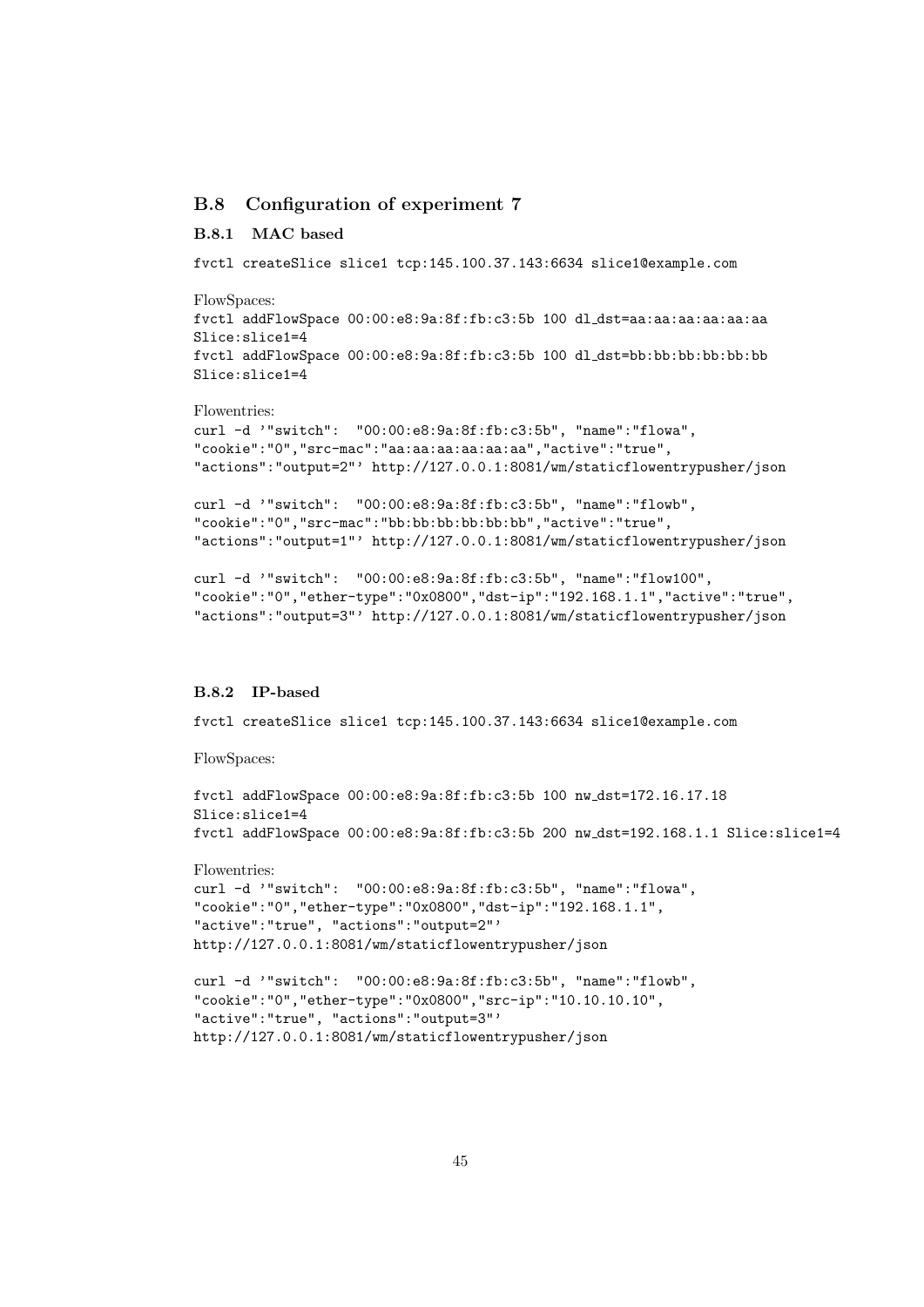# B.8 Configuration of experiment 7

### B.8.1 MAC based

fvctl createSlice slice1 tcp:145.100.37.143:6634 slice1@example.com

FlowSpaces:

fvctl addFlowSpace 00:00:e8:9a:8f:fb:c3:5b 100 dl dst=aa:aa:aa:aa:aa:aa Slice:slice1=4 fvctl addFlowSpace 00:00:e8:9a:8f:fb:c3:5b 100 dl dst=bb:bb:bb:bb:bb:bb Slice:slice1=4

#### Flowentries:

```
curl -d '"switch": "00:00:e8:9a:8f:fb:c3:5b", "name":"flowa",
"cookie":"0","src-mac":"aa:aa:aa:aa:aa:aa","active":"true",
"actions":"output=2"' http://127.0.0.1:8081/wm/staticflowentrypusher/json
```
curl -d '"switch": "00:00:e8:9a:8f:fb:c3:5b", "name":"flowb", "cookie":"0","src-mac":"bb:bb:bb:bb:bb:bb","active":"true", "actions":"output=1"' http://127.0.0.1:8081/wm/staticflowentrypusher/json

```
curl -d '"switch": "00:00:e8:9a:8f:fb:c3:5b", "name":"flow100",
"cookie":"0","ether-type":"0x0800","dst-ip":"192.168.1.1","active":"true",
"actions":"output=3"' http://127.0.0.1:8081/wm/staticflowentrypusher/json
```
## B.8.2 IP-based

fvctl createSlice slice1 tcp:145.100.37.143:6634 slice1@example.com

FlowSpaces:

```
fvctl addFlowSpace 00:00:e8:9a:8f:fb:c3:5b 100 nw dst=172.16.17.18
Slice:slice1=4
fvctl addFlowSpace 00:00:e8:9a:8f:fb:c3:5b 200 nw dst=192.168.1.1 Slice:slice1=4
```
Flowentries:

```
curl -d '"switch": "00:00:e8:9a:8f:fb:c3:5b", "name":"flowa",
"cookie":"0","ether-type":"0x0800","dst-ip":"192.168.1.1",
"active":"true", "actions":"output=2"'
http://127.0.0.1:8081/wm/staticflowentrypusher/json
```

```
curl -d '"switch": "00:00:e8:9a:8f:fb:c3:5b", "name":"flowb",
"cookie":"0","ether-type":"0x0800","src-ip":"10.10.10.10",
"active":"true", "actions":"output=3"'
http://127.0.0.1:8081/wm/staticflowentrypusher/json
```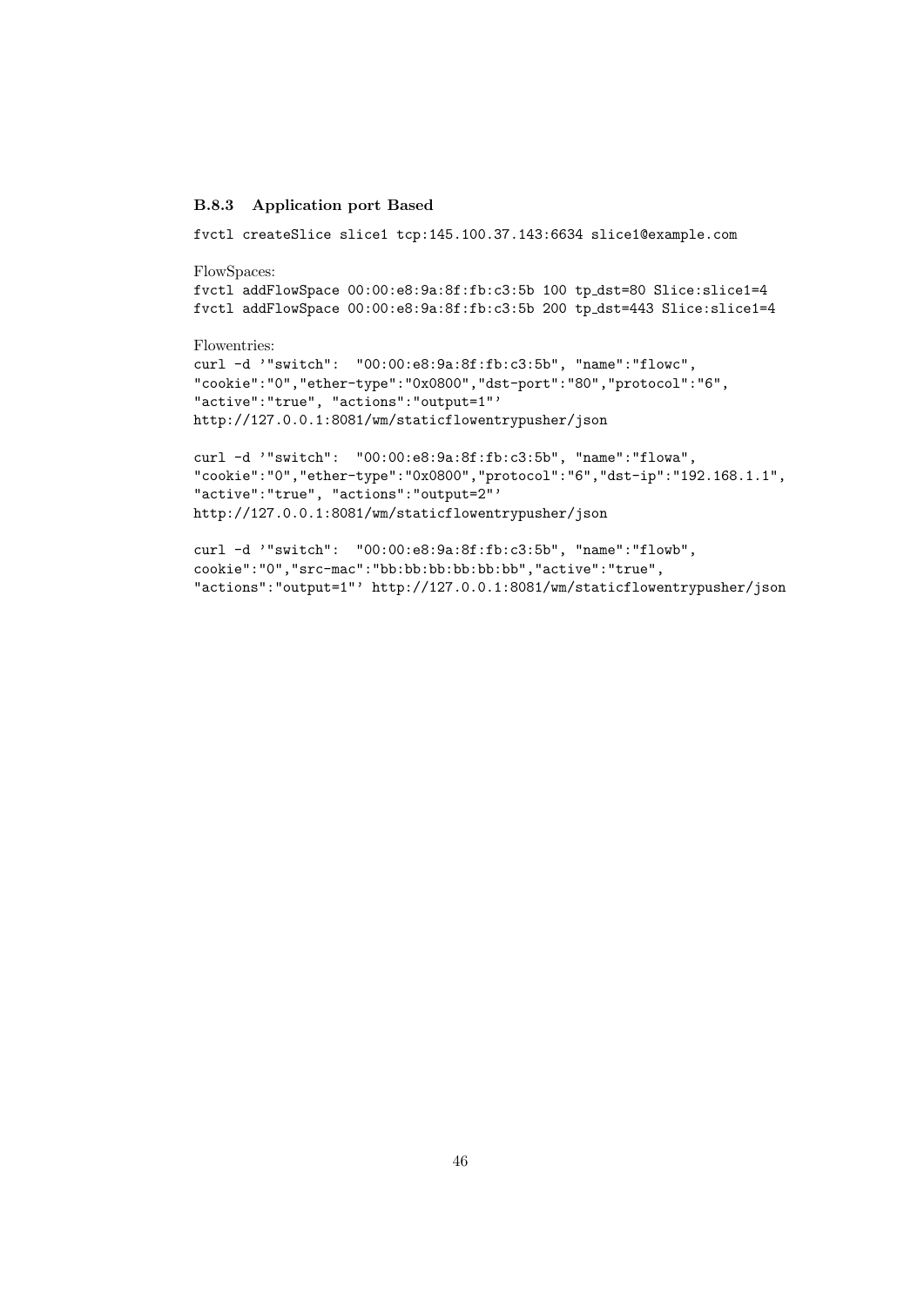# B.8.3 Application port Based

fvctl createSlice slice1 tcp:145.100.37.143:6634 slice1@example.com

FlowSpaces:

```
fvctl addFlowSpace 00:00:e8:9a:8f:fb:c3:5b 100 tp dst=80 Slice:slice1=4
fvctl addFlowSpace 00:00:e8:9a:8f:fb:c3:5b 200 tp dst=443 Slice:slice1=4
```
Flowentries:

```
curl -d '"switch": "00:00:e8:9a:8f:fb:c3:5b", "name":"flowc",
"cookie":"0","ether-type":"0x0800","dst-port":"80","protocol":"6",
"active":"true", "actions":"output=1"'
http://127.0.0.1:8081/wm/staticflowentrypusher/json
```

```
curl -d '"switch": "00:00:e8:9a:8f:fb:c3:5b", "name":"flowa",
"cookie":"0","ether-type":"0x0800","protocol":"6","dst-ip":"192.168.1.1",
"active":"true", "actions":"output=2"'
http://127.0.0.1:8081/wm/staticflowentrypusher/json
```

```
curl -d '"switch": "00:00:e8:9a:8f:fb:c3:5b", "name":"flowb",
cookie":"0","src-mac":"bb:bb:bb:bb:bb:bb","active":"true",
"actions":"output=1"' http://127.0.0.1:8081/wm/staticflowentrypusher/json
```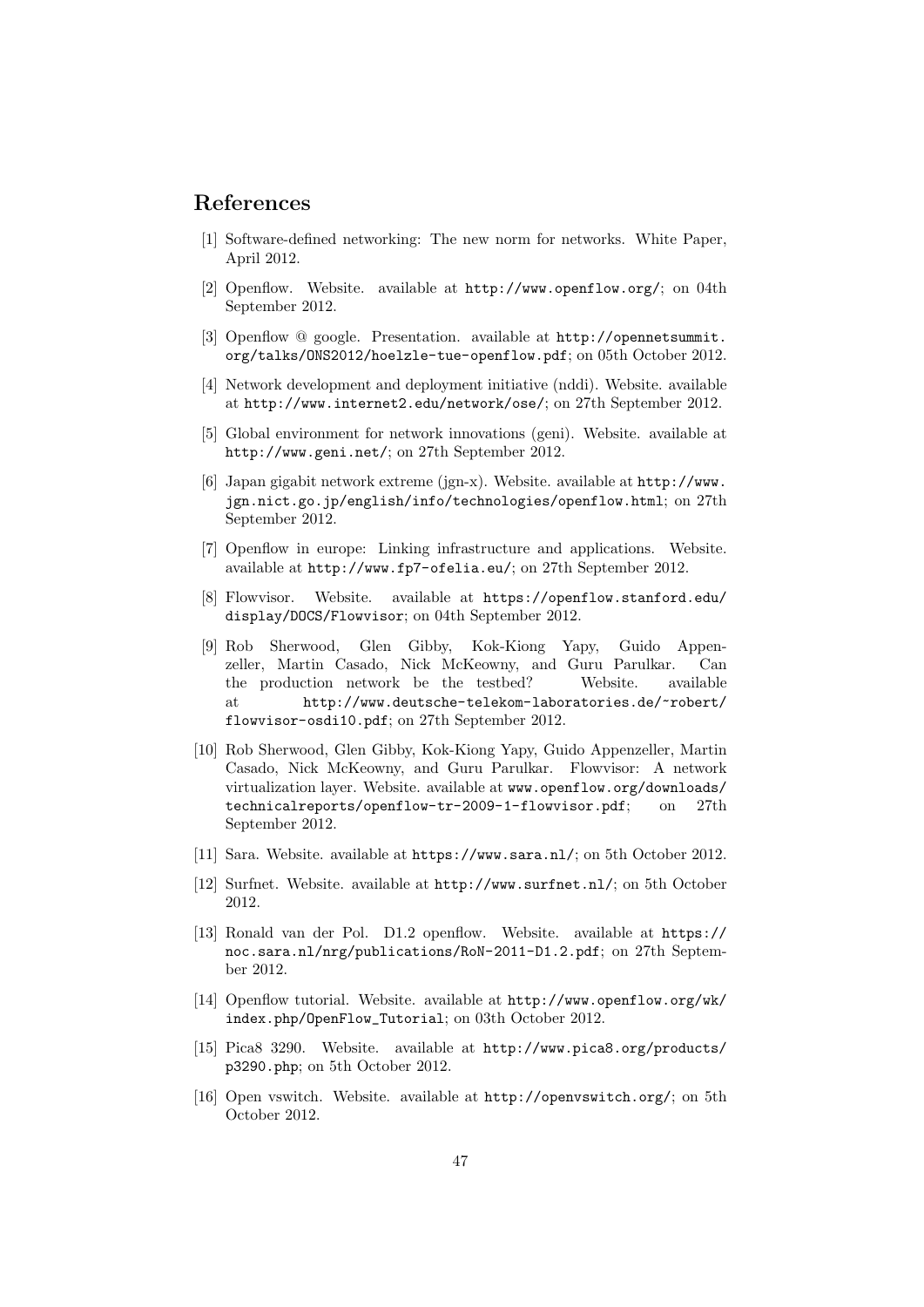# References

- [1] Software-defined networking: The new norm for networks. White Paper, April 2012.
- [2] Openflow. Website. available at http://www.openflow.org/; on 04th September 2012.
- [3] Openflow @ google. Presentation. available at http://opennetsummit. org/talks/ONS2012/hoelzle-tue-openflow.pdf; on 05th October 2012.
- [4] Network development and deployment initiative (nddi). Website. available at http://www.internet2.edu/network/ose/; on 27th September 2012.
- [5] Global environment for network innovations (geni). Website. available at http://www.geni.net/; on 27th September 2012.
- [6] Japan gigabit network extreme (jgn-x). Website. available at http://www. jgn.nict.go.jp/english/info/technologies/openflow.html; on 27th September 2012.
- [7] Openflow in europe: Linking infrastructure and applications. Website. available at http://www.fp7-ofelia.eu/; on 27th September 2012.
- [8] Flowvisor. Website. available at https://openflow.stanford.edu/ display/DOCS/Flowvisor; on 04th September 2012.
- [9] Rob Sherwood, Glen Gibby, Kok-Kiong Yapy, Guido Appenzeller, Martin Casado, Nick McKeowny, and Guru Parulkar. Can the production network be the testbed? Website. available at http://www.deutsche-telekom-laboratories.de/~robert/ flowvisor-osdi10.pdf; on 27th September 2012.
- [10] Rob Sherwood, Glen Gibby, Kok-Kiong Yapy, Guido Appenzeller, Martin Casado, Nick McKeowny, and Guru Parulkar. Flowvisor: A network virtualization layer. Website. available at www.openflow.org/downloads/ technicalreports/openflow-tr-2009-1-flowvisor.pdf; on 27th September 2012.
- [11] Sara. Website. available at https://www.sara.nl/; on 5th October 2012.
- [12] Surfnet. Website. available at http://www.surfnet.nl/; on 5th October 2012.
- [13] Ronald van der Pol. D1.2 openflow. Website. available at https:// noc.sara.nl/nrg/publications/RoN-2011-D1.2.pdf; on 27th September 2012.
- [14] Openflow tutorial. Website. available at http://www.openflow.org/wk/ index.php/OpenFlow\_Tutorial; on 03th October 2012.
- [15] Pica8 3290. Website. available at http://www.pica8.org/products/ p3290.php; on 5th October 2012.
- [16] Open vswitch. Website. available at http://openvswitch.org/; on 5th October 2012.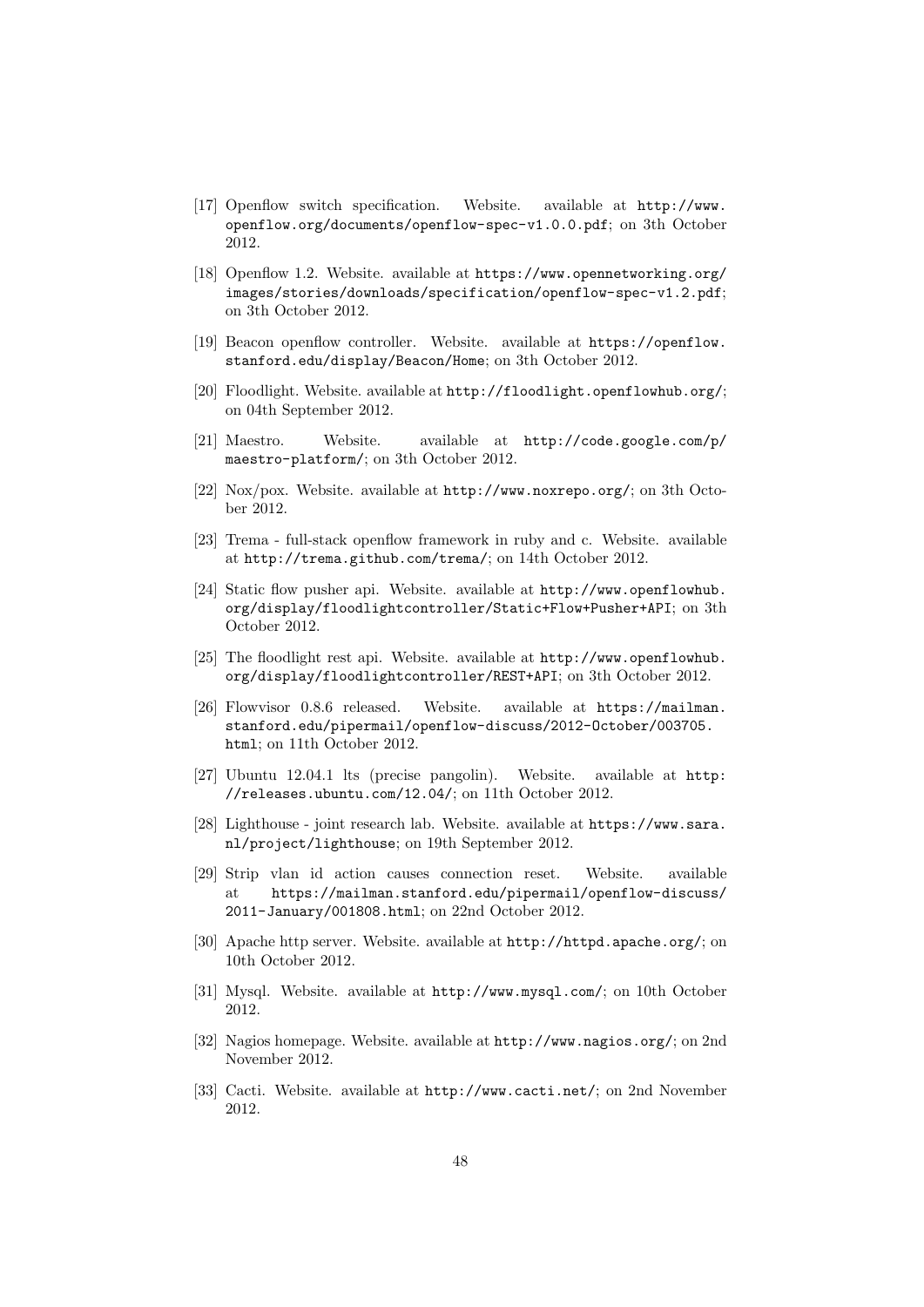- [17] Openflow switch specification. Website. available at http://www. openflow.org/documents/openflow-spec-v1.0.0.pdf; on 3th October 2012.
- [18] Openflow 1.2. Website. available at https://www.opennetworking.org/ images/stories/downloads/specification/openflow-spec-v1.2.pdf; on 3th October 2012.
- [19] Beacon openflow controller. Website. available at https://openflow. stanford.edu/display/Beacon/Home; on 3th October 2012.
- [20] Floodlight. Website. available at http://floodlight.openflowhub.org/; on 04th September 2012.
- [21] Maestro. Website. available at http://code.google.com/p/ maestro-platform/; on 3th October 2012.
- [22] Nox/pox. Website. available at http://www.noxrepo.org/; on 3th October 2012.
- [23] Trema full-stack openflow framework in ruby and c. Website. available at http://trema.github.com/trema/; on 14th October 2012.
- [24] Static flow pusher api. Website. available at http://www.openflowhub. org/display/floodlightcontroller/Static+Flow+Pusher+API; on 3th October 2012.
- [25] The floodlight rest api. Website. available at http://www.openflowhub. org/display/floodlightcontroller/REST+API; on 3th October 2012.
- [26] Flowvisor 0.8.6 released. Website. available at https://mailman. stanford.edu/pipermail/openflow-discuss/2012-October/003705. html; on 11th October 2012.
- [27] Ubuntu 12.04.1 lts (precise pangolin). Website. available at http: //releases.ubuntu.com/12.04/; on 11th October 2012.
- [28] Lighthouse joint research lab. Website. available at https://www.sara. nl/project/lighthouse; on 19th September 2012.
- [29] Strip vlan id action causes connection reset. Website. available at https://mailman.stanford.edu/pipermail/openflow-discuss/ 2011-January/001808.html; on 22nd October 2012.
- [30] Apache http server. Website. available at http://httpd.apache.org/; on 10th October 2012.
- [31] Mysql. Website. available at http://www.mysql.com/; on 10th October 2012.
- [32] Nagios homepage. Website. available at http://www.nagios.org/; on 2nd November 2012.
- [33] Cacti. Website. available at http://www.cacti.net/; on 2nd November 2012.